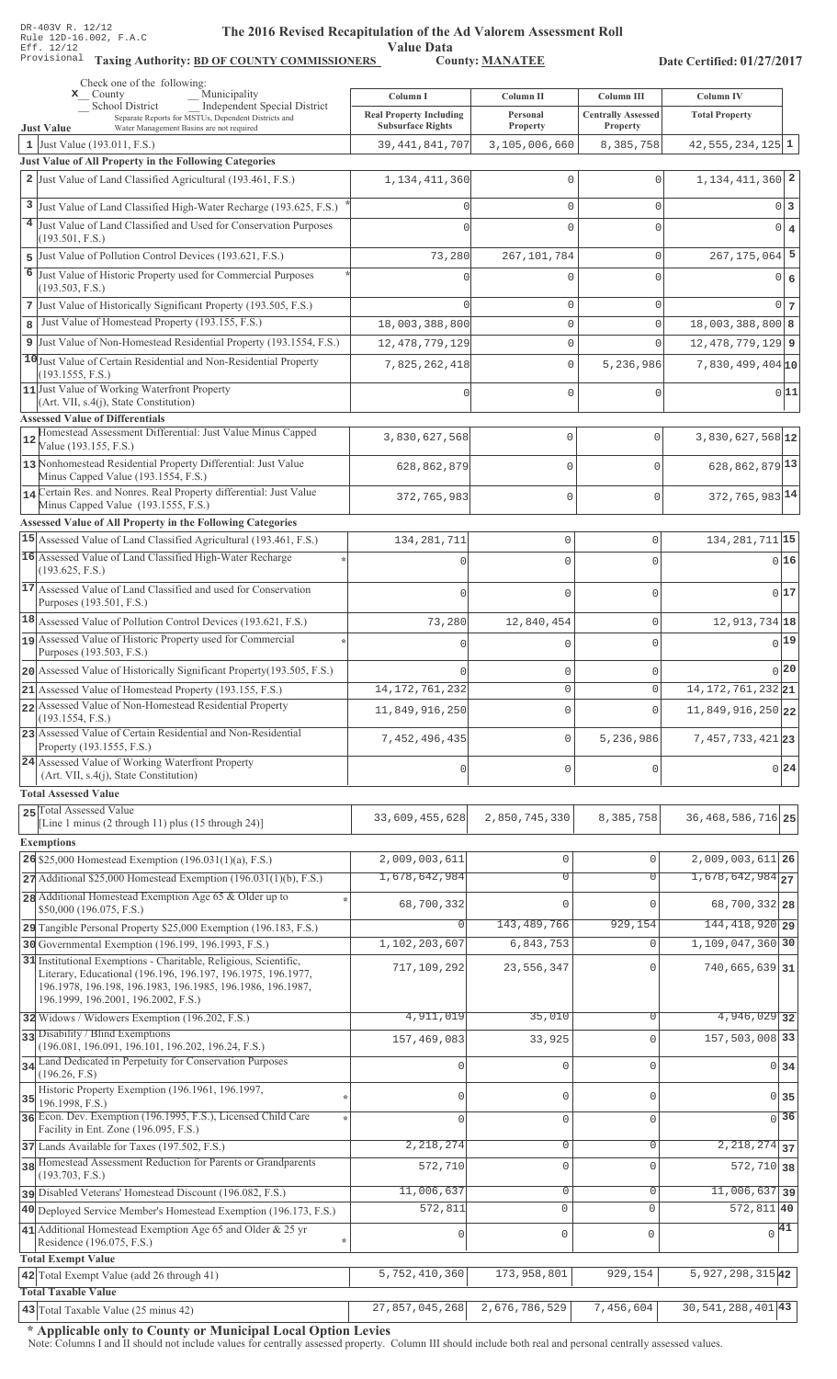Value Data<br>County: MANATEE Taxing Authority: BD OF COUNTY COMMISSIONERS County: MANATEE

Date Certified: 01/27/2017

| Check one of the following:<br>Municipality<br>$\mathbf{x}$ County                                                           |                                                            |                      |                                       |                               |
|------------------------------------------------------------------------------------------------------------------------------|------------------------------------------------------------|----------------------|---------------------------------------|-------------------------------|
| Independent Special District<br><b>School District</b>                                                                       | Column I                                                   | Column II            | Column III                            | Column IV                     |
| Separate Reports for MSTUs, Dependent Districts and<br>Water Management Basins are not required<br><b>Just Value</b>         | <b>Real Property Including</b><br><b>Subsurface Rights</b> | Personal<br>Property | <b>Centrally Assessed</b><br>Property | <b>Total Property</b>         |
| 1 Just Value (193.011, F.S.)                                                                                                 | 39, 441, 841, 707                                          | 3,105,006,660        | 8,385,758                             | $42,555,234,125$ 1            |
| Just Value of All Property in the Following Categories                                                                       |                                                            |                      |                                       |                               |
| 2 Just Value of Land Classified Agricultural (193.461, F.S.)                                                                 | 1, 134, 411, 360                                           | 0                    | $\mathbf{0}$                          | $1,134,411,360$ <sup>2</sup>  |
| 3 Just Value of Land Classified High-Water Recharge (193.625, F.S.)                                                          |                                                            | 0                    | $\mathbf{0}$                          | 0 <sup>3</sup>                |
| 4 Just Value of Land Classified and Used for Conservation Purposes                                                           |                                                            | 0                    | $\Omega$                              | $0 \mid 4$                    |
| (193.501, F.S.)                                                                                                              |                                                            |                      |                                       |                               |
| 5 Just Value of Pollution Control Devices (193.621, F.S.)                                                                    | 73,280                                                     | 267, 101, 784        | $\mathbf{0}$                          | $267, 175, 064$ 5             |
| 6 Just Value of Historic Property used for Commercial Purposes<br>(193.503, F.S.)                                            |                                                            | 0                    | $\Omega$                              | $0 \mid 6$                    |
| 7 Just Value of Historically Significant Property (193.505, F.S.)                                                            |                                                            | 0                    | $\mathbf{0}$                          | 0 <sub>7</sub>                |
| Just Value of Homestead Property (193.155, F.S.)<br>8                                                                        | 18,003,388,800                                             | 0                    | $\mathbf 0$                           | $18,003,388,800$ 8            |
| 9 Just Value of Non-Homestead Residential Property (193.1554, F.S.)                                                          | 12, 478, 779, 129                                          | 0                    | $\Omega$                              | $12,478,779,129$ 9            |
| 10 Just Value of Certain Residential and Non-Residential Property                                                            | 7,825,262,418                                              | 0                    | 5,236,986                             | $7,830,499,404$ 10            |
| (193.1555, F.S.)                                                                                                             |                                                            |                      |                                       |                               |
| 11 Just Value of Working Waterfront Property<br>(Art. VII, s.4(j), State Constitution)                                       |                                                            | 0                    | $\mathbf 0$                           | 0 11                          |
| <b>Assessed Value of Differentials</b>                                                                                       |                                                            |                      |                                       |                               |
| Homestead Assessment Differential: Just Value Minus Capped<br>12<br>Value (193.155, F.S.)                                    | 3,830,627,568                                              | 0                    | 0                                     | 3,830,627,568 12              |
| 13 Nonhomestead Residential Property Differential: Just Value                                                                |                                                            | $\Omega$             | $\Omega$                              | 628, 862, 879 13              |
| Minus Capped Value (193.1554, F.S.)                                                                                          | 628,862,879                                                |                      |                                       |                               |
| 14 Certain Res. and Nonres. Real Property differential: Just Value                                                           | 372,765,983                                                | $\mathbf 0$          | $\Omega$                              | 372, 765, 983 14              |
| Minus Capped Value (193.1555, F.S.)<br>Assessed Value of All Property in the Following Categories                            |                                                            |                      |                                       |                               |
| 15 Assessed Value of Land Classified Agricultural (193.461, F.S.)                                                            | 134, 281, 711                                              | $\mathbb O$          | $\mathbf 0$                           | 134, 281, 711 15              |
| 16 Assessed Value of Land Classified High-Water Recharge                                                                     |                                                            | $\Omega$             | $\Omega$                              | 016                           |
| (193.625, F.S.)                                                                                                              |                                                            |                      |                                       |                               |
| 17 Assessed Value of Land Classified and used for Conservation                                                               | $\Omega$                                                   | $\mathbf 0$          | $\Omega$                              | 017                           |
| Purposes (193.501, F.S.)                                                                                                     |                                                            |                      |                                       |                               |
| 18 Assessed Value of Pollution Control Devices (193.621, F.S.)<br>19 Assessed Value of Historic Property used for Commercial | 73,280                                                     | 12,840,454           | 0                                     | 12, 913, 734 18               |
| Purposes (193.503, F.S.)                                                                                                     |                                                            | $\Omega$             | 0                                     | 0 19                          |
| 20 Assessed Value of Historically Significant Property (193.505, F.S.)                                                       |                                                            | $\mathbf 0$          | $\Omega$                              | 0 20                          |
| 21 Assessed Value of Homestead Property (193.155, F.S.)                                                                      | 14, 172, 761, 232                                          | $\circ$              | 0                                     | $14, 172, 761, 232$ 21        |
| 22 Assessed Value of Non-Homestead Residential Property                                                                      | 11,849,916,250                                             | $\mathbf{0}$         | $\Omega$                              | 11,849,916,250 22             |
| (193.1554, F.S.)<br>23 Assessed Value of Certain Residential and Non-Residential                                             |                                                            |                      |                                       |                               |
| Property (193.1555, F.S.)                                                                                                    | 7,452,496,435                                              | $\mathbf 0$          | 5,236,986                             | 7, 457, 733, 421 23           |
| 24 Assessed Value of Working Waterfront Property<br>(Art. VII, s.4(j), State Constitution)                                   | $\Omega$                                                   | $\mathbf 0$          | U                                     | 0 24                          |
| <b>Total Assessed Value</b>                                                                                                  |                                                            |                      |                                       |                               |
| 25 Total Assessed Value                                                                                                      |                                                            |                      |                                       |                               |
| [Line 1 minus (2 through 11) plus (15 through 24)]                                                                           | 33,609,455,628                                             | 2,850,745,330        | 8,385,758                             | 36, 468, 586, 716 25          |
| <b>Exemptions</b>                                                                                                            |                                                            |                      |                                       |                               |
| 26 \$25,000 Homestead Exemption (196.031(1)(a), F.S.)                                                                        | 2,009,003,611                                              | $\mathsf{O}\xspace$  | $\mathbf 0$                           | $2,009,003,611$ 26            |
| 27 Additional \$25,000 Homestead Exemption (196.031(1)(b), F.S.)                                                             | 1,678,642,984                                              | $\overline{0}$       | $\overline{0}$                        | $1,678,642,984$ <sub>27</sub> |
| 28 Additional Homestead Exemption Age 65 & Older up to<br>\$50,000 (196.075, F.S.)                                           | 68,700,332                                                 | $\Omega$             |                                       | 68,700,332 28                 |
| 29 Tangible Personal Property \$25,000 Exemption (196.183, F.S.)                                                             |                                                            | 143, 489, 766        | 929,154                               | 144, 418, 920 29              |
| 30 Governmental Exemption (196.199, 196.1993, F.S.)                                                                          | 1,102,203,607                                              | 6,843,753            | $\Omega$                              | $1,109,047,360$ 30            |
| 31 Institutional Exemptions - Charitable, Religious, Scientific,                                                             | 717,109,292                                                | 23,556,347           |                                       | $740,665,639$ 31              |
| Literary, Educational (196.196, 196.197, 196.1975, 196.1977,<br>196.1978, 196.198, 196.1983, 196.1985, 196.1986, 196.1987,   |                                                            |                      |                                       |                               |
| 196.1999, 196.2001, 196.2002, F.S.)                                                                                          |                                                            |                      |                                       |                               |
| 32 Widows / Widowers Exemption (196.202, F.S.)                                                                               | 4,911,019                                                  | 35,010               | $\Omega$                              | $4,946,029$ 32                |
| 33 Disability / Blind Exemptions<br>(196.081, 196.091, 196.101, 196.202, 196.24, F.S.)                                       | 157,469,083                                                | 33,925               | $\Omega$                              | 157,503,008 33                |
| 34 Land Dedicated in Perpetuity for Conservation Purposes                                                                    |                                                            | 0                    | $\cap$                                | $0 \overline{\smash{34}}$     |
| (196.26, F.S)                                                                                                                |                                                            |                      |                                       |                               |
| Historic Property Exemption (196.1961, 196.1997,<br>$35$ 196.1998, F.S.)                                                     | $\Omega$                                                   | 0                    | $\mathbf{0}$                          | 0 35                          |
| 36 Econ. Dev. Exemption (196.1995, F.S.), Licensed Child Care                                                                | $\cap$                                                     | $\mathbf 0$          | $\mathbf 0$                           | 36<br>$\Omega$                |
| Facility in Ent. Zone (196.095, F.S.)                                                                                        |                                                            |                      |                                       |                               |
| 37 Lands Available for Taxes (197.502, F.S.)<br>38 Homestead Assessment Reduction for Parents or Grandparents                | 2, 218, 274                                                | $\mathbf{0}$         | 0                                     | $2,218,274$ 37                |
| (193.703, F.S.)                                                                                                              | 572,710                                                    | $\mathbf{0}$         | $\Omega$                              | $572, 710$ 38                 |
| pisabled Veterans' Homestead Discount (196.082, F.S.)                                                                        | 11,006,637                                                 | $\mathbf 0$          | $\mathbf 0$                           | $11,006,637$ 39               |
| 40 Deployed Service Member's Homestead Exemption (196.173, F.S.)                                                             | 572,811                                                    | $\circ$              | $\Omega$                              | $572,811$ 40                  |
| 41 Additional Homestead Exemption Age 65 and Older & 25 yr                                                                   | 0                                                          | $\mathbf 0$          | $\mathbf 0$                           | $\sqrt{41}$                   |
| Residence (196.075, F.S.)<br><b>Total Exempt Value</b>                                                                       |                                                            |                      |                                       |                               |
| 42 Total Exempt Value (add 26 through 41)                                                                                    | 5,752,410,360                                              | 173,958,801          | 929,154                               | $5,927,298,315$ <sup>42</sup> |
| <b>Total Taxable Value</b>                                                                                                   |                                                            |                      |                                       |                               |
| 43 Total Taxable Value (25 minus 42)                                                                                         | 27,857,045,268                                             | 2,676,786,529        | 7,456,604                             | $30,541,288,401$ 43           |

\* Applicable only to County or Municipal Local Option Levies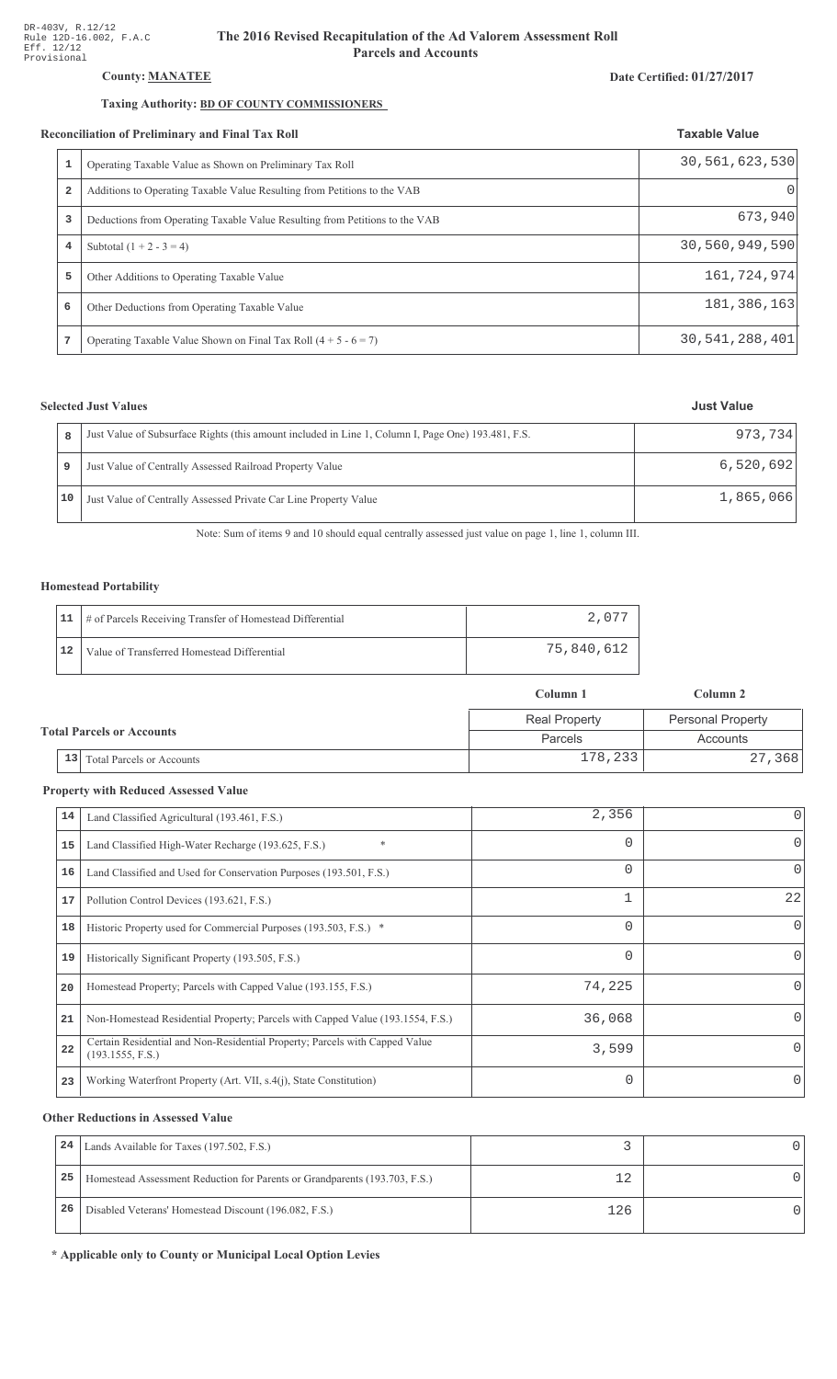# County: **MANATEE**

# Taxing Authority: **BD OF COUNTY COMMISSIONERS**

#### Reconciliation of Preliminary and Final Tax Roll

|   | conciliation of Preliminary and Final Tax Roll                              | <b>Taxable Value</b> |
|---|-----------------------------------------------------------------------------|----------------------|
|   | Operating Taxable Value as Shown on Preliminary Tax Roll                    | 30,561,623,530       |
| 2 | Additions to Operating Taxable Value Resulting from Petitions to the VAB    | $\left( \right)$     |
| 3 | Deductions from Operating Taxable Value Resulting from Petitions to the VAB | 673,940              |
| 4 | Subtotal $(1 + 2 - 3 = 4)$                                                  | 30,560,949,590       |
| 5 | Other Additions to Operating Taxable Value                                  | 161, 724, 974        |
| 6 | Other Deductions from Operating Taxable Value                               | 181, 386, 163        |
| 7 | Operating Taxable Value Shown on Final Tax Roll $(4 + 5 - 6 = 7)$           | 30,541,288,401       |

# **Selected Just Values**

|    | Just Value of Subsurface Rights (this amount included in Line 1, Column I, Page One) 193.481, F.S. | 973.734   |
|----|----------------------------------------------------------------------------------------------------|-----------|
|    | Just Value of Centrally Assessed Railroad Property Value                                           | 6,520,692 |
| 10 | Just Value of Centrally Assessed Private Car Line Property Value                                   | 1,865,066 |

Note: Sum of items 9 and 10 should equal centrally assessed just value on page 1, line 1, column III.

### Homestead Portability

|    | 11   # of Parcels Receiving Transfer of Homestead Differential | 2.077        |
|----|----------------------------------------------------------------|--------------|
| 12 | Value of Transferred Homestead Differential                    | 75,840,612 ' |

|                                  |                                        | Column 1             | Column 2                 |  |
|----------------------------------|----------------------------------------|----------------------|--------------------------|--|
| <b>Total Parcels or Accounts</b> |                                        | <b>Real Property</b> | <b>Personal Property</b> |  |
|                                  |                                        | Parcels              | Accounts                 |  |
|                                  | 13<br><b>Total Parcels or Accounts</b> | 178,233              | 27,368                   |  |

#### **Property with Reduced Assessed Value**

| 14 | Land Classified Agricultural (193.461, F.S.)                                                    | 2,356    | 0  |
|----|-------------------------------------------------------------------------------------------------|----------|----|
| 15 | *<br>Land Classified High-Water Recharge (193.625, F.S.)                                        | 0        | 0  |
| 16 | Land Classified and Used for Conservation Purposes (193.501, F.S.)                              | $\Omega$ | 0  |
| 17 | Pollution Control Devices (193.621, F.S.)                                                       |          | 22 |
| 18 | Historic Property used for Commercial Purposes (193.503, F.S.) *                                | $\Omega$ | 0  |
| 19 | Historically Significant Property (193.505, F.S.)                                               | $\Omega$ | 0  |
| 20 | Homestead Property; Parcels with Capped Value (193.155, F.S.)                                   | 74,225   |    |
| 21 | Non-Homestead Residential Property; Parcels with Capped Value (193.1554, F.S.)                  | 36,068   |    |
| 22 | Certain Residential and Non-Residential Property; Parcels with Capped Value<br>(193.1555, F.S.) | 3,599    | 0  |
| 23 | Working Waterfront Property (Art. VII, s.4(j), State Constitution)                              | $\Omega$ |    |

#### **Other Reductions in Assessed Value**

| 24 | Lands Available for Taxes (197.502, F.S.)                                  |     |  |
|----|----------------------------------------------------------------------------|-----|--|
| 25 | Homestead Assessment Reduction for Parents or Grandparents (193.703, F.S.) |     |  |
| 26 | Disabled Veterans' Homestead Discount (196.082, F.S.)                      | 126 |  |

\* Applicable only to County or Municipal Local Option Levies

### Date Certified: 01/27/2017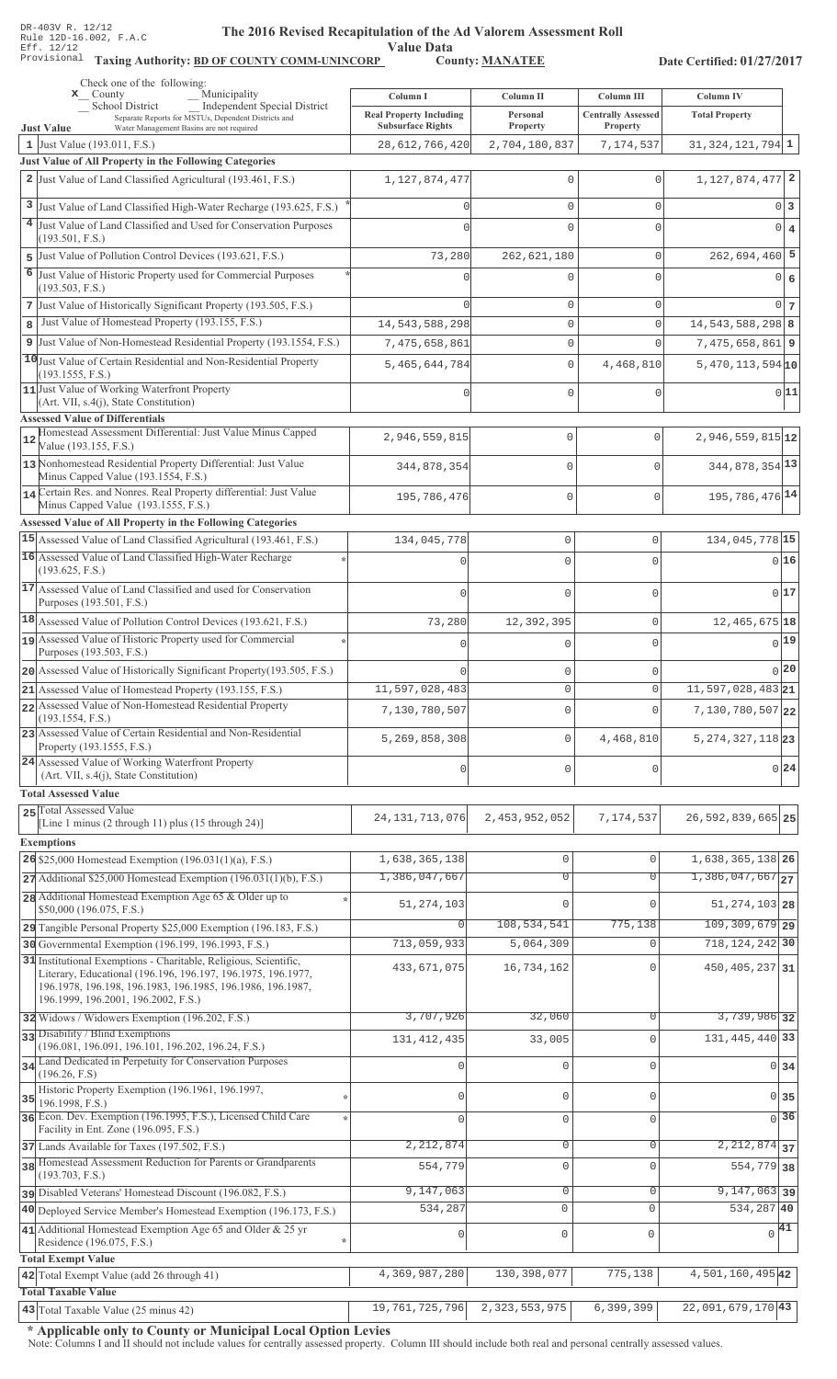Value Data<br>County: MANATEE

Taxing Authority: BD OF COUNTY COMM-UNINCORP County: MANATEE

Date Certified: 01/27/2017

| Check one of the following:<br>$\mathbf{x}$ County                                                                               | Municipality                                        |                                            |                                    |                                         |                                    |                  |
|----------------------------------------------------------------------------------------------------------------------------------|-----------------------------------------------------|--------------------------------------------|------------------------------------|-----------------------------------------|------------------------------------|------------------|
| <b>School District</b>                                                                                                           | <b>Independent Special District</b>                 | Column I<br><b>Real Property Including</b> | Column II<br>Personal              | Column III<br><b>Centrally Assessed</b> | Column IV<br><b>Total Property</b> |                  |
| Water Management Basins are not required<br><b>Just Value</b>                                                                    | Separate Reports for MSTUs, Dependent Districts and | <b>Subsurface Rights</b>                   | Property                           | Property                                |                                    |                  |
| 1 Just Value (193.011, F.S.)                                                                                                     |                                                     | 28,612,766,420                             | 2,704,180,837                      | 7,174,537                               | $31,324,121,794$ $1$               |                  |
| Just Value of All Property in the Following Categories                                                                           |                                                     |                                            |                                    |                                         |                                    |                  |
| 2 Just Value of Land Classified Agricultural (193.461, F.S.)                                                                     |                                                     | 1, 127, 874, 477                           | $\mathbf 0$                        | $\Omega$                                | $1, 127, 874, 477$ 2               |                  |
| 3 Just Value of Land Classified High-Water Recharge (193.625, F.S.)                                                              |                                                     |                                            | $\mathbf{0}$                       | $\Omega$                                |                                    | 0 3              |
| 4 Just Value of Land Classified and Used for Conservation Purposes                                                               |                                                     |                                            | $\mathbf{0}$                       | $\Omega$                                |                                    | $0 \mid 4$       |
| (193.501, F.S.)                                                                                                                  |                                                     |                                            |                                    |                                         |                                    |                  |
| 5 Just Value of Pollution Control Devices (193.621, F.S.)                                                                        |                                                     | 73,280                                     | 262,621,180                        | $\circ$                                 | $262,694,460$ 5                    |                  |
| 6<br>Just Value of Historic Property used for Commercial Purposes<br>(193.503, F.S.)                                             |                                                     |                                            | 0                                  | $\cap$                                  |                                    | 0 6              |
| 7 Just Value of Historically Significant Property (193.505, F.S.)                                                                |                                                     |                                            | $\mathbf{0}$                       | $\Omega$                                |                                    | $0\vert$ 7       |
| Just Value of Homestead Property (193.155, F.S.)<br>8                                                                            |                                                     | 14, 543, 588, 298                          | $\mathsf{O}\xspace$                | $\mathbf 0$                             | 14, 543, 588, 298 8                |                  |
| 9 Just Value of Non-Homestead Residential Property (193.1554, F.S.)                                                              |                                                     | 7,475,658,861                              | $\mathsf{O}\xspace$                | $\Omega$                                | $7,475,658,861$ 9                  |                  |
| 10 Just Value of Certain Residential and Non-Residential Property                                                                |                                                     | 5,465,644,784                              | $\mathbb O$                        | 4,468,810                               | $5,470,113,594$ 10                 |                  |
| (193.1555, F.S.)                                                                                                                 |                                                     |                                            |                                    |                                         |                                    |                  |
| 11 Just Value of Working Waterfront Property<br>$(Art. VII, s.4(j), State Constitution)$                                         |                                                     |                                            | $\mathbf{0}$                       | $\mathbf 0$                             |                                    | 0 11             |
| <b>Assessed Value of Differentials</b>                                                                                           |                                                     |                                            |                                    |                                         |                                    |                  |
| Homestead Assessment Differential: Just Value Minus Capped<br>12<br>Value (193.155, F.S.)                                        |                                                     | 2,946,559,815                              | 0                                  | $\mathbf 0$                             | $2,946,559,815$ <sup>12</sup>      |                  |
| 13 Nonhomestead Residential Property Differential: Just Value                                                                    |                                                     |                                            |                                    |                                         |                                    |                  |
| Minus Capped Value (193.1554, F.S.)                                                                                              |                                                     | 344,878,354                                | 0                                  | $\Omega$                                | 344, 878, 354 13                   |                  |
| 14 Certain Res. and Nonres. Real Property differential: Just Value                                                               |                                                     | 195,786,476                                | 0                                  | $\mathbf 0$                             | 195, 786, 476 14                   |                  |
| Minus Capped Value (193.1555, F.S.)                                                                                              |                                                     |                                            |                                    |                                         |                                    |                  |
| Assessed Value of All Property in the Following Categories<br>15 Assessed Value of Land Classified Agricultural (193.461, F.S.)  |                                                     |                                            | $\mathbf 0$                        |                                         | 134,045,778 15                     |                  |
| 16 Assessed Value of Land Classified High-Water Recharge                                                                         |                                                     | 134,045,778                                |                                    | 0                                       |                                    |                  |
| (193.625, F.S.)                                                                                                                  |                                                     |                                            | $\Omega$                           | $\cap$                                  |                                    | 0 16             |
| 17 Assessed Value of Land Classified and used for Conservation                                                                   |                                                     | $\Omega$                                   | $\Omega$                           | O                                       |                                    | 017              |
| Purposes (193.501, F.S.)                                                                                                         |                                                     |                                            |                                    |                                         |                                    |                  |
| 18 Assessed Value of Pollution Control Devices (193.621, F.S.)                                                                   |                                                     | 73,280                                     | 12,392,395                         | 0                                       | $12,465,675$ 18                    |                  |
| 19 Assessed Value of Historic Property used for Commercial<br>Purposes (193.503, F.S.)                                           |                                                     | $\Omega$                                   | $\Omega$                           | $\Omega$                                |                                    | 0 19             |
| 20 Assessed Value of Historically Significant Property (193.505, F.S.)                                                           |                                                     |                                            | $\mathbf 0$                        | 0                                       |                                    | 0 20             |
| 21 Assessed Value of Homestead Property (193.155, F.S.)                                                                          |                                                     | 11,597,028,483                             | $\mathbf{0}$                       | 0                                       | $11,597,028,483$ <sub>21</sub>     |                  |
| 22 Assessed Value of Non-Homestead Residential Property                                                                          |                                                     | 7,130,780,507                              | $\mathbf 0$                        | O                                       | $7,130,780,507$ 22                 |                  |
| (193.1554, F.S.)                                                                                                                 |                                                     |                                            |                                    |                                         |                                    |                  |
| 23 Assessed Value of Certain Residential and Non-Residential<br>Property (193.1555, F.S.)                                        |                                                     | 5,269,858,308                              | $\mathbf 0$                        | 4,468,810                               | $5, 274, 327, 118$ 23              |                  |
| 24 Assessed Value of Working Waterfront Property                                                                                 |                                                     |                                            |                                    |                                         |                                    | 0 24             |
| (Art. VII, s.4(j), State Constitution)                                                                                           |                                                     | $\mathbf{0}$                               | $\mathbf 0$                        | 0                                       |                                    |                  |
| <b>Total Assessed Value</b>                                                                                                      |                                                     |                                            |                                    |                                         |                                    |                  |
| 25 Total Assessed Value<br>[Line 1 minus (2 through 11) plus (15 through 24)]                                                    |                                                     | 24, 131, 713, 076                          | 2,453,952,052                      | 7,174,537                               | 26, 592, 839, 665 25               |                  |
| <b>Exemptions</b>                                                                                                                |                                                     |                                            |                                    |                                         |                                    |                  |
| 26 \$25,000 Homestead Exemption (196.031(1)(a), F.S.)                                                                            |                                                     | 1,638,365,138                              | $\mathbb O$                        | $\mathbf 0$                             | 1,638,365,138 26                   |                  |
| $27$ Additional \$25,000 Homestead Exemption (196.031(1)(b), F.S.)                                                               |                                                     | 1,386,047,667                              | $\overline{0}$                     | $\Omega$                                | $1,386,047,667$ <sub>27</sub>      |                  |
| 28 Additional Homestead Exemption Age 65 & Older up to                                                                           |                                                     |                                            |                                    |                                         |                                    |                  |
| \$50,000 (196.075, F.S.)                                                                                                         |                                                     | 51, 274, 103                               | $\Omega$                           | $\Omega$                                | 51, 274, 103 28                    |                  |
| 29 Tangible Personal Property \$25,000 Exemption (196.183, F.S.)                                                                 |                                                     | $\mathbf 0$                                | 108,534,541                        | 775,138                                 | 109, 309, 679 29                   |                  |
| 30 Governmental Exemption (196.199, 196.1993, F.S.)                                                                              |                                                     | 713,059,933                                | 5,064,309                          | $\Omega$                                | 718, 124, 242 30                   |                  |
| 31 Institutional Exemptions - Charitable, Religious, Scientific,<br>Literary, Educational (196.196, 196.197, 196.1975, 196.1977, |                                                     | 433,671,075                                | 16,734,162                         | U                                       | 450, 405, 237 31                   |                  |
| 196.1978, 196.198, 196.1983, 196.1985, 196.1986, 196.1987,                                                                       |                                                     |                                            |                                    |                                         |                                    |                  |
| 196.1999, 196.2001, 196.2002, F.S.)                                                                                              |                                                     |                                            |                                    |                                         | 3,739,986 32                       |                  |
| 32 Widows / Widowers Exemption (196.202, F.S.)<br>33 Disability / Blind Exemptions                                               |                                                     | 3,707,926                                  | 32,060                             | $\Omega$                                |                                    |                  |
| (196.081, 196.091, 196.101, 196.202, 196.24, F.S.)                                                                               |                                                     | 131, 412, 435                              | 33,005                             | $\Omega$                                | 131, 445, 440 33                   |                  |
| 34 Land Dedicated in Perpetuity for Conservation Purposes                                                                        |                                                     |                                            | $\mathbf 0$                        | $\Omega$                                |                                    | $0\overline{34}$ |
| (196.26, F.S)<br>Historic Property Exemption (196.1961, 196.1997,                                                                |                                                     |                                            |                                    |                                         |                                    |                  |
| 35<br>196.1998, F.S.)                                                                                                            |                                                     | $\Omega$                                   | $\mathbf{0}$                       | $\Omega$                                |                                    | $0$ 35           |
| 36 Econ. Dev. Exemption (196.1995, F.S.), Licensed Child Care                                                                    |                                                     | $\Omega$                                   | $\mathbf 0$                        | $\mathbf 0$                             |                                    | $0\overline{36}$ |
| Facility in Ent. Zone (196.095, F.S.)<br>37 Lands Available for Taxes (197.502, F.S.)                                            |                                                     | 2, 212, 874                                | $\mathbf 0$                        | $\mathbf 0$                             | $2, 212, 874$ 37                   |                  |
| 38 Homestead Assessment Reduction for Parents or Grandparents                                                                    |                                                     | 554,779                                    | $\mathbf 0$                        | $\mathbf 0$                             | 554,779 38                         |                  |
| (193.703, F.S.)                                                                                                                  |                                                     |                                            |                                    |                                         |                                    |                  |
| pisabled Veterans' Homestead Discount (196.082, F.S.)                                                                            |                                                     | 9,147,063                                  | $\overline{0}$                     | 0                                       | $9,147,063$ 39                     |                  |
| 40 Deployed Service Member's Homestead Exemption (196.173, F.S.)                                                                 |                                                     | 534,287                                    | $\overline{0}$                     | $\circ$                                 | 534, 287 40                        |                  |
| 41 Additional Homestead Exemption Age 65 and Older & 25 yr<br>Residence (196.075, F.S.)                                          |                                                     | $\mathbf 0$                                | $\mathsf 0$                        | $\mathbf 0$                             | $\sqrt{41}$                        |                  |
| <b>Total Exempt Value</b>                                                                                                        |                                                     |                                            |                                    |                                         |                                    |                  |
| 42 Total Exempt Value (add 26 through 41)                                                                                        |                                                     | 4,369,987,280                              | 130, 398, 077                      | 775,138                                 | 4,501,160,495 42                   |                  |
| <b>Total Taxable Value</b>                                                                                                       |                                                     |                                            |                                    |                                         |                                    |                  |
| 43 Total Taxable Value (25 minus 42)                                                                                             |                                                     |                                            | 19, 761, 725, 796 2, 323, 553, 975 | 6,399,399                               | $22,091,679,170$ $\mid 43 \mid$    |                  |

\* Applicable only to County or Municipal Local Option Levies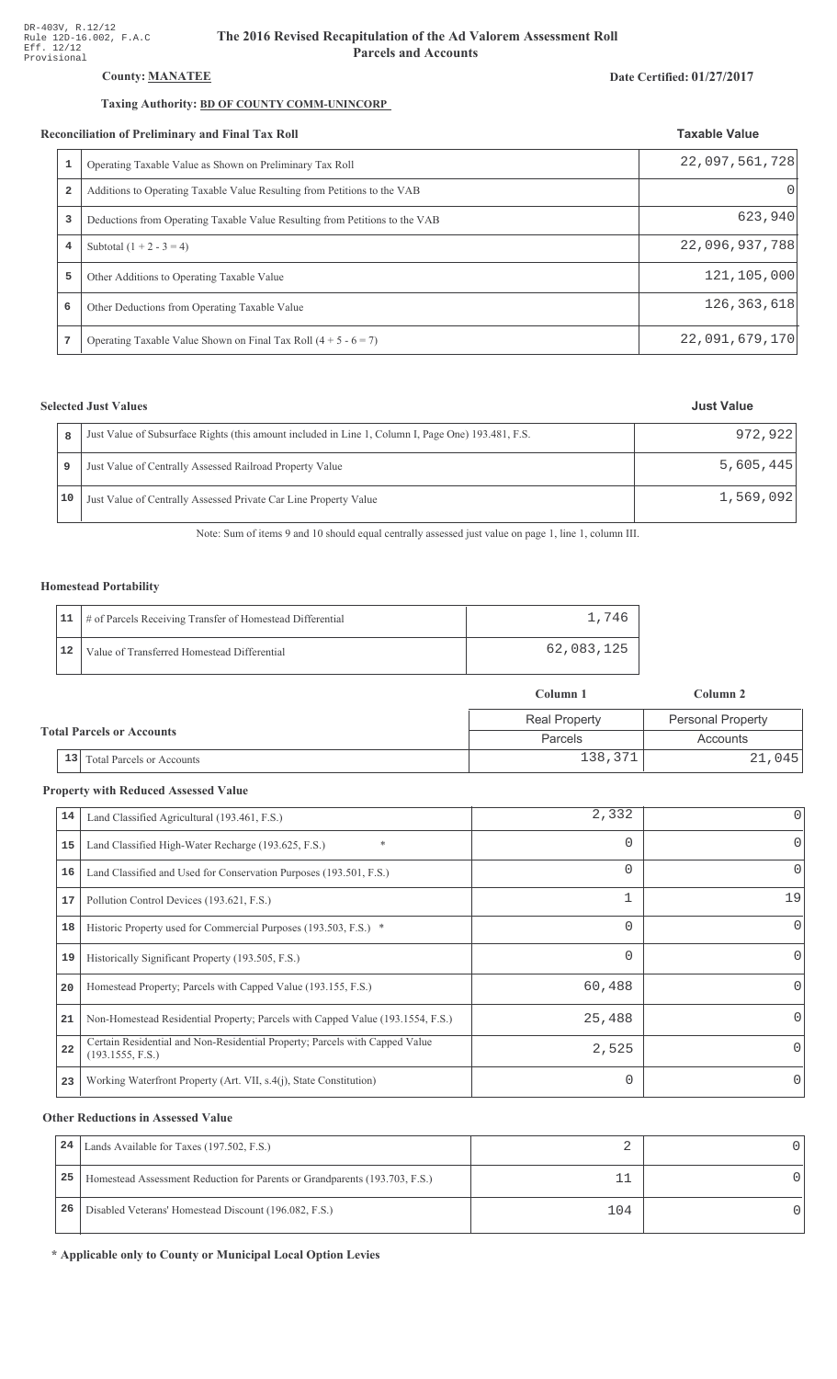# County: **MANATEE**

# Taxing Authority: BD OF COUNTY COMM-UNINCORP

#### Reconciliation of Preliminary and Final Tax Roll

|                | conciliation of Preliminary and Final Tax Roll                              | <b>Taxable Value</b> |
|----------------|-----------------------------------------------------------------------------|----------------------|
|                | Operating Taxable Value as Shown on Preliminary Tax Roll                    | 22,097,561,728       |
| $\overline{a}$ | Additions to Operating Taxable Value Resulting from Petitions to the VAB    |                      |
| 3              | Deductions from Operating Taxable Value Resulting from Petitions to the VAB | 623,940              |
| 4              | Subtotal $(1 + 2 - 3 = 4)$                                                  | 22,096,937,788       |
| 5              | Other Additions to Operating Taxable Value                                  | 121,105,000          |
| 6              | Other Deductions from Operating Taxable Value                               | 126, 363, 618        |
| 7              | Operating Taxable Value Shown on Final Tax Roll $(4 + 5 - 6 = 7)$           | 22,091,679,170       |

# **Selected Just Values**

|    | Just Value of Subsurface Rights (this amount included in Line 1, Column I, Page One) 193.481, F.S. | 972,922   |
|----|----------------------------------------------------------------------------------------------------|-----------|
|    | Just Value of Centrally Assessed Railroad Property Value                                           | 5,605,445 |
| 10 | Just Value of Centrally Assessed Private Car Line Property Value                                   | 1,569,092 |

Note: Sum of items 9 and 10 should equal centrally assessed just value on page 1, line 1, column III.

# Homestead Portability

|    | 11   # of Parcels Receiving Transfer of Homestead Differential | 1,746      |
|----|----------------------------------------------------------------|------------|
| 12 | Value of Transferred Homestead Differential                    | 62,083,125 |

|                                  |                                        | Column 1             | Column 2                 |  |
|----------------------------------|----------------------------------------|----------------------|--------------------------|--|
| <b>Total Parcels or Accounts</b> |                                        | <b>Real Property</b> | <b>Personal Property</b> |  |
|                                  |                                        | Parcels              | Accounts                 |  |
|                                  | 13<br><b>Total Parcels or Accounts</b> | 138,371              | 21,045                   |  |

#### **Property with Reduced Assessed Value**

| 14 | Land Classified Agricultural (193.461, F.S.)                                                    | 2,332    | 0            |
|----|-------------------------------------------------------------------------------------------------|----------|--------------|
| 15 | $\ast$<br>Land Classified High-Water Recharge (193.625, F.S.)                                   | $\Omega$ | 0            |
| 16 | Land Classified and Used for Conservation Purposes (193.501, F.S.)                              | $\Omega$ | 0            |
| 17 | Pollution Control Devices (193.621, F.S.)                                                       |          | 19           |
| 18 | Historic Property used for Commercial Purposes (193.503, F.S.) *                                | $\Omega$ | $\Omega$     |
| 19 | Historically Significant Property (193.505, F.S.)                                               | $\Omega$ | 0            |
| 20 | Homestead Property; Parcels with Capped Value (193.155, F.S.)                                   | 60,488   | <sup>0</sup> |
| 21 | Non-Homestead Residential Property; Parcels with Capped Value (193.1554, F.S.)                  | 25,488   | <sup>0</sup> |
| 22 | Certain Residential and Non-Residential Property; Parcels with Capped Value<br>(193.1555, F.S.) | 2,525    | O.           |
| 23 | Working Waterfront Property (Art. VII, s.4(j), State Constitution)                              | $\Omega$ | $\Omega$     |

#### **Other Reductions in Assessed Value**

| 24 | Lands Available for Taxes (197.502, F.S.)                                  |  |
|----|----------------------------------------------------------------------------|--|
| 25 | Homestead Assessment Reduction for Parents or Grandparents (193.703, F.S.) |  |
| 26 | Disabled Veterans' Homestead Discount (196.082, F.S.)                      |  |

\* Applicable only to County or Municipal Local Option Levies

#### Date Certified: 01/27/2017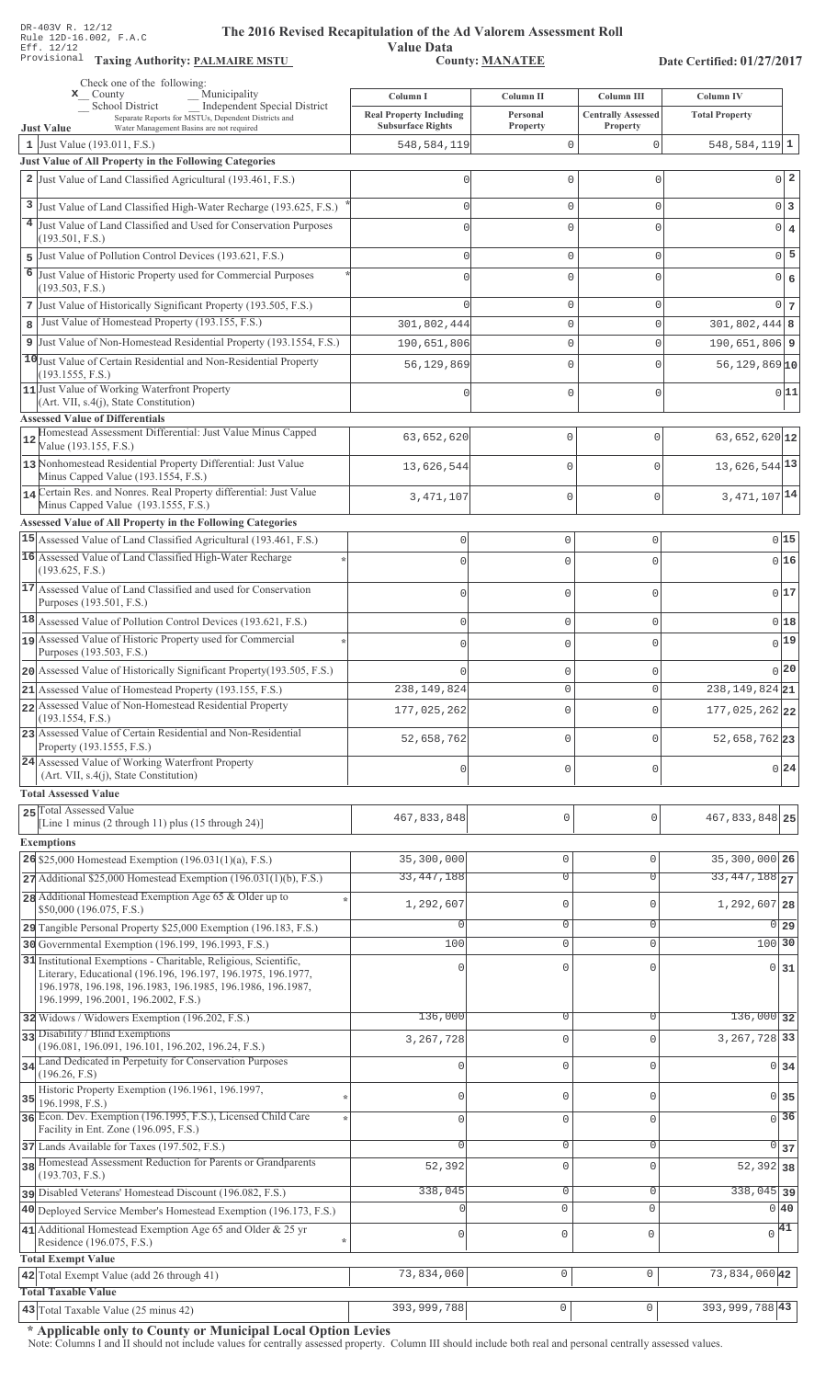**Taxing Auth** 

#### **Th** e 2016 Revised Recapitulation of the Ad Valorem Assessment Roll

**Value Data** ,%\$ \*\$ 0 ",\$1\*\*

Date Certified: 01/27/2017

|    | Check one of the following:<br>Municipality<br>$\mathbf{x}$ County                                                               | Column I                       | Column II              | Column III                | <b>Column IV</b>             |
|----|----------------------------------------------------------------------------------------------------------------------------------|--------------------------------|------------------------|---------------------------|------------------------------|
|    | <b>School District</b><br><b>Independent Special District</b>                                                                    | <b>Real Property Including</b> | Personal               | <b>Centrally Assessed</b> | <b>Total Property</b>        |
|    | Separate Reports for MSTUs, Dependent Districts and<br>Water Management Basins are not required<br><b>Just Value</b>             | <b>Subsurface Rights</b>       | Property               | Property                  |                              |
|    | 1 Just Value (193.011, F.S.)                                                                                                     | 548,584,119                    | 0                      | $\mathbf 0$               | $548, 584, 119$ 1            |
|    | Just Value of All Property in the Following Categories                                                                           |                                |                        |                           |                              |
|    | 2 Just Value of Land Classified Agricultural (193.461, F.S.)                                                                     | 0                              | 0                      | 0                         | 0 <sup>2</sup>               |
|    | 3 Just Value of Land Classified High-Water Recharge (193.625, F.S.)                                                              | $\Omega$                       | 0                      | 0                         | $0\vert 3$                   |
|    | 4 Just Value of Land Classified and Used for Conservation Purposes                                                               | U                              | 0                      | 0                         | $0 \mid 4$                   |
|    | (193.501, F.S.)                                                                                                                  |                                |                        |                           |                              |
|    | 5 Just Value of Pollution Control Devices (193.621, F.S.)                                                                        | $\Omega$                       | $\mathbf 0$            | 0                         | $0\overline{5}$              |
| 6  | Just Value of Historic Property used for Commercial Purposes<br>(193.503, F.S.)                                                  |                                | 0                      | $\Omega$                  | $0 \big  6$                  |
|    | 7 Just Value of Historically Significant Property (193.505, F.S.)                                                                | $\cap$                         | 0                      | 0                         | 0 <sub>7</sub>               |
| 8  | Just Value of Homestead Property (193.155, F.S.)                                                                                 | 301,802,444                    | 0                      | 0                         | $301,802,444$ 8              |
|    | 9 Just Value of Non-Homestead Residential Property (193.1554, F.S.)                                                              | 190,651,806                    | 0                      | 0                         | $190,651,806$ 9              |
|    | 10 Just Value of Certain Residential and Non-Residential Property                                                                | 56,129,869                     | 0                      | 0                         | $56, 129, 869$ <sup>10</sup> |
|    | (193.1555, F.S.)                                                                                                                 |                                |                        |                           |                              |
|    | 11 Just Value of Working Waterfront Property<br>(Art. VII, s.4(j), State Constitution)                                           |                                | 0                      | 0                         | 0 11                         |
|    | <b>Assessed Value of Differentials</b>                                                                                           |                                |                        |                           |                              |
| 12 | Homestead Assessment Differential: Just Value Minus Capped                                                                       | 63,652,620                     | $\mathbf{0}$           | $\Omega$                  | $63,652,620$ 12              |
|    | Value (193.155, F.S.)<br>13 Nonhomestead Residential Property Differential: Just Value                                           |                                |                        |                           |                              |
|    | Minus Capped Value (193.1554, F.S.)                                                                                              | 13,626,544                     | $\mathbf{0}$           |                           | 13, 626, 544 13              |
|    | 14 Certain Res. and Nonres. Real Property differential: Just Value                                                               | 3, 471, 107                    | $\mathbf 0$            | $\Omega$                  | 3, 471, 107 14               |
|    | Minus Capped Value (193.1555, F.S.)                                                                                              |                                |                        |                           |                              |
|    | Assessed Value of All Property in the Following Categories<br>15 Assessed Value of Land Classified Agricultural (193.461, F.S.)  | $\mathbf 0$                    | $\mathbf 0$            | $\mathsf{O}\xspace$       | 015                          |
|    | 16 Assessed Value of Land Classified High-Water Recharge                                                                         |                                |                        |                           |                              |
|    | (193.625, F.S.)                                                                                                                  | $\bigcap$                      | $\Omega$               | $\Omega$                  | 016                          |
|    | 17 Assessed Value of Land Classified and used for Conservation                                                                   | $\sqrt{ }$                     | $\mathbf{0}$           | $\Omega$                  | 017                          |
|    | Purposes (193.501, F.S.)                                                                                                         |                                |                        |                           |                              |
|    | $18$ Assessed Value of Pollution Control Devices (193.621, F.S.)                                                                 | $\Omega$                       | $\mathbf 0$            | 0                         | 018                          |
|    | 19 Assessed Value of Historic Property used for Commercial<br>Purposes (193.503, F.S.)                                           | $\bigcap$                      | $\mathbf 0$            | 0                         | 0 19                         |
|    | 20 Assessed Value of Historically Significant Property (193.505, F.S.)                                                           |                                | 0                      | 0                         | 0 20                         |
|    | 21 Assessed Value of Homestead Property (193.155, F.S.)                                                                          | 238, 149, 824                  | $\mathbf 0$            | $\circ$                   | 238, 149, 824 21             |
|    | 22 Assessed Value of Non-Homestead Residential Property                                                                          | 177,025,262                    | $\mathbf 0$            | $\Omega$                  | $177,025,262$ 22             |
|    | (193.1554, F.S.)                                                                                                                 |                                |                        |                           |                              |
|    | 23 Assessed Value of Certain Residential and Non-Residential<br>Property (193.1555, F.S.)                                        | 52,658,762                     | $\mathbf{0}$           |                           | $52,658,762$  23             |
|    | 24 Assessed Value of Working Waterfront Property                                                                                 | $\cap$                         | $\circ$                | $\Omega$                  | 0 24                         |
|    | (Art. VII, s.4(j), State Constitution)                                                                                           |                                |                        |                           |                              |
|    | <b>Total Assessed Value</b>                                                                                                      |                                |                        |                           |                              |
|    | 25 Total Assessed Value<br>[Line 1 minus (2 through 11) plus (15 through 24)]                                                    | 467, 833, 848                  | 0                      | 0                         | 467, 833, 848 25             |
|    | <b>Exemptions</b>                                                                                                                |                                |                        |                           |                              |
|    | 26 \$25,000 Homestead Exemption (196.031(1)(a), F.S.)                                                                            | 35,300,000                     | $\mathbf 0$            | $\circ$                   | 35,300,000 26                |
|    | $27$ Additional \$25,000 Homestead Exemption (196.031(1)(b), F.S.)                                                               | 33, 447, 188                   | $\overline{0}$         | $\Omega$                  | 33, 447, 188 27              |
|    | 28 Additional Homestead Exemption Age 65 & Older up to                                                                           |                                |                        | $\Omega$                  |                              |
|    | \$50,000 (196.075, F.S.)                                                                                                         | 1,292,607                      | $\mathbf 0$            |                           | 1,292,607 28                 |
|    | 29 Tangible Personal Property \$25,000 Exemption (196.183, F.S.)                                                                 |                                | $\overline{0}$         | 0                         | $\overline{0 29}$            |
|    | 30 Governmental Exemption (196.199, 196.1993, F.S.)                                                                              | 100                            | $\mathbf 0$            | $\mathbf{0}$              | 100 30                       |
|    | 31 Institutional Exemptions - Charitable, Religious, Scientific,<br>Literary, Educational (196.196, 196.197, 196.1975, 196.1977, |                                | $\mathbf{0}$           |                           | $0 \overline{\smash{31}}$    |
|    | 196.1978, 196.198, 196.1983, 196.1985, 196.1986, 196.1987,                                                                       |                                |                        |                           |                              |
|    | 196.1999, 196.2001, 196.2002, F.S.)<br>32 Widows / Widowers Exemption (196.202, F.S.)                                            | 136,000                        | 0                      | $\Omega$                  | $136,000$ 32                 |
|    | 33 Disability / Blind Exemptions                                                                                                 |                                |                        |                           |                              |
|    | (196.081, 196.091, 196.101, 196.202, 196.24, F.S.)                                                                               | 3, 267, 728                    | $\mathbf 0$            | $\Omega$                  | 3, 267, 728 33               |
|    | 34 Land Dedicated in Perpetuity for Conservation Purposes<br>(196.26, F.S)                                                       |                                | $\mathbf 0$            | $\cap$                    | 0 34                         |
|    | Historic Property Exemption (196.1961, 196.1997,                                                                                 |                                |                        |                           |                              |
| 35 | 196.1998, F.S.)                                                                                                                  | U                              | $\mathbf 0$            | $\cap$                    | 0 35                         |
|    | 36 Econ. Dev. Exemption (196.1995, F.S.), Licensed Child Care<br>Facility in Ent. Zone (196.095, F.S.)                           | 0                              | $\mathbf 0$            | $\mathbf{0}$              | $\overline{0}$ 36            |
|    | 37 Lands Available for Taxes (197.502, F.S.)                                                                                     |                                | $\mathbf 0$            | 0                         | $\circ$<br>37                |
|    | 38 Homestead Assessment Reduction for Parents or Grandparents                                                                    | 52,392                         | $\mathbf 0$            | $\mathbf{0}$              | $52, 392$ 38                 |
|    | (193.703, F.S.)                                                                                                                  | 338,045                        |                        |                           | $338,045$ 39                 |
|    | pisabled Veterans' Homestead Discount (196.082, F.S.)<br>40 Deployed Service Member's Homestead Exemption (196.173, F.S.)        |                                | $\mathbf 0$<br>$\circ$ | 0<br>$\Omega$             | 0 40                         |
|    | 41 Additional Homestead Exemption Age 65 and Older & 25 yr                                                                       |                                |                        |                           | $\sqrt{41}$                  |
|    | Residence (196.075, F.S.)<br>÷                                                                                                   | 0                              | $\mathsf{O}\xspace$    | $\mathbf 0$               |                              |
|    | <b>Total Exempt Value</b>                                                                                                        |                                |                        |                           |                              |
|    | 42 Total Exempt Value (add 26 through 41)                                                                                        | 73,834,060                     | $\circ$                | $\mathbf 0$               | 73,834,060 42                |
|    | <b>Total Taxable Value</b>                                                                                                       |                                |                        |                           |                              |
|    | 43 Total Taxable Value (25 minus 42)                                                                                             | 393,999,788                    | 0                      | 0                         | 393,999,788 $ 43 $           |

\* Applicable only to County or Municipal Local Option Levies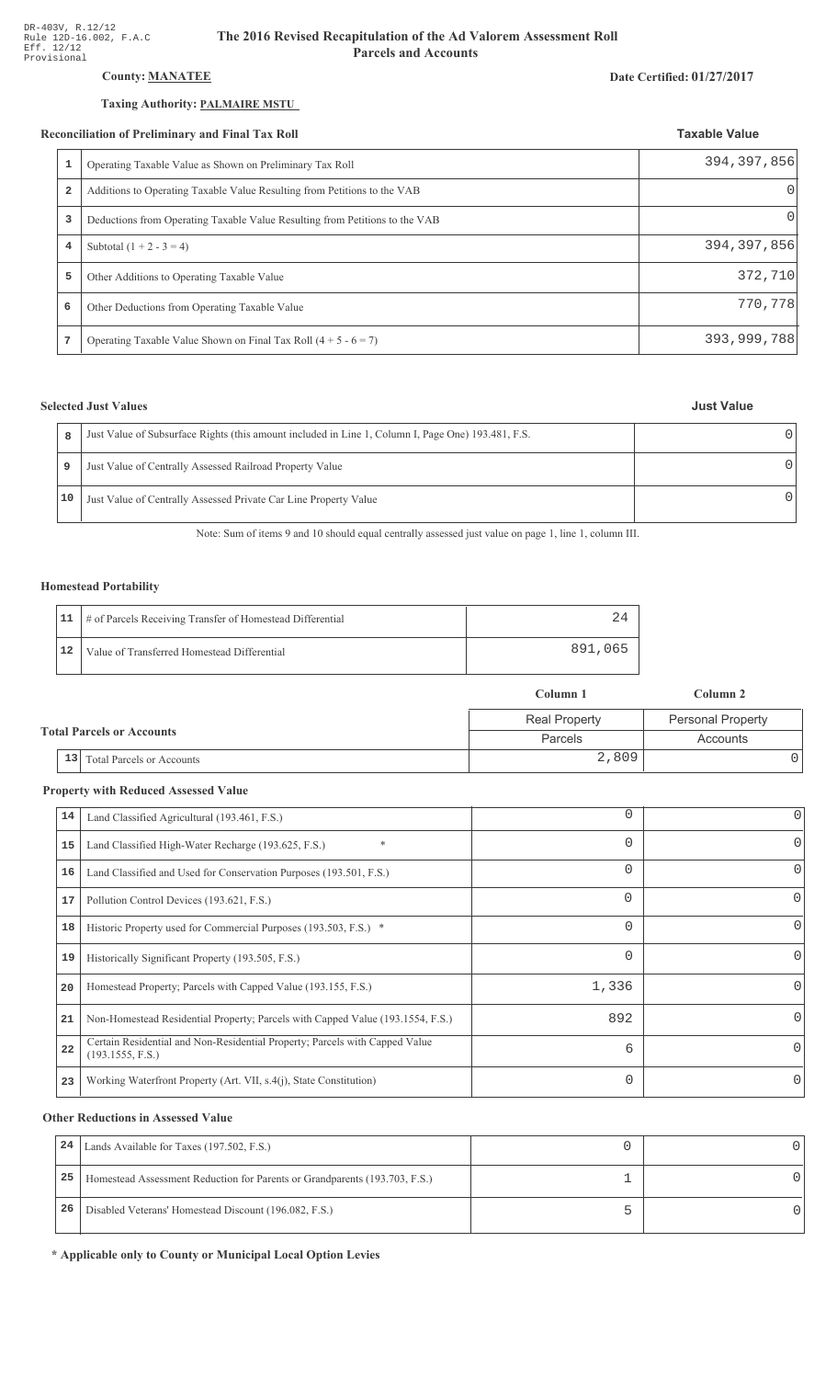# **County: MANATEE**

# Taxing Authority: PALMAIRE MSTU

#### **Reconciliation of Preliminary and Final Tax Roll**

| Date Certified: 01/27/2017 |  |
|----------------------------|--|
|----------------------------|--|

**Just Value** 

 $\overline{0}$ 

 $\frac{1}{\sqrt{1-\frac{1}{2}}\left(1-\frac{1}{2}\right)}$ 

 $\frac{1}{\sqrt{2}}$ 

|                | econciliation of Preliminary and Final Tax Roll                             | <b>Taxable Value</b> |
|----------------|-----------------------------------------------------------------------------|----------------------|
|                | Operating Taxable Value as Shown on Preliminary Tax Roll                    | 394, 397, 856        |
| $\overline{2}$ | Additions to Operating Taxable Value Resulting from Petitions to the VAB    |                      |
| 3              | Deductions from Operating Taxable Value Resulting from Petitions to the VAB | $\Omega$             |
| $\overline{4}$ | Subtotal $(1 + 2 - 3 = 4)$                                                  | 394, 397, 856        |
| 5              | Other Additions to Operating Taxable Value                                  | 372,710              |
| 6              | Other Deductions from Operating Taxable Value                               | 770,778              |
| 7              | Operating Taxable Value Shown on Final Tax Roll $(4 + 5 - 6 = 7)$           | 393,999,788          |

# **Selected Just Values**

 $\bf 8$ 

 $\mathsf g$ 

 $10$ 

| Just Value of Subsurface Rights (this amount included in Line 1, Column I, Page One) 193.481, F.S. |  |
|----------------------------------------------------------------------------------------------------|--|
| Just Value of Centrally Assessed Railroad Property Value                                           |  |
| Just Value of Centrally Assessed Private Car Line Property Value                                   |  |

Note: Sum of items 9 and 10 should equal centrally assessed just value on page 1, line 1, column III.

### **Homestead Portability**

|    | 11   # of Parcels Receiving Transfer of Homestead Differential |         |
|----|----------------------------------------------------------------|---------|
| 12 | Value of Transferred Homestead Differential                    | 891,065 |

|                                        | Column 1             | Column 2                 |  |
|----------------------------------------|----------------------|--------------------------|--|
|                                        | <b>Real Property</b> | <b>Personal Property</b> |  |
| <b>Total Parcels or Accounts</b>       | Parcels              | Accounts                 |  |
| 13<br><b>Total Parcels or Accounts</b> | 2,809                |                          |  |

# **Property with Reduced Assessed Value**

| 14 | Land Classified Agricultural (193.461, F.S.)                                                    | $\Omega$    | 0        |
|----|-------------------------------------------------------------------------------------------------|-------------|----------|
| 15 | Land Classified High-Water Recharge (193.625, F.S.)                                             | $\Omega$    | $\Omega$ |
| 16 | Land Classified and Used for Conservation Purposes (193.501, F.S.)                              | $\Omega$    | 0        |
| 17 | Pollution Control Devices (193.621, F.S.)                                                       | 0           | $\Omega$ |
| 18 | Historic Property used for Commercial Purposes (193.503, F.S.) *                                | $\Omega$    | 0        |
| 19 | Historically Significant Property (193.505, F.S.)                                               | $\mathbf 0$ | $\Omega$ |
| 20 | Homestead Property; Parcels with Capped Value (193.155, F.S.)                                   | 1,336       | 0        |
| 21 | Non-Homestead Residential Property; Parcels with Capped Value (193.1554, F.S.)                  | 892         | 0        |
| 22 | Certain Residential and Non-Residential Property; Parcels with Capped Value<br>(193.1555, F.S.) | 6           | 0        |
| 23 | Working Waterfront Property (Art. VII, s.4(j), State Constitution)                              | $\Omega$    | 0        |

# **Other Reductions in Assessed Value**

| 24 | Lands Available for Taxes (197.502, F.S.)                                  |  |
|----|----------------------------------------------------------------------------|--|
| 25 | Homestead Assessment Reduction for Parents or Grandparents (193.703, F.S.) |  |
| 26 | Disabled Veterans' Homestead Discount (196.082, F.S.)                      |  |

\* Applicable only to County or Municipal Local Option Levies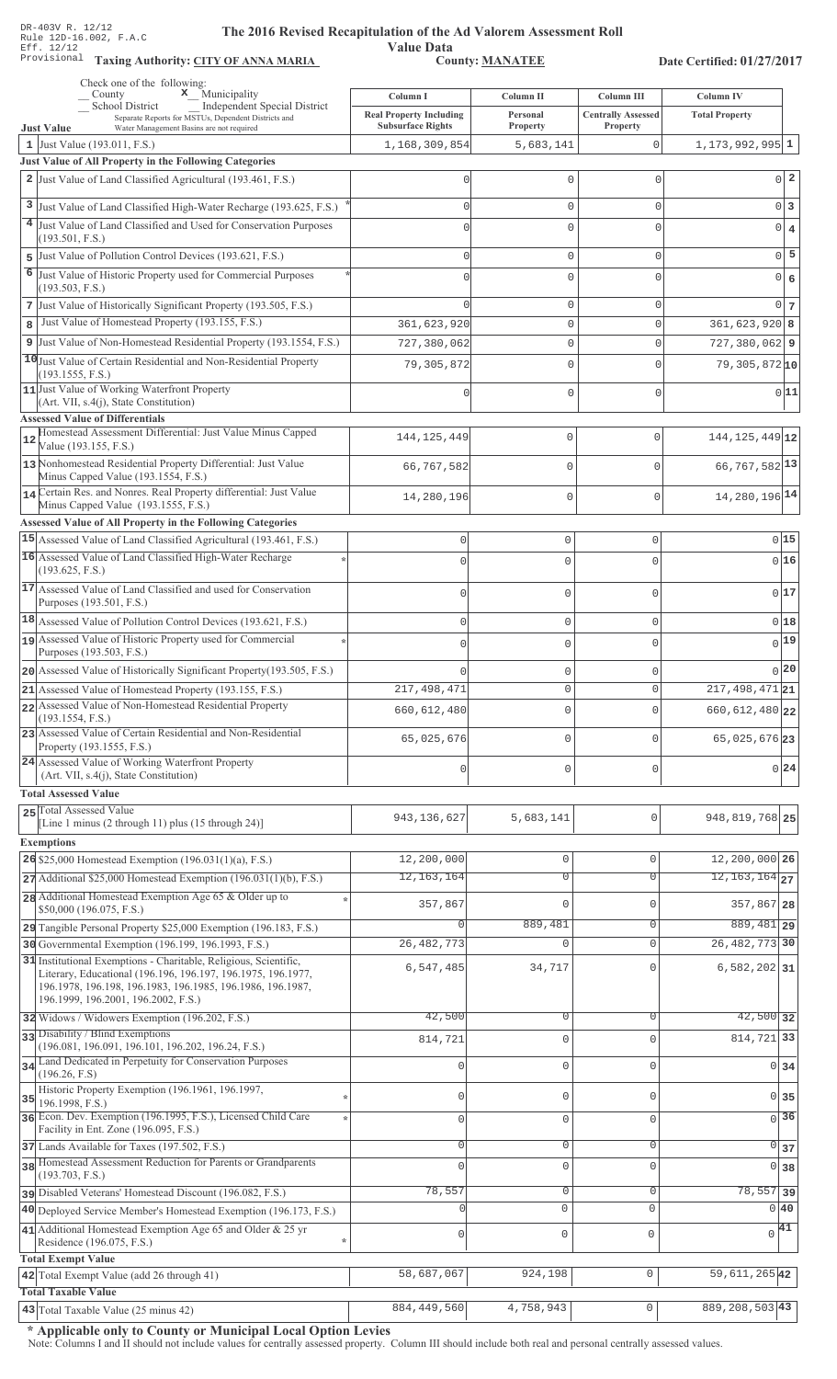Value Data<br>County: MANATEE Taxing Authority: CITY OF ANNA MARIA County: MANATEE

Date Certified: 01/27/2017

| Check one of the following:<br>$\mathbf{x}$ Municipality<br>County                                                                                                | Column I                                                   | Column II            | Column III                            | Column IV                        |
|-------------------------------------------------------------------------------------------------------------------------------------------------------------------|------------------------------------------------------------|----------------------|---------------------------------------|----------------------------------|
| Independent Special District<br><b>School District</b><br>Separate Reports for MSTUs, Dependent Districts and<br>Water Management Basins are not required         | <b>Real Property Including</b><br><b>Subsurface Rights</b> | Personal<br>Property | <b>Centrally Assessed</b><br>Property | <b>Total Property</b>            |
| <b>Just Value</b><br>1 Just Value $(193.011, F.S.)$                                                                                                               | 1,168,309,854                                              | 5,683,141            | 0                                     | $1, 173, 992, 995$ 1             |
| Just Value of All Property in the Following Categories                                                                                                            |                                                            |                      |                                       |                                  |
| 2 Just Value of Land Classified Agricultural (193.461, F.S.)                                                                                                      |                                                            | 0                    | $\mathbf{0}$                          | $0\vert 2$                       |
| 3 Just Value of Land Classified High-Water Recharge (193.625, F.S.)                                                                                               |                                                            | $\Omega$             | $\mathbf{0}$                          | $0\vert 3$                       |
| 4 Just Value of Land Classified and Used for Conservation Purposes                                                                                                |                                                            | U                    | C                                     | $\bf{4}$<br> 0                   |
| (193.501, F.S.)                                                                                                                                                   |                                                            |                      |                                       |                                  |
| Just Value of Pollution Control Devices (193.621, F.S.)<br>5                                                                                                      |                                                            | 0                    | $\Omega$                              | $0\overline{5}$                  |
| 6<br>Just Value of Historic Property used for Commercial Purposes<br>(193.503, F.S.)                                                                              |                                                            | $\Omega$             | $\Omega$                              | $\epsilon$<br> 0                 |
| 7 Just Value of Historically Significant Property (193.505, F.S.)                                                                                                 |                                                            | 0                    | $\mathbf{0}$                          | $0\overline{7}$                  |
| Just Value of Homestead Property (193.155, F.S.)<br>8                                                                                                             | 361,623,920                                                | 0                    | $\mathsf{O}\xspace$                   | $361,623,920$ 8                  |
| 9 Just Value of Non-Homestead Residential Property (193.1554, F.S.)                                                                                               | 727,380,062                                                | 0                    | $\Omega$                              | $727,380,062$ 9                  |
| 10 Just Value of Certain Residential and Non-Residential Property                                                                                                 | 79, 305, 872                                               | 0                    | $\mathbf{0}$                          | $79,305,872$ <sup>10</sup>       |
| (193.1555, F.S.)                                                                                                                                                  |                                                            |                      |                                       |                                  |
| 11 Just Value of Working Waterfront Property<br>(Art. VII, s.4(j), State Constitution)                                                                            |                                                            | 0                    | $\mathbf 0$                           | 0 11                             |
| <b>Assessed Value of Differentials</b>                                                                                                                            |                                                            |                      |                                       |                                  |
| Homestead Assessment Differential: Just Value Minus Capped<br>12<br>Value (193.155, F.S.)                                                                         | 144, 125, 449                                              | 0                    | $\bigcap$                             | 144, 125, 449 12                 |
| 13 Nonhomestead Residential Property Differential: Just Value<br>Minus Capped Value (193.1554, F.S.)                                                              | 66,767,582                                                 | $\mathbf{0}$         | $\bigcap$                             | 66, 767, 582 13                  |
| 14 Certain Res. and Nonres. Real Property differential: Just Value                                                                                                |                                                            | $\mathbf 0$          | $\mathbf{0}$                          | 14, 280, 196 14                  |
| Minus Capped Value (193.1555, F.S.)                                                                                                                               | 14,280,196                                                 |                      |                                       |                                  |
| <b>Assessed Value of All Property in the Following Categories</b>                                                                                                 |                                                            |                      |                                       |                                  |
| 15 Assessed Value of Land Classified Agricultural (193.461, F.S.)                                                                                                 | $\mathbb O$                                                | 0                    | $\circ$                               | 0 15                             |
| 16 Assessed Value of Land Classified High-Water Recharge<br>(193.625, F.S.)                                                                                       | $\Omega$                                                   | 0                    | $\Omega$                              | 016                              |
| 17 Assessed Value of Land Classified and used for Conservation<br>Purposes (193.501, F.S.)                                                                        | $\Omega$                                                   | 0                    | $\mathbf 0$                           | 017                              |
| 18 Assessed Value of Pollution Control Devices (193.621, F.S.)                                                                                                    | $\Omega$                                                   | 0                    | $\mathbf{0}$                          | 0 18                             |
| 19 Assessed Value of Historic Property used for Commercial                                                                                                        | $\Omega$                                                   | 0                    | $\Omega$                              | $0$ 19                           |
| Purposes (193.503, F.S.)                                                                                                                                          |                                                            |                      |                                       |                                  |
| 20 Assessed Value of Historically Significant Property (193.505, F.S.)                                                                                            |                                                            | 0                    | 0                                     | 0 20                             |
| 21 Assessed Value of Homestead Property (193.155, F.S.)                                                                                                           | 217, 498, 471                                              | 0                    | $\Omega$                              | $217,498,471$ 21                 |
| 22 Assessed Value of Non-Homestead Residential Property<br>(193.1554, F.S.)                                                                                       | 660, 612, 480                                              | 0                    | 0                                     | 660, 612, 480 22                 |
| 23 Assessed Value of Certain Residential and Non-Residential<br>Property (193.1555, F.S.)                                                                         | 65,025,676                                                 | 0                    | $\Omega$                              | 65,025,676 23                    |
| 24 Assessed Value of Working Waterfront Property                                                                                                                  | $\Omega$                                                   | 0                    | 0                                     | $0\vert 24$                      |
| (Art. VII, s.4(j), State Constitution)                                                                                                                            |                                                            |                      |                                       |                                  |
| <b>Total Assessed Value</b><br>25 Total Assessed Value                                                                                                            |                                                            |                      |                                       |                                  |
| [Line 1 minus (2 through 11) plus (15 through 24)]                                                                                                                | 943, 136, 627                                              | 5,683,141            | $\Omega$                              | 948, 819, 768 25                 |
| <b>Exemptions</b>                                                                                                                                                 |                                                            |                      |                                       |                                  |
| 26 \$25,000 Homestead Exemption $(196.031(1)(a), F.S.)$                                                                                                           | 12,200,000                                                 | $\mathbb O$          | $\mathbf{0}$                          | 12,200,000 26                    |
| $27$ Additional \$25,000 Homestead Exemption (196.031(1)(b), F.S.)                                                                                                | 12, 163, 164                                               | $\overline{0}$       | $\overline{0}$                        | $12, 163, 164$ <sub>27</sub>     |
| 28 Additional Homestead Exemption Age 65 & Older up to                                                                                                            | 357,867                                                    | $\mathbf{0}$         | $\Omega$                              | 357,867 28                       |
| \$50,000 (196.075, F.S.)<br>29 Tangible Personal Property \$25,000 Exemption (196.183, F.S.)                                                                      | $\Omega$                                                   | 889,481              | $\overline{0}$                        | 889, 481 29                      |
| 30 Governmental Exemption (196.199, 196.1993, F.S.)                                                                                                               | 26, 482, 773                                               | $\mathbf 0$          | $\mathbf{0}$                          | 26, 482, 773 30                  |
| 31 Institutional Exemptions - Charitable, Religious, Scientific,                                                                                                  |                                                            |                      | $\Omega$                              |                                  |
| Literary, Educational (196.196, 196.197, 196.1975, 196.1977,<br>196.1978, 196.198, 196.1983, 196.1985, 196.1986, 196.1987,<br>196.1999, 196.2001, 196.2002, F.S.) | 6,547,485                                                  | 34,717               |                                       | $6,582,202$ 31                   |
| 32 Widows / Widowers Exemption (196.202, F.S.)                                                                                                                    | 42,500                                                     | $\overline{0}$       | $\Omega$                              | $42,500$ 32                      |
| 33 Disability / Blind Exemptions                                                                                                                                  | 814,721                                                    | $\mathbf{0}$         | $\Omega$                              | 814,721 33                       |
| (196.081, 196.091, 196.101, 196.202, 196.24, F.S.)<br>34 Land Dedicated in Perpetuity for Conservation Purposes                                                   |                                                            |                      |                                       |                                  |
| (196.26, F.S)                                                                                                                                                     |                                                            | $\mathbf 0$          | $\Omega$                              | $0 \overline{\smash{34}}$        |
| Historic Property Exemption (196.1961, 196.1997,<br>35<br>196.1998, F.S.)                                                                                         | $\Omega$                                                   | $\mathbb O$          | $\mathbf{0}$                          | $0 \overline{\smash{\big)}\ 35}$ |
| 36 Econ. Dev. Exemption (196.1995, F.S.), Licensed Child Care                                                                                                     | $\mathbf{0}$                                               | $\mathsf{O}\xspace$  | $\mathbf{0}$                          | $\overline{0}$ 36                |
| Facility in Ent. Zone (196.095, F.S.)                                                                                                                             |                                                            |                      |                                       |                                  |
| 37 Lands Available for Taxes (197.502, F.S.)<br>38 Homestead Assessment Reduction for Parents or Grandparents                                                     | $\Omega$                                                   | $\circ$              | $\mathbf 0$                           | $\overline{0}$ 37                |
| (193.703, F.S.)                                                                                                                                                   | $\Omega$                                                   | $\mathbf 0$          | $\Omega$                              | 0 38                             |
| pisabled Veterans' Homestead Discount (196.082, F.S.)                                                                                                             | 78,557                                                     | $\mathsf{O}\xspace$  | $\mathbf{0}$                          | $\overline{78,557}$ 39           |
| 40 Deployed Service Member's Homestead Exemption (196.173, F.S.)                                                                                                  |                                                            | $\mathbf 0$          | $\mathbf{0}$                          | $0\vert 40$                      |
| 41 Additional Homestead Exemption Age 65 and Older & 25 yr<br>Residence (196.075, F.S.)                                                                           | $\mathbf{0}$                                               | $\mathsf{O}\xspace$  | $\mathbf 0$                           | $\sqrt{41}$                      |
| <b>Total Exempt Value</b>                                                                                                                                         |                                                            |                      |                                       |                                  |
| $\mathbb O$<br>59, 611, 265 42<br>42 Total Exempt Value (add 26 through 41)<br>58,687,067<br>924,198                                                              |                                                            |                      |                                       |                                  |
| <b>Total Taxable Value</b>                                                                                                                                        |                                                            |                      |                                       |                                  |
| 43 Total Taxable Value (25 minus 42)                                                                                                                              | 884, 449, 560                                              | 4,758,943            | 0                                     | 889, 208, 503 43                 |

\* Applicable only to County or Municipal Local Option Levies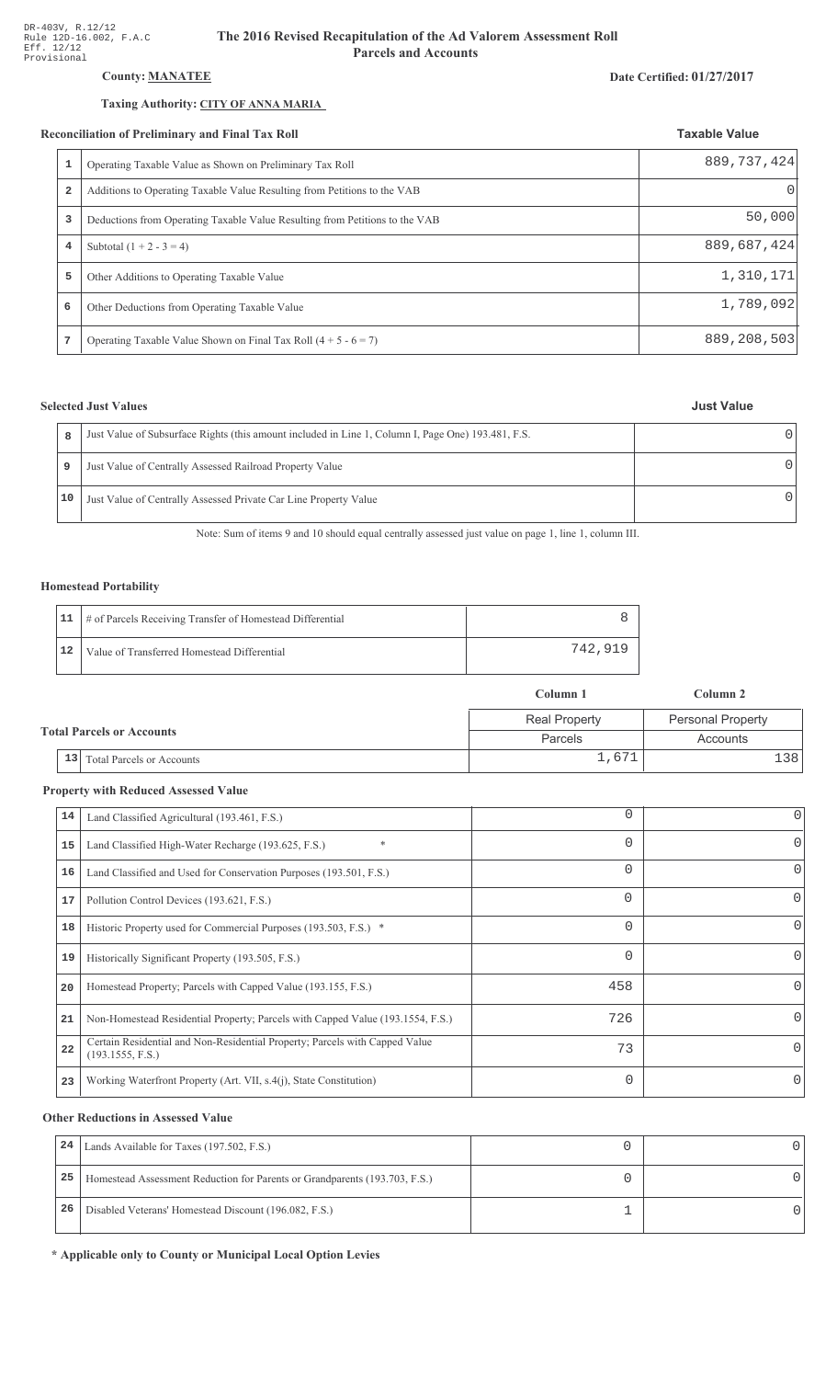# **County: MANATEE**

# Taxing Authority: CITY OF ANNA MARIA

#### Reconciliation of Preliminary and Final Tax Roll

|                | conciliation of Preliminary and Final Tax Roll                              | <b>Taxable Value</b> |
|----------------|-----------------------------------------------------------------------------|----------------------|
|                | Operating Taxable Value as Shown on Preliminary Tax Roll                    | 889, 737, 424        |
| $\overline{a}$ | Additions to Operating Taxable Value Resulting from Petitions to the VAB    | $\Omega$             |
| 3              | Deductions from Operating Taxable Value Resulting from Petitions to the VAB | 50,000               |
| 4              | Subtotal $(1 + 2 - 3 = 4)$                                                  | 889,687,424          |
| 5              | Other Additions to Operating Taxable Value                                  | 1,310,171            |
| 6              | Other Deductions from Operating Taxable Value                               | 1,789,092            |
|                | Operating Taxable Value Shown on Final Tax Roll $(4 + 5 - 6 = 7)$           | 889, 208, 503        |

# **Selected Just Values**

|    | Just Value of Subsurface Rights (this amount included in Line 1, Column I, Page One) 193.481, F.S. |  |
|----|----------------------------------------------------------------------------------------------------|--|
| 9  | Just Value of Centrally Assessed Railroad Property Value                                           |  |
| 10 | Just Value of Centrally Assessed Private Car Line Property Value                                   |  |

Note: Sum of items 9 and 10 should equal centrally assessed just value on page 1, line 1, column III.

### **Homestead Portability**

|    | 11   # of Parcels Receiving Transfer of Homestead Differential |         |
|----|----------------------------------------------------------------|---------|
| 12 | Value of Transferred Homestead Differential                    | 742.919 |

|                                  |    |                                  | Column 1             | Column 2                 |
|----------------------------------|----|----------------------------------|----------------------|--------------------------|
| <b>Total Parcels or Accounts</b> |    |                                  | <b>Real Property</b> | <b>Personal Property</b> |
|                                  |    |                                  | Parcels              | Accounts                 |
|                                  | 13 | <b>Total Parcels or Accounts</b> | 1,671                | .381                     |

### **Property with Reduced Assessed Value**

|    |                                                                                                 | 0        | 0        |
|----|-------------------------------------------------------------------------------------------------|----------|----------|
| 14 | Land Classified Agricultural (193.461, F.S.)                                                    |          |          |
| 15 | $\ast$<br>Land Classified High-Water Recharge (193.625, F.S.)                                   | $\Omega$ | 0        |
| 16 | Land Classified and Used for Conservation Purposes (193.501, F.S.)                              | $\Omega$ |          |
| 17 | Pollution Control Devices (193.621, F.S.)                                                       | 0        | 0        |
| 18 | Historic Property used for Commercial Purposes (193.503, F.S.) *                                | $\Omega$ |          |
| 19 | Historically Significant Property (193.505, F.S.)                                               | $\Omega$ | 0        |
| 20 | Homestead Property; Parcels with Capped Value (193.155, F.S.)                                   | 458      | 0        |
| 21 | Non-Homestead Residential Property; Parcels with Capped Value (193.1554, F.S.)                  | 726      | 0        |
| 22 | Certain Residential and Non-Residential Property; Parcels with Capped Value<br>(193.1555, F.S.) | 73       | $\Omega$ |
| 23 | Working Waterfront Property (Art. VII, s.4(j), State Constitution)                              | $\Omega$ |          |

# **Other Reductions in Assessed Value**

| 24 | Lands Available for Taxes (197.502, F.S.)                                  |  |
|----|----------------------------------------------------------------------------|--|
| 25 | Homestead Assessment Reduction for Parents or Grandparents (193.703, F.S.) |  |
| 26 | Disabled Veterans' Homestead Discount (196.082, F.S.)                      |  |

\* Applicable only to County or Municipal Local Option Levies

#### Date Certified: 01/27/2017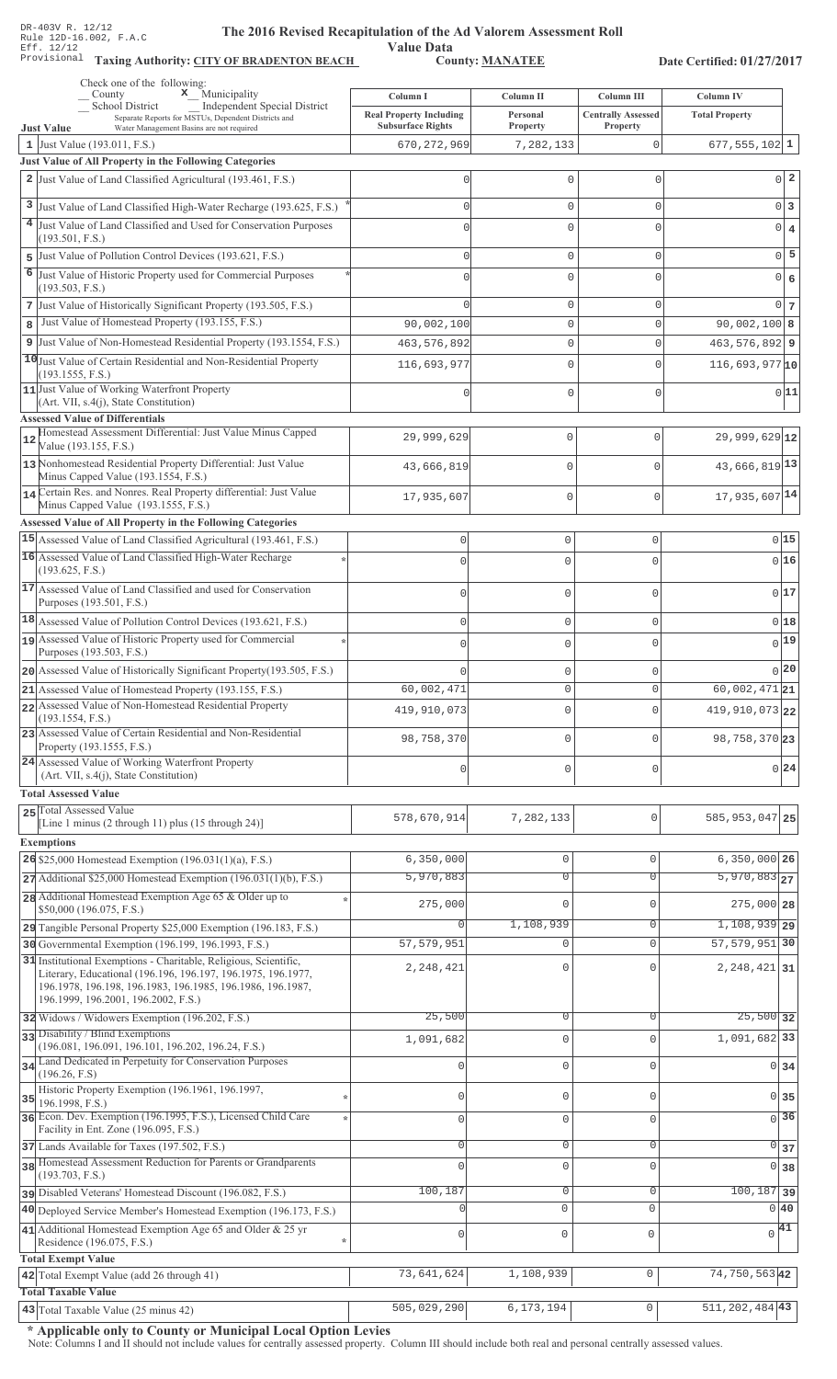Value Data<br>County: MANATEE Taxing Authority: CITY OF BRADENTON BEACH County: MANATEE

Date Certified: 01/27/2017

|    | Check one of the following:<br>$\mathbf x$ Municipality<br>County                                                                                                 | Column I                                                   | Column II            | Column III                            | Column IV                        |                   |
|----|-------------------------------------------------------------------------------------------------------------------------------------------------------------------|------------------------------------------------------------|----------------------|---------------------------------------|----------------------------------|-------------------|
|    | School District<br><b>Independent Special District</b><br>Separate Reports for MSTUs, Dependent Districts and                                                     | <b>Real Property Including</b><br><b>Subsurface Rights</b> | Personal<br>Property | <b>Centrally Assessed</b><br>Property | <b>Total Property</b>            |                   |
|    | Water Management Basins are not required<br><b>Just Value</b><br>1 Just Value $(193.011, F.S.)$                                                                   | 670, 272, 969                                              | 7,282,133            | 0                                     | $677, 555, 102$ 1                |                   |
|    | Just Value of All Property in the Following Categories                                                                                                            |                                                            |                      |                                       |                                  |                   |
|    | 2 Just Value of Land Classified Agricultural (193.461, F.S.)                                                                                                      |                                                            | $\mathbf{0}$         | 0                                     |                                  | $0\vert 2$        |
|    | 3 Just Value of Land Classified High-Water Recharge (193.625, F.S.)                                                                                               |                                                            | $\mathbf 0$          | 0                                     |                                  | $0\vert 3$        |
|    | 4 Just Value of Land Classified and Used for Conservation Purposes                                                                                                |                                                            | $\Omega$             | $\cap$                                |                                  | $0 \mid 4$        |
|    | (193.501, F.S.)                                                                                                                                                   |                                                            |                      |                                       |                                  |                   |
| 5  | Just Value of Pollution Control Devices (193.621, F.S.)                                                                                                           |                                                            | $\mathbf 0$          | $\Omega$                              |                                  | $0\overline{5}$   |
| 6  | Just Value of Historic Property used for Commercial Purposes<br>(193.503, F.S.)                                                                                   |                                                            | $\Omega$             |                                       |                                  | $0 \big  6$       |
|    | 7 Just Value of Historically Significant Property (193.505, F.S.)                                                                                                 |                                                            | $\mathbf 0$          | $\Omega$                              |                                  | $0\overline{7}$   |
| 8  | Just Value of Homestead Property (193.155, F.S.)                                                                                                                  | 90,002,100                                                 | $\mathbf 0$          | $\Omega$                              | 90,002,100 8                     |                   |
| 9  | Just Value of Non-Homestead Residential Property (193.1554, F.S.)                                                                                                 | 463, 576, 892                                              | $\mathbf 0$          | $\Omega$                              | $463,576,892$ 9                  |                   |
|    | 10 Just Value of Certain Residential and Non-Residential Property                                                                                                 | 116,693,977                                                | $\mathbf 0$          | $\Omega$                              | $116,693,977$ <sup>10</sup>      |                   |
|    | (193.1555, F.S.)<br>11 Just Value of Working Waterfront Property                                                                                                  |                                                            |                      |                                       |                                  | 0 11              |
|    | (Art. VII, s.4(j), State Constitution)                                                                                                                            |                                                            | $\Omega$             | $\Omega$                              |                                  |                   |
|    | <b>Assessed Value of Differentials</b><br>Homestead Assessment Differential: Just Value Minus Capped                                                              |                                                            |                      |                                       |                                  |                   |
| 12 | Value (193.155, F.S.)                                                                                                                                             | 29,999,629                                                 | 0                    | $\mathbf{0}$                          | $29,999,629$ <sup>12</sup>       |                   |
|    | 13 Nonhomestead Residential Property Differential: Just Value<br>Minus Capped Value (193.1554, F.S.)                                                              | 43,666,819                                                 | 0                    | $\Omega$                              | 43,666,819 13                    |                   |
|    | 14 Certain Res. and Nonres. Real Property differential: Just Value                                                                                                | 17,935,607                                                 | 0                    | $\mathbf{0}$                          | 17,935,607 14                    |                   |
|    | Minus Capped Value (193.1555, F.S.)<br><b>Assessed Value of All Property in the Following Categories</b>                                                          |                                                            |                      |                                       |                                  |                   |
|    | 15 Assessed Value of Land Classified Agricultural (193.461, F.S.)                                                                                                 | 0                                                          | $\mathbf 0$          | 0                                     |                                  | $0$ 15            |
|    | 16 Assessed Value of Land Classified High-Water Recharge                                                                                                          | $\Omega$                                                   | $\mathbf 0$          | 0                                     |                                  | $0$ 16            |
|    | (193.625, F.S.)                                                                                                                                                   |                                                            |                      |                                       |                                  |                   |
|    | 17 Assessed Value of Land Classified and used for Conservation<br>Purposes (193.501, F.S.)                                                                        | $\Omega$                                                   | $\mathbf 0$          | 0                                     |                                  | 017               |
|    | 18 Assessed Value of Pollution Control Devices (193.621, F.S.)                                                                                                    | $\Omega$                                                   | $\mathbf 0$          | 0                                     |                                  | 0 18              |
|    | 19 Assessed Value of Historic Property used for Commercial                                                                                                        | $\Omega$                                                   | $\mathbf 0$          | 0                                     |                                  | $0$ <sup>19</sup> |
|    | Purposes (193.503, F.S.)<br>20 Assessed Value of Historically Significant Property (193.505, F.S.)                                                                |                                                            | 0                    | 0                                     |                                  | 0 20              |
|    | 21 Assessed Value of Homestead Property (193.155, F.S.)                                                                                                           | 60,002,471                                                 | $\mathbf 0$          | 0                                     | $60,002,471$ 21                  |                   |
|    | 22 Assessed Value of Non-Homestead Residential Property                                                                                                           | 419,910,073                                                | 0                    | 0                                     | $419,910,073$ 22                 |                   |
|    | (193.1554, F.S.)<br>23 Assessed Value of Certain Residential and Non-Residential                                                                                  |                                                            |                      |                                       |                                  |                   |
|    | Property (193.1555, F.S.)                                                                                                                                         | 98,758,370                                                 | 0                    | 0                                     | 98,758,370 23                    |                   |
|    | 24 Assessed Value of Working Waterfront Property<br>(Art. VII, s.4(j), State Constitution)                                                                        | 0                                                          | $\mathbf 0$          | 0                                     |                                  | 0 24              |
|    | <b>Total Assessed Value</b>                                                                                                                                       |                                                            |                      |                                       |                                  |                   |
|    | 25 Total Assessed Value<br>[Line 1 minus (2 through 11) plus (15 through 24)]                                                                                     | 578,670,914                                                | 7,282,133            | $\mathbf{0}$                          | 585, 953, 047 25                 |                   |
|    | <b>Exemptions</b>                                                                                                                                                 |                                                            |                      |                                       |                                  |                   |
|    | 26 \$25,000 Homestead Exemption $(196.031(1)(a), F.S.)$                                                                                                           | 6,350,000                                                  | 0                    | $\mathbf 0$                           | $6,350,000$ 26                   |                   |
|    | $27$ Additional \$25,000 Homestead Exemption (196.031(1)(b), F.S.)                                                                                                | 5,970,883                                                  | $\overline{0}$       | $\overline{0}$                        | $5,970,883$ <sub>27</sub>        |                   |
|    | 28 Additional Homestead Exemption Age 65 & Older up to                                                                                                            | 275,000                                                    | $\Omega$             | $\Omega$                              | $275,000$ 28                     |                   |
|    | \$50,000 (196.075, F.S.)                                                                                                                                          | $\mathbf{0}$                                               | 1,108,939            | 0                                     | $1,108,939$ 29                   |                   |
|    | 29 Tangible Personal Property \$25,000 Exemption (196.183, F.S.)<br>30 Governmental Exemption (196.199, 196.1993, F.S.)                                           | 57, 579, 951                                               | $\mathbf 0$          | $\Omega$                              | 57, 579, 951 30                  |                   |
|    | 31 Institutional Exemptions - Charitable, Religious, Scientific,                                                                                                  |                                                            |                      | U                                     |                                  |                   |
|    | Literary, Educational (196.196, 196.197, 196.1975, 196.1977,<br>196.1978, 196.198, 196.1983, 196.1985, 196.1986, 196.1987,<br>196.1999, 196.2001, 196.2002, F.S.) | 2, 248, 421                                                | $\Omega$             |                                       | 2, 248, 421 31                   |                   |
|    | 32 Widows / Widowers Exemption (196.202, F.S.)                                                                                                                    | 25,500                                                     | 0                    | $\Omega$                              | $25,500$ 32                      |                   |
|    | 33 Disability / Blind Exemptions<br>(196.081, 196.091, 196.101, 196.202, 196.24, F.S.)                                                                            | 1,091,682                                                  | $\mathbf{0}$         | $\Omega$                              | 1,091,682 33                     |                   |
| 34 | Land Dedicated in Perpetuity for Conservation Purposes                                                                                                            |                                                            | $\mathbf 0$          | $\Omega$                              | 0 34                             |                   |
|    | (196.26, F.S)<br>Historic Property Exemption (196.1961, 196.1997,                                                                                                 |                                                            |                      |                                       |                                  |                   |
| 35 | 196.1998, F.S.)                                                                                                                                                   | O                                                          | 0                    | $\Omega$                              | 0 35                             |                   |
|    | 36 Econ. Dev. Exemption (196.1995, F.S.), Licensed Child Care<br>Facility in Ent. Zone (196.095, F.S.)                                                            | $\circ$                                                    | $\mathbf 0$          | $\mathbf 0$                           | $\overline{0}$ 36                |                   |
|    | 37 Lands Available for Taxes (197.502, F.S.)                                                                                                                      | $\Omega$                                                   | $\circ$              | 0                                     | $\overline{0}$ 37                |                   |
|    | 38 Homestead Assessment Reduction for Parents or Grandparents                                                                                                     |                                                            | $\mathbf 0$          | $\Omega$                              | $0 \overline{\smash{\big)}\ 38}$ |                   |
|    | (193.703, F.S.)<br>Disabled Veterans' Homestead Discount (196.082, F.S.)                                                                                          | 100,187                                                    | $\mathsf{O}\xspace$  | 0                                     | $100, 187$ 39                    |                   |
|    | 40 Deployed Service Member's Homestead Exemption (196.173, F.S.)                                                                                                  |                                                            | $\mathbf 0$          | $\mathbf 0$                           | 0 40                             |                   |
|    | 41 Additional Homestead Exemption Age 65 and Older & 25 yr                                                                                                        |                                                            |                      |                                       | $\sqrt{41}$                      |                   |
|    | Residence (196.075, F.S.)                                                                                                                                         | $\mathbf{0}$                                               | $\mathsf{O}\xspace$  | 0                                     |                                  |                   |
|    | <b>Total Exempt Value</b>                                                                                                                                         |                                                            | 1,108,939            | $\mathsf{O}\xspace$                   | 74,750,56342                     |                   |
|    | 42 Total Exempt Value (add 26 through 41)<br><b>Total Taxable Value</b>                                                                                           | 73,641,624                                                 |                      |                                       |                                  |                   |
|    | $ 43 $ Total Taxable Value (25 minus 42)                                                                                                                          | 505,029,290                                                | 6, 173, 194          | $\mathsf{O}\xspace$                   | $\overline{511,202,484 43}$      |                   |

\* Applicable only to County or Municipal Local Option Levies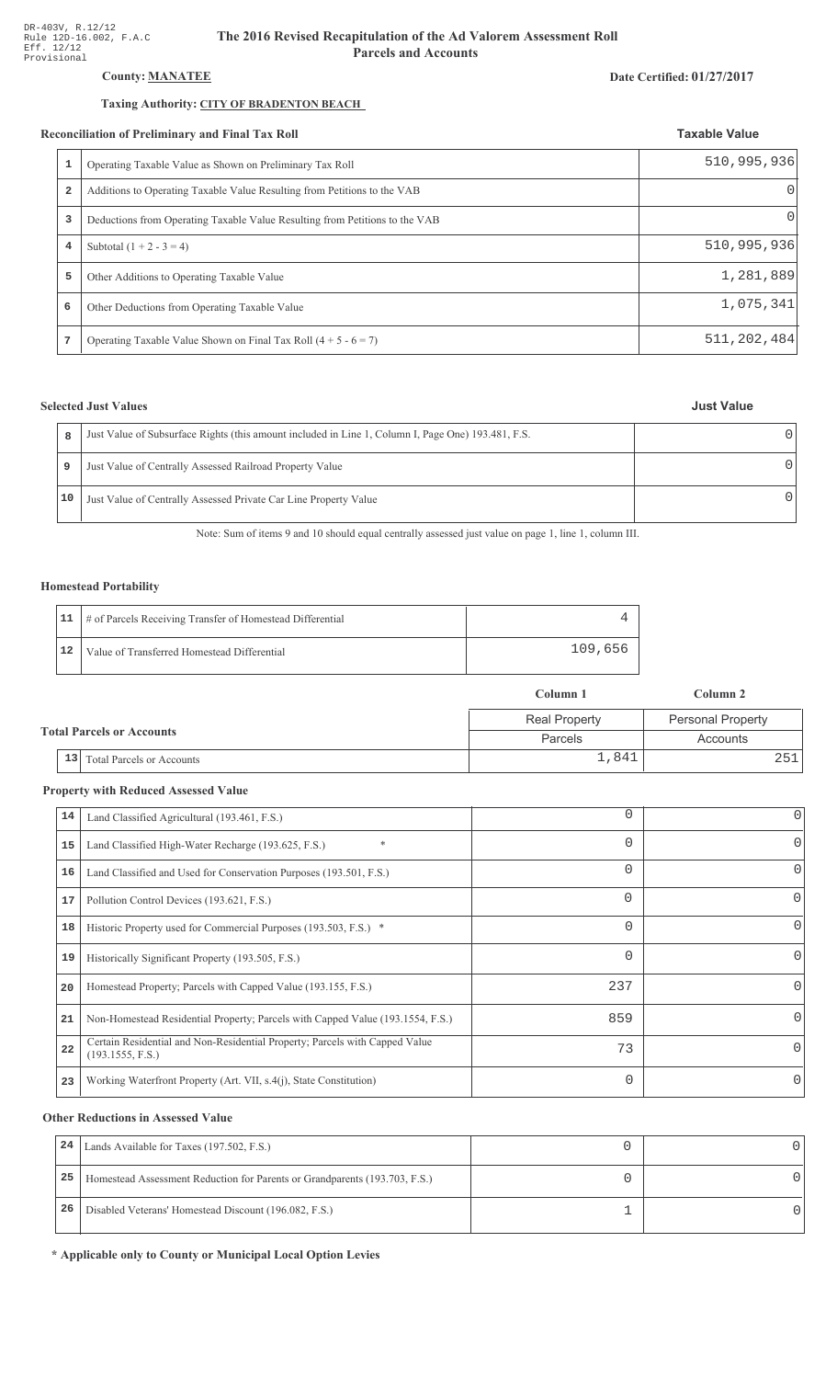# **County: MANATEE**

# Taxing Authority: CITY OF BRADENTON BEACH

#### Reconciliation of Preliminary and Final Tax Roll

|   | Operating Taxable Value as Shown on Preliminary Tax Roll                    | 510, 995, 936    |
|---|-----------------------------------------------------------------------------|------------------|
| 2 | Additions to Operating Taxable Value Resulting from Petitions to the VAB    | $\left( \right)$ |
| 3 | Deductions from Operating Taxable Value Resulting from Petitions to the VAB | 01               |
| 4 | Subtotal $(1 + 2 - 3 = 4)$                                                  | 510, 995, 936    |
| 5 | Other Additions to Operating Taxable Value                                  | 1,281,889        |
| 6 | Other Deductions from Operating Taxable Value                               | 1,075,341        |
| 7 | Operating Taxable Value Shown on Final Tax Roll $(4 + 5 - 6 = 7)$           | 511, 202, 484    |

# **Selected Just Values**

| 8  | Just Value of Subsurface Rights (this amount included in Line 1, Column I, Page One) 193.481, F.S. |  |
|----|----------------------------------------------------------------------------------------------------|--|
| 9  | Just Value of Centrally Assessed Railroad Property Value                                           |  |
| 10 | Just Value of Centrally Assessed Private Car Line Property Value                                   |  |

Note: Sum of items 9 and 10 should equal centrally assessed just value on page 1, line 1, column III.

### **Homestead Portability**

|    | 11   # of Parcels Receiving Transfer of Homestead Differential |         |
|----|----------------------------------------------------------------|---------|
| 12 | Value of Transferred Homestead Differential                    | 109,656 |

|  |                                  |                                  | Column 1             | Column 2                 |
|--|----------------------------------|----------------------------------|----------------------|--------------------------|
|  |                                  |                                  | <b>Real Property</b> | <b>Personal Property</b> |
|  | <b>Total Parcels or Accounts</b> |                                  | Parcels              | Accounts                 |
|  | 13                               | <b>Total Parcels or Accounts</b> | 1,841                | 251                      |

### **Property with Reduced Assessed Value**

| 14 | Land Classified Agricultural (193.461, F.S.)                                                    | 0        | 0        |
|----|-------------------------------------------------------------------------------------------------|----------|----------|
|    |                                                                                                 |          |          |
| 15 | Land Classified High-Water Recharge (193.625, F.S.)<br>$\ast$                                   | $\Omega$ | 0        |
| 16 | Land Classified and Used for Conservation Purposes (193.501, F.S.)                              | $\Omega$ |          |
| 17 | Pollution Control Devices (193.621, F.S.)                                                       | 0        | 0        |
| 18 | Historic Property used for Commercial Purposes (193.503, F.S.) *                                | $\Omega$ |          |
| 19 | Historically Significant Property (193.505, F.S.)                                               | $\Omega$ | 0        |
| 20 | Homestead Property; Parcels with Capped Value (193.155, F.S.)                                   | 237      | 0        |
| 21 | Non-Homestead Residential Property; Parcels with Capped Value (193.1554, F.S.)                  | 859      | 0        |
| 22 | Certain Residential and Non-Residential Property; Parcels with Capped Value<br>(193.1555, F.S.) | 73       | $\Omega$ |
| 23 | Working Waterfront Property (Art. VII, s.4(j), State Constitution)                              | $\Omega$ |          |

# **Other Reductions in Assessed Value**

| 24 | Lands Available for Taxes (197.502, F.S.)                                  |  |
|----|----------------------------------------------------------------------------|--|
| 25 | Homestead Assessment Reduction for Parents or Grandparents (193.703, F.S.) |  |
| 26 | Disabled Veterans' Homestead Discount (196.082, F.S.)                      |  |

\* Applicable only to County or Municipal Local Option Levies

#### Date Certified: 01/27/2017

**Taxable Value**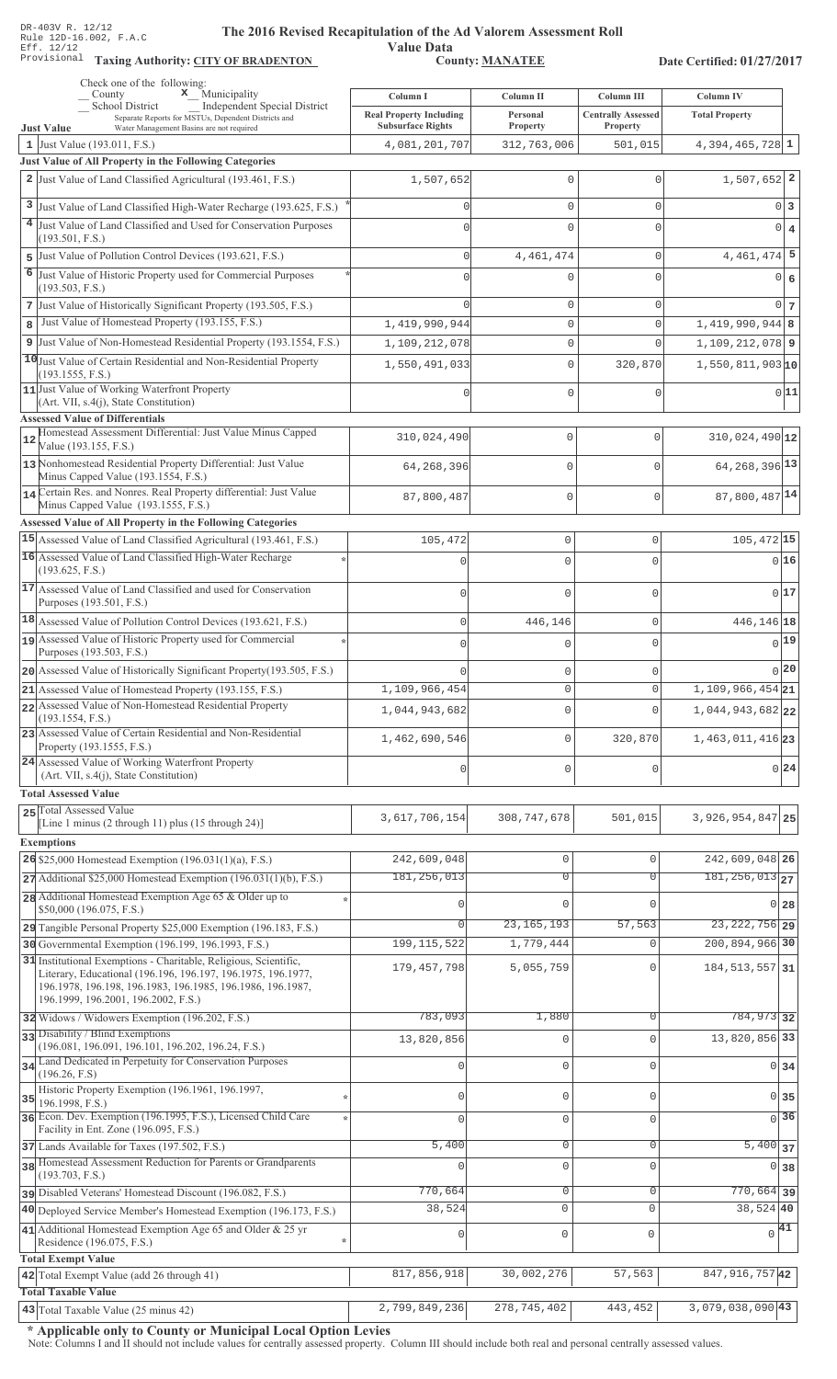**Taxing Auth** 

#### **The 2016 Rev** ised Recapitulation of the Ad Valorem Assessment Roll

**Value Data** ority: <u>CITY OF BRADENTON</u> County: MANATEE

Date Certified: 01/27/2017

| Check one of the following:<br>$\mathbf x$ Municipality<br>County                                                                                                       | Column I                                                   | Column II                  | Column III                            | <b>Column IV</b>              |                |
|-------------------------------------------------------------------------------------------------------------------------------------------------------------------------|------------------------------------------------------------|----------------------------|---------------------------------------|-------------------------------|----------------|
| School District<br>Independent Special District<br>Separate Reports for MSTUs, Dependent Districts and<br>Water Management Basins are not required<br><b>Just Value</b> | <b>Real Property Including</b><br><b>Subsurface Rights</b> | Personal<br>Property       | <b>Centrally Assessed</b><br>Property | <b>Total Property</b>         |                |
| 1 Just Value $(193.011, F.S.)$                                                                                                                                          | 4,081,201,707                                              | 312,763,006                | 501,015                               | $4,394,465,728$ 1             |                |
| Just Value of All Property in the Following Categories                                                                                                                  |                                                            |                            |                                       |                               |                |
| 2 Just Value of Land Classified Agricultural (193.461, F.S.)                                                                                                            | 1,507,652                                                  | 0                          | $\mathbf{0}$                          | $1,507,652$ 2                 |                |
| 3 Just Value of Land Classified High-Water Recharge (193.625, F.S.)                                                                                                     |                                                            | 0                          | $\mathbf{0}$                          | 0 3                           |                |
| 4 Just Value of Land Classified and Used for Conservation Purposes                                                                                                      |                                                            | $\mathbf 0$                | $\mathbf{0}$                          | $0 \mid 4$                    |                |
| (193.501, F.S.)                                                                                                                                                         |                                                            |                            |                                       |                               |                |
| 5 Just Value of Pollution Control Devices (193.621, F.S.)                                                                                                               |                                                            | 4, 461, 474                | $\mathbf{0}$                          | $4,461,474$ 5                 |                |
| 6 Just Value of Historic Property used for Commercial Purposes<br>(193.503, F.S.)                                                                                       |                                                            | 0                          | $\mathbf{0}$                          | 0                             | $6\phantom{1}$ |
| 7 Just Value of Historically Significant Property (193.505, F.S.)                                                                                                       |                                                            | 0                          | $\mathbf{0}$                          | $0\overline{7}$               |                |
| 8 Just Value of Homestead Property (193.155, F.S.)                                                                                                                      | 1,419,990,944                                              | $\mathbf 0$                | $\mathbf{0}$                          | $1,419,990,944$ 8             |                |
| 9 Just Value of Non-Homestead Residential Property (193.1554, F.S.)                                                                                                     | 1,109,212,078                                              | 0                          | $\mathbf{0}$                          | $1,109,212,078$ 9             |                |
| 10 Just Value of Certain Residential and Non-Residential Property<br>(193.1555, F.S.)                                                                                   | 1,550,491,033                                              | $\mathbf{0}$               | 320,870                               | 1,550,811,903  <b>10</b>      |                |
| 11 Just Value of Working Waterfront Property                                                                                                                            |                                                            | 0                          | $\mathbf{0}$                          | 0 11                          |                |
| $(Art. VII, s.4(j), State Constitution)$<br><b>Assessed Value of Differentials</b>                                                                                      |                                                            |                            |                                       |                               |                |
| Homestead Assessment Differential: Just Value Minus Capped<br>12<br>Value (193.155, F.S.)                                                                               | 310,024,490                                                | $\mathbf 0$                | 0                                     | $310,024,490$ <sup>12</sup>   |                |
| 13 Nonhomestead Residential Property Differential: Just Value<br>Minus Capped Value (193.1554, F.S.)                                                                    | 64,268,396                                                 | $\mathbf 0$                | 0                                     | 64, 268, 396 13               |                |
| 14 Certain Res. and Nonres. Real Property differential: Just Value<br>Minus Capped Value (193.1555, F.S.)                                                               | 87,800,487                                                 | $\circ$                    | $\overline{0}$                        | 87,800,487 14                 |                |
| Assessed Value of All Property in the Following Categories                                                                                                              |                                                            |                            |                                       |                               |                |
| 15 Assessed Value of Land Classified Agricultural (193.461, F.S.)                                                                                                       | 105,472                                                    | $\mathbb O$                | 0                                     | 105, 472 15                   |                |
| 16 Assessed Value of Land Classified High-Water Recharge<br>(193.625, F.S.)                                                                                             | $\Omega$                                                   | $\mathbf 0$                | $\Omega$                              | 0 16                          |                |
| 17 Assessed Value of Land Classified and used for Conservation<br>Purposes (193.501, F.S.)                                                                              | $\mathbf 0$                                                | $\mathbf 0$                | $\Omega$                              | 0 17                          |                |
| 18 Assessed Value of Pollution Control Devices (193.621, F.S.)                                                                                                          | $\mathsf 0$                                                | 446,146                    | $\mathbf 0$                           | 446,146 18                    |                |
| 19 Assessed Value of Historic Property used for Commercial                                                                                                              | 0                                                          | $\mathbf 0$                | $\Omega$                              | $0$ 19                        |                |
| Purposes (193.503, F.S.)<br>20 Assessed Value of Historically Significant Property (193.505, F.S.)                                                                      |                                                            |                            |                                       | 0 20                          |                |
| 21 Assessed Value of Homestead Property (193.155, F.S.)                                                                                                                 | 1,109,966,454                                              | $\mathbf 0$<br>$\mathbf 0$ | 0<br>0                                | $1,109,966,454$ 21            |                |
| 22 Assessed Value of Non-Homestead Residential Property                                                                                                                 |                                                            | $\mathbf 0$                | $\Omega$                              | 1,044,943,682 22              |                |
| (193.1554, F.S.)<br>23 Assessed Value of Certain Residential and Non-Residential                                                                                        | 1,044,943,682                                              |                            |                                       |                               |                |
| Property (193.1555, F.S.)                                                                                                                                               | 1,462,690,546                                              | $\mathbf 0$                | 320,870                               | 1,463,011,416 23              |                |
| 24 Assessed Value of Working Waterfront Property<br>(Art. VII, s.4(j), State Constitution)                                                                              | $\mathbf 0$                                                | $\mathbb O$                | 0                                     | 0 24                          |                |
| <b>Total Assessed Value</b>                                                                                                                                             |                                                            |                            |                                       |                               |                |
| 25 Total Assessed Value<br>[Line 1 minus (2 through 11) plus (15 through 24)]                                                                                           | 3,617,706,154                                              | 308, 747, 678              | 501,015                               | 3, 926, 954, 847 25           |                |
| <b>Exemptions</b>                                                                                                                                                       |                                                            |                            |                                       |                               |                |
| 26 \$25,000 Homestead Exemption $(196.031(1)(a), F.S.)$                                                                                                                 | 242,609,048                                                | $\circ$                    | $\mathbf 0$                           | $242,609,048$ 26              |                |
| $27$ Additional \$25,000 Homestead Exemption (196.031(1)(b), F.S.)                                                                                                      | 181, 256, 013                                              | $\overline{0}$             | $\overline{0}$                        | $181, 256, 013$ <sub>27</sub> |                |
| 28 Additional Homestead Exemption Age 65 & Older up to                                                                                                                  |                                                            | $\Omega$                   | $\Omega$                              | 0 28                          |                |
| \$50,000 (196.075, F.S.)                                                                                                                                                | $\Omega$                                                   | 23, 165, 193               | 57,563                                | 23, 222, 756 29               |                |
| 29 Tangible Personal Property \$25,000 Exemption (196.183, F.S.)<br>30 Governmental Exemption (196.199, 196.1993, F.S.)                                                 | 199, 115, 522                                              | 1,779,444                  | $\circ$                               | 200,894,966 30                |                |
| 31 Institutional Exemptions - Charitable, Religious, Scientific,                                                                                                        |                                                            |                            |                                       |                               |                |
| Literary, Educational (196.196, 196.197, 196.1975, 196.1977,<br>196.1978, 196.198, 196.1983, 196.1985, 196.1986, 196.1987,<br>196.1999, 196.2001, 196.2002, F.S.)       | 179, 457, 798                                              | 5,055,759                  | $\Omega$                              | 184, 513, 557 31              |                |
| 32 Widows / Widowers Exemption (196.202, F.S.)                                                                                                                          | 783,093                                                    | 1,880                      | $\Omega$                              | 784, 973 32                   |                |
| 33 Disability / Blind Exemptions                                                                                                                                        | 13,820,856                                                 | 0                          | $\mathbf{0}$                          | 13,820,856 33                 |                |
| (196.081, 196.091, 196.101, 196.202, 196.24, F.S.)<br>Land Dedicated in Perpetuity for Conservation Purposes<br>34                                                      |                                                            | 0                          | $\Omega$                              |                               |                |
| (196.26, F.S)<br>Historic Property Exemption (196.1961, 196.1997,                                                                                                       |                                                            |                            |                                       | $0 \overline{\smash{34}}$     |                |
| 35<br>196.1998, F.S.)                                                                                                                                                   | $\cap$                                                     | 0                          | $\circ$                               | $0 \overline{\smash)35}$      |                |
| 36 Econ. Dev. Exemption (196.1995, F.S.), Licensed Child Care<br>Facility in Ent. Zone (196.095, F.S.)                                                                  | $\Omega$                                                   | $\mathbb O$                | $\mathbf 0$                           | $\overline{0}$ 36             |                |
| 37 Lands Available for Taxes (197.502, F.S.)                                                                                                                            | 5,400                                                      | $\mathbb O$                | $\mathbf 0$                           | $5,400$ 37                    |                |
| 38 Homestead Assessment Reduction for Parents or Grandparents<br>(193.703, F.S.)                                                                                        |                                                            | $\mathsf 0$                | $\mathbf 0$                           | 0 38                          |                |
| pisabled Veterans' Homestead Discount (196.082, F.S.)                                                                                                                   | 770,664                                                    | $\overline{0}$             | $\mathbf 0$                           | $770,664$ 39                  |                |
| 40 Deployed Service Member's Homestead Exemption (196.173, F.S.)                                                                                                        | 38,524                                                     | $\mathbf 0$                | $\mathbf 0$                           | 38,524 40                     |                |
| 41 Additional Homestead Exemption Age 65 and Older & 25 yr<br>Residence (196.075, F.S.)<br>$\star$                                                                      | 0                                                          | $\mathbb O$                | $\mathsf 0$                           | $\sqrt{41}$                   |                |
| <b>Total Exempt Value</b>                                                                                                                                               |                                                            |                            |                                       |                               |                |
| 42 Total Exempt Value (add 26 through 41)                                                                                                                               | 817,856,918                                                | 30,002,276                 | 57,563                                | 847, 916, 757 42              |                |
| <b>Total Taxable Value</b>                                                                                                                                              |                                                            |                            |                                       |                               |                |
| $ 43 $ Total Taxable Value (25 minus 42)                                                                                                                                | 2,799,849,236                                              | 278, 745, 402              | 443,452                               | $\frac{1}{3,079,038,090}$ 43  |                |

\* Applicable only to County or Municipal Local Option Levies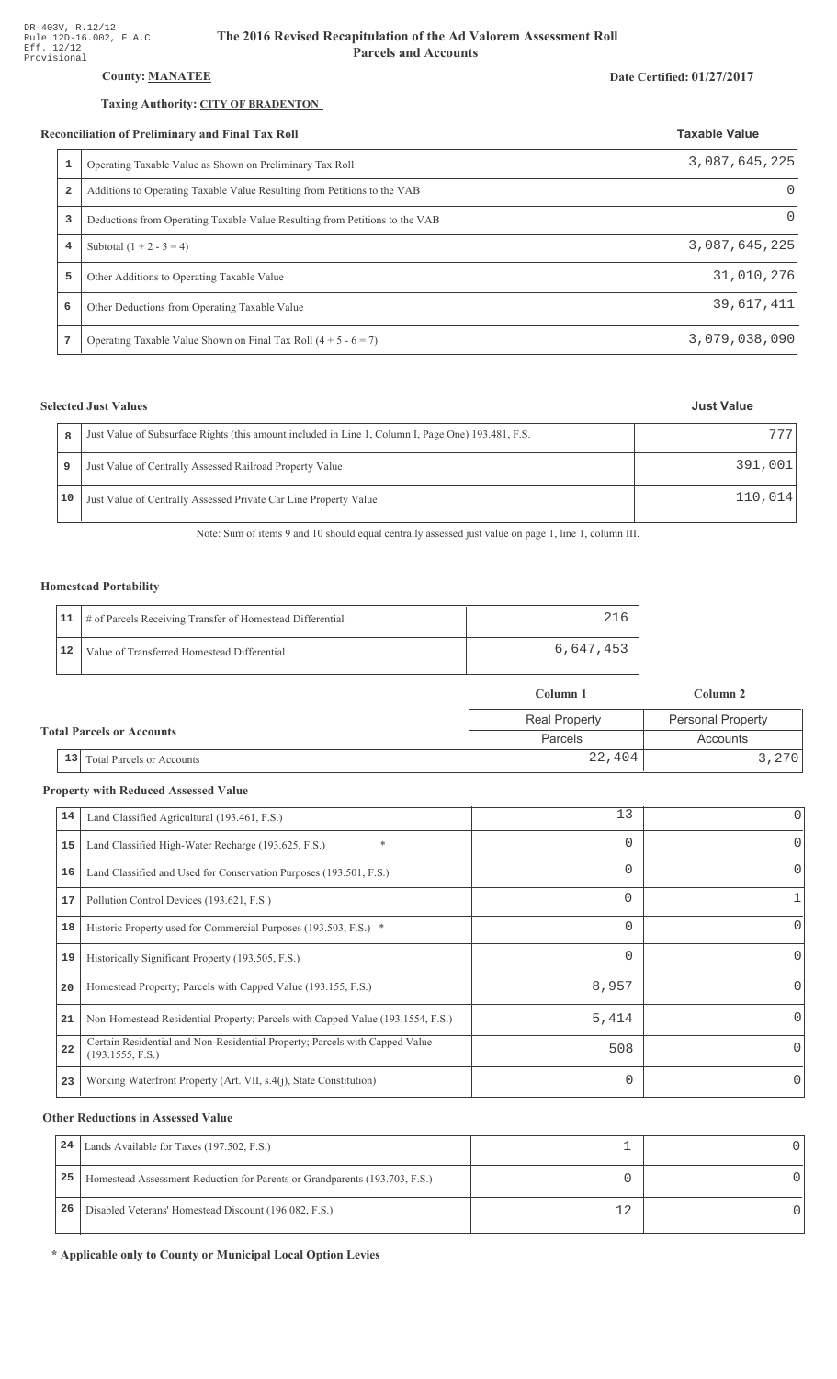# County: **MANATEE**

#### Taxing Authority: CITY OF BRADENTON

#### Reconciliation of Preliminary and Final Tax Roll

| 1              | Operating Taxable Value as Shown on Preliminary Tax Roll                    | 3,087,645,225 |
|----------------|-----------------------------------------------------------------------------|---------------|
| 2              | Additions to Operating Taxable Value Resulting from Petitions to the VAB    | O             |
| 3              | Deductions from Operating Taxable Value Resulting from Petitions to the VAB | 0             |
| $\overline{4}$ | Subtotal $(1 + 2 - 3 = 4)$                                                  | 3,087,645,225 |
| 5              | Other Additions to Operating Taxable Value                                  | 31,010,276    |
| 6              | Other Deductions from Operating Taxable Value                               | 39,617,411    |
| 7              | Operating Taxable Value Shown on Final Tax Roll $(4 + 5 - 6 = 7)$           | 3,079,038,090 |

### **Selected Just Values**

| 8  | Just Value of Subsurface Rights (this amount included in Line 1, Column I, Page One) 193.481, F.S. | 777     |
|----|----------------------------------------------------------------------------------------------------|---------|
| 9  | Just Value of Centrally Assessed Railroad Property Value                                           | 391,001 |
| 10 | Just Value of Centrally Assessed Private Car Line Property Value                                   | 110.014 |

Note: Sum of items 9 and 10 should equal centrally assessed just value on page 1, line 1, column III.

### Homestead Portability

|    | 11   # of Parcels Receiving Transfer of Homestead Differential |           |
|----|----------------------------------------------------------------|-----------|
| 12 | Value of Transferred Homestead Differential                    | 6,647,453 |

|                                  |                                        | Column 1             | Column 2                 |  |
|----------------------------------|----------------------------------------|----------------------|--------------------------|--|
|                                  |                                        | <b>Real Property</b> | <b>Personal Property</b> |  |
| <b>Total Parcels or Accounts</b> |                                        | <b>Parcels</b>       | Accounts                 |  |
|                                  | 13<br><b>Total Parcels or Accounts</b> | 22,404               | 3,270                    |  |

#### **Property with Reduced Assessed Value**

| 14 | Land Classified Agricultural (193.461, F.S.)                                                    | 13       | 0            |
|----|-------------------------------------------------------------------------------------------------|----------|--------------|
| 15 | $\ast$<br>Land Classified High-Water Recharge (193.625, F.S.)                                   | $\Omega$ | 0            |
| 16 | Land Classified and Used for Conservation Purposes (193.501, F.S.)                              | $\Omega$ | O            |
| 17 | Pollution Control Devices (193.621, F.S.)                                                       | $\Omega$ |              |
| 18 | Historic Property used for Commercial Purposes (193.503, F.S.) *                                | $\Omega$ | 0            |
| 19 | Historically Significant Property (193.505, F.S.)                                               | $\Omega$ | 0            |
| 20 | Homestead Property; Parcels with Capped Value (193.155, F.S.)                                   | 8,957    |              |
| 21 | Non-Homestead Residential Property; Parcels with Capped Value (193.1554, F.S.)                  | 5,414    | <sup>0</sup> |
| 22 | Certain Residential and Non-Residential Property; Parcels with Capped Value<br>(193.1555, F.S.) | 508      |              |
| 23 | Working Waterfront Property (Art. VII, s.4(j), State Constitution)                              | $\Omega$ | 0            |

#### **Other Reductions in Assessed Value**

| 24 | Lands Available for Taxes (197.502, F.S.)                                  |  |
|----|----------------------------------------------------------------------------|--|
| 25 | Homestead Assessment Reduction for Parents or Grandparents (193.703, F.S.) |  |
| 26 | Disabled Veterans' Homestead Discount (196.082, F.S.)                      |  |

\* Applicable only to County or Municipal Local Option Levies

# Date Certified: 01/27/2017

**Taxable Value**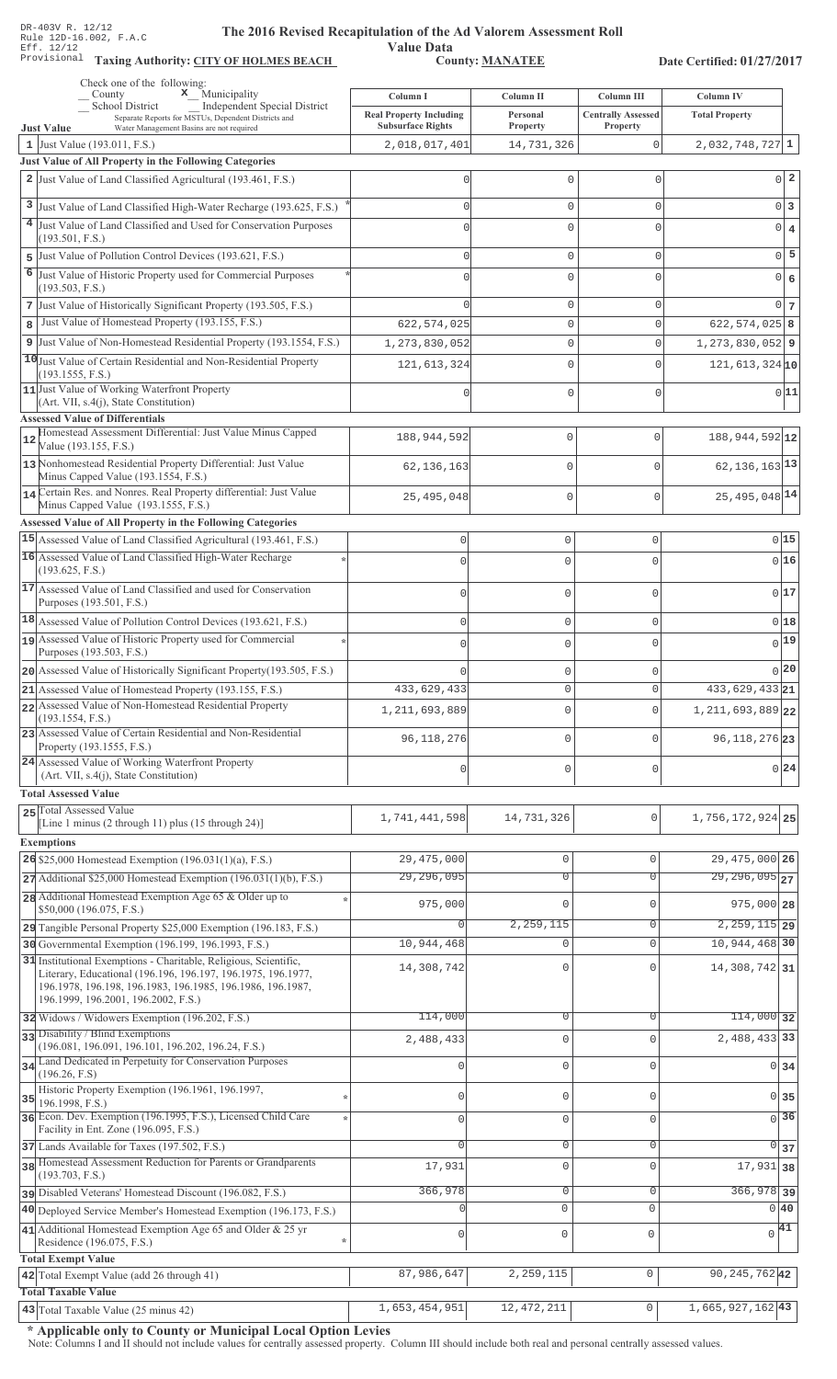Value Data<br>County: MANATEE Taxing Authority: CITY OF HOLMES BEACH County: MANATEE

Date Certified: 01/27/2017

|                | Check one of the following:<br>$\mathbf x$ Municipality<br>County                                                                                                                                                                     | Column I                                  | Column II              | Column III                  | Column IV                    |
|----------------|---------------------------------------------------------------------------------------------------------------------------------------------------------------------------------------------------------------------------------------|-------------------------------------------|------------------------|-----------------------------|------------------------------|
|                | <b>School District</b><br><b>Independent Special District</b><br>Separate Reports for MSTUs, Dependent Districts and                                                                                                                  | <b>Real Property Including</b>            | Personal               | <b>Centrally Assessed</b>   | <b>Total Property</b>        |
|                | Water Management Basins are not required<br><b>Just Value</b><br>1 Just Value $(193.011, F.S.)$                                                                                                                                       | <b>Subsurface Rights</b><br>2,018,017,401 | Property<br>14,731,326 | Property<br>0               | $2,032,748,727$ 1            |
|                | Just Value of All Property in the Following Categories                                                                                                                                                                                |                                           |                        |                             |                              |
|                | 2 Just Value of Land Classified Agricultural (193.461, F.S.)                                                                                                                                                                          |                                           | 0                      | $\mathbf{0}$                | $0\vert 2$                   |
|                | 3 Just Value of Land Classified High-Water Recharge (193.625, F.S.)                                                                                                                                                                   |                                           | 0                      | $\mathbf{0}$                | $0\vert 3$                   |
|                | 4 Just Value of Land Classified and Used for Conservation Purposes                                                                                                                                                                    |                                           | $\Omega$               | $\Omega$                    | 0 <br>$\bf{4}$               |
|                | (193.501, F.S.)                                                                                                                                                                                                                       |                                           |                        |                             |                              |
| 5              | Just Value of Pollution Control Devices (193.621, F.S.)                                                                                                                                                                               |                                           | 0                      | $\mathbf{0}$                | $0\overline{5}$              |
| $\overline{6}$ | Just Value of Historic Property used for Commercial Purposes<br>(193.503, F.S.)                                                                                                                                                       |                                           | 0                      | $\mathbf{0}$                | 0 <br>$\epsilon$             |
|                | 7 Just Value of Historically Significant Property (193.505, F.S.)                                                                                                                                                                     |                                           | 0                      | $\mathbf{0}$                | $0 \vert 7 \vert$            |
| 8              | Just Value of Homestead Property (193.155, F.S.)                                                                                                                                                                                      | 622, 574, 025                             | 0                      | $\mathbf 0$                 | $622, 574, 025$ 8            |
|                | 9 Just Value of Non-Homestead Residential Property (193.1554, F.S.)                                                                                                                                                                   | 1,273,830,052                             | 0                      | $\mathbf 0$                 | 1, 273, 830, 052 9           |
|                | 10 Just Value of Certain Residential and Non-Residential Property<br>(193.1555, F.S.)<br>11 Just Value of Working Waterfront Property<br>(Art. VII, s.4(j), State Constitution)                                                       | 121, 613, 324                             | 0<br>0                 | $\mathbf 0$<br>$\mathbf{0}$ | $121,613,324$ 10<br>0 11     |
|                | <b>Assessed Value of Differentials</b>                                                                                                                                                                                                |                                           |                        |                             |                              |
| 12             | Homestead Assessment Differential: Just Value Minus Capped<br>Value (193.155, F.S.)                                                                                                                                                   | 188,944,592                               | $\mathbf 0$            | $\mathbf{0}$                | 188, 944, 592 12             |
|                | 13 Nonhomestead Residential Property Differential: Just Value<br>Minus Capped Value (193.1554, F.S.)                                                                                                                                  | 62, 136, 163                              | $\mathbf 0$            | $\mathbf{0}$                | $62, 136, 163$ <sup>13</sup> |
|                | 14 Certain Res. and Nonres. Real Property differential: Just Value<br>Minus Capped Value (193.1555, F.S.)                                                                                                                             | 25,495,048                                | $\mathbf 0$            | $\mathbf{0}$                | 25, 495, 048 14              |
|                | <b>Assessed Value of All Property in the Following Categories</b>                                                                                                                                                                     |                                           |                        |                             |                              |
|                | 15 Assessed Value of Land Classified Agricultural (193.461, F.S.)                                                                                                                                                                     | $\mathsf 0$                               | $\mathsf 0$            | $\mathsf{O}\xspace$         | 0 15                         |
|                | 16 Assessed Value of Land Classified High-Water Recharge                                                                                                                                                                              | $\Omega$                                  | $\mathbf 0$            | $\Omega$                    | 0 16                         |
|                | (193.625, F.S.)<br>17 Assessed Value of Land Classified and used for Conservation                                                                                                                                                     | 0                                         | $\mathbf 0$            | $\Omega$                    | 017                          |
|                | Purposes (193.501, F.S.)<br>18 Assessed Value of Pollution Control Devices (193.621, F.S.)                                                                                                                                            |                                           |                        |                             |                              |
|                | 19 Assessed Value of Historic Property used for Commercial                                                                                                                                                                            | $\mathsf 0$                               | $\mathbf 0$            | 0                           | 0 18<br>0 19                 |
|                | Purposes (193.503, F.S.)                                                                                                                                                                                                              | $\Omega$                                  | $\mathbf 0$            | $\Omega$                    |                              |
|                | 20 Assessed Value of Historically Significant Property (193.505, F.S.)                                                                                                                                                                |                                           | $\mathsf 0$            | 0                           | 0 20                         |
|                | 21 Assessed Value of Homestead Property (193.155, F.S.)                                                                                                                                                                               | 433,629,433                               | $\mathbf 0$            | $\Omega$                    | 433, 629, 433 21             |
|                | 22 Assessed Value of Non-Homestead Residential Property<br>(193.1554, F.S.)                                                                                                                                                           | 1, 211, 693, 889                          | 0                      | 0                           | 1, 211, 693, 889 22          |
|                | 23 Assessed Value of Certain Residential and Non-Residential<br>Property (193.1555, F.S.)                                                                                                                                             | 96, 118, 276                              | $\mathbf 0$            | O                           | 96, 118, 276 23              |
|                | 24 Assessed Value of Working Waterfront Property<br>(Art. VII, s.4(j), State Constitution)                                                                                                                                            | 0                                         | $\mathbf 0$            | 0                           | 0 24                         |
|                | <b>Total Assessed Value</b>                                                                                                                                                                                                           |                                           |                        |                             |                              |
|                | 25 Total Assessed Value                                                                                                                                                                                                               | 1,741,441,598                             | 14,731,326             | $\mathbf 0$                 | 1,756,172,924 25             |
|                | [Line 1 minus (2 through 11) plus (15 through 24)]                                                                                                                                                                                    |                                           |                        |                             |                              |
|                | <b>Exemptions</b><br>26 \$25,000 Homestead Exemption (196.031(1)(a), F.S.)                                                                                                                                                            | 29,475,000                                | 0                      | 0                           | 29, 475, 000 26              |
|                | $27$ Additional \$25,000 Homestead Exemption (196.031(1)(b), F.S.)                                                                                                                                                                    | 29, 296, 095                              | 0                      | $\overline{0}$              | $29, 296, 095$ <sub>27</sub> |
|                | 28 Additional Homestead Exemption Age 65 & Older up to                                                                                                                                                                                |                                           |                        |                             |                              |
|                | \$50,000 (196.075, F.S.)                                                                                                                                                                                                              | 975,000                                   | 0                      | $\mathbf{0}$                | 975,000 28                   |
|                | 29 Tangible Personal Property \$25,000 Exemption (196.183, F.S.)                                                                                                                                                                      | $\Omega$                                  | 2,259,115              | 0                           | $2, 259, 115$ 29             |
|                | 30 Governmental Exemption (196.199, 196.1993, F.S.)                                                                                                                                                                                   | 10,944,468                                | 0                      | $\mathbf 0$                 | 10,944,468 30                |
|                | 31 Institutional Exemptions - Charitable, Religious, Scientific,<br>Literary, Educational (196.196, 196.197, 196.1975, 196.1977,<br>196.1978, 196.198, 196.1983, 196.1985, 196.1986, 196.1987,<br>196.1999, 196.2001, 196.2002, F.S.) | 14,308,742                                | 0                      | $\Omega$                    | 14,308,742 31                |
|                | 32 Widows / Widowers Exemption (196.202, F.S.)<br>33 Disability / Blind Exemptions                                                                                                                                                    | 114,000                                   | 0                      | 0                           | $114,000$ 32                 |
|                | (196.081, 196.091, 196.101, 196.202, 196.24, F.S.)                                                                                                                                                                                    | 2,488,433                                 | 0                      | $\mathbf{0}$                | 2,488,433 33                 |
|                | 34 Land Dedicated in Perpetuity for Conservation Purposes<br>(196.26, F.S)                                                                                                                                                            |                                           | 0                      | $\circ$                     | 0 <sub>34</sub>              |
| 35             | Historic Property Exemption (196.1961, 196.1997,<br>196.1998, F.S.)                                                                                                                                                                   | $\Omega$                                  | 0                      | 0                           | $0 \overline{\smash)35}$     |
|                | 36 Econ. Dev. Exemption (196.1995, F.S.), Licensed Child Care<br>Facility in Ent. Zone (196.095, F.S.)                                                                                                                                | $\Omega$                                  | $\mathsf 0$            | $\mathbf{0}$                | $\overline{0}$ 36            |
|                | 37 Lands Available for Taxes (197.502, F.S.)                                                                                                                                                                                          | $\cap$                                    | 0                      | 0                           | $\overline{0}$ 37            |
|                | 38 Homestead Assessment Reduction for Parents or Grandparents<br>(193.703, F.S.)                                                                                                                                                      | 17,931                                    | 0                      | $\mathbf 0$                 | 17,931 38                    |
|                | pisabled Veterans' Homestead Discount (196.082, F.S.)                                                                                                                                                                                 | 366,978                                   | 0                      | $\mathbf 0$                 | $366,978$ 39                 |
|                | 40 Deployed Service Member's Homestead Exemption (196.173, F.S.)                                                                                                                                                                      |                                           | $\mathbf 0$            | $\mathbf{0}$                | 0 40                         |
|                | 41 Additional Homestead Exemption Age 65 and Older & 25 yr                                                                                                                                                                            | $\mathbf 0$                               | $\mathsf{O}\xspace$    | $\mathbf 0$                 | $\sqrt{41}$                  |
|                | Residence (196.075, F.S.)<br><b>Total Exempt Value</b>                                                                                                                                                                                |                                           |                        |                             |                              |
|                | 42 Total Exempt Value (add 26 through 41)                                                                                                                                                                                             | 87,986,647                                | 2,259,115              | $\mathbb O$                 | 90, 245, 762 42              |
|                | <b>Total Taxable Value</b>                                                                                                                                                                                                            |                                           |                        |                             |                              |
|                | $\sqrt{43}$ Total Taxable Value (25 minus 42)                                                                                                                                                                                         | 1,653,454,951                             | 12, 472, 211           | $\mathsf{O}\xspace$         | $1,665,927,162$ 43           |

\* Applicable only to County or Municipal Local Option Levies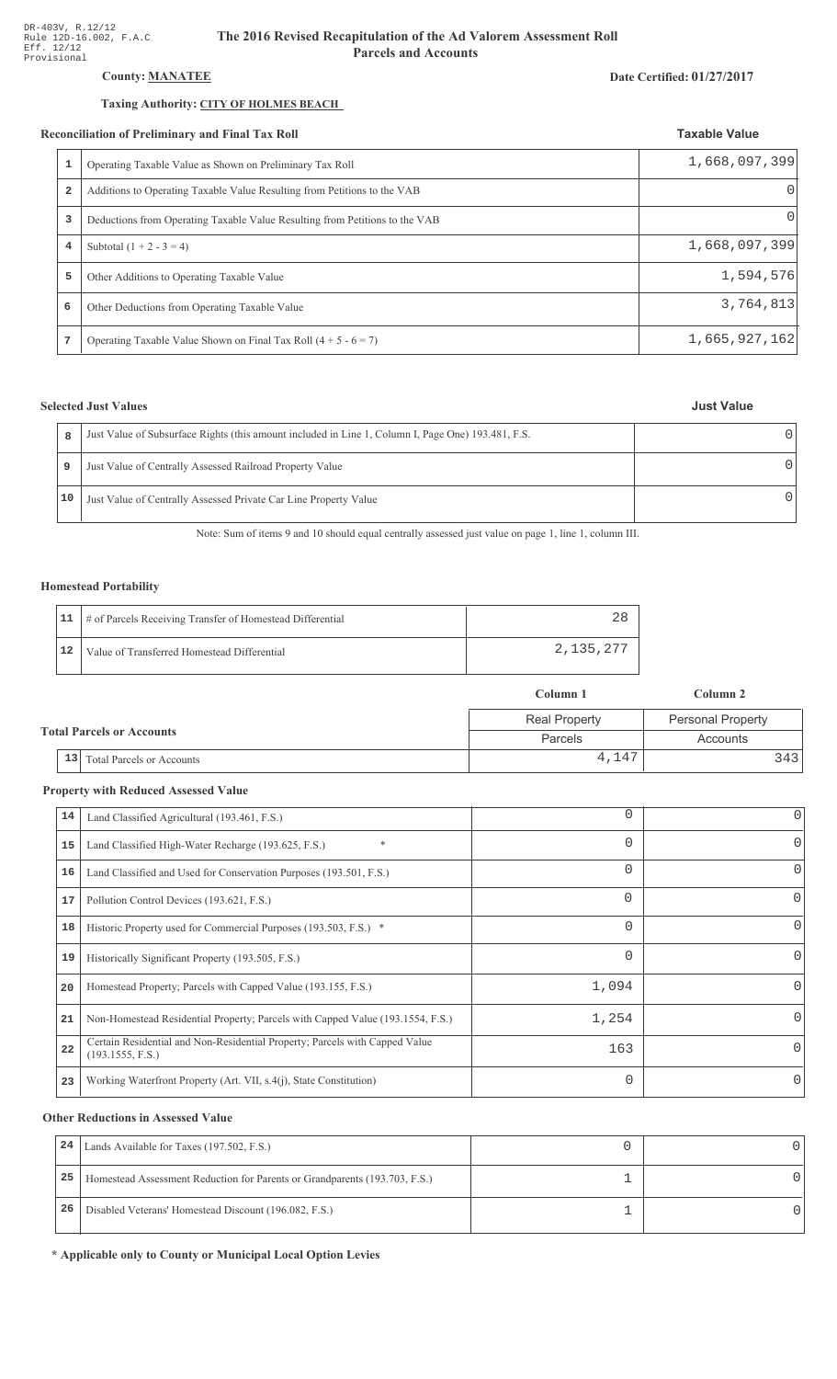# **County: MANATEE**

### Taxing Authority: CITY OF HOLMES BEACH

#### Reconciliation of Preliminary and Final Tax Roll

|                         | conciliation of Preliminary and Final Tax Roll                              | <b>Taxable Value</b> |
|-------------------------|-----------------------------------------------------------------------------|----------------------|
| 1                       | Operating Taxable Value as Shown on Preliminary Tax Roll                    | 1,668,097,399        |
| $\overline{\mathbf{2}}$ | Additions to Operating Taxable Value Resulting from Petitions to the VAB    |                      |
| 3                       | Deductions from Operating Taxable Value Resulting from Petitions to the VAB | $\Omega$             |
| 4                       | Subtotal $(1 + 2 - 3 = 4)$                                                  | 1,668,097,399        |
| 5                       | Other Additions to Operating Taxable Value                                  | 1,594,576            |
| 6                       | Other Deductions from Operating Taxable Value                               | 3,764,813            |
|                         | Operating Taxable Value Shown on Final Tax Roll $(4 + 5 - 6 = 7)$           | 1,665,927,162        |

# **Selected Just Values**

| 8  | Just Value of Subsurface Rights (this amount included in Line 1, Column I, Page One) 193.481, F.S. |  |
|----|----------------------------------------------------------------------------------------------------|--|
| 9  | Just Value of Centrally Assessed Railroad Property Value                                           |  |
| 10 | Just Value of Centrally Assessed Private Car Line Property Value                                   |  |

Note: Sum of items 9 and 10 should equal centrally assessed just value on page 1, line 1, column III.

### **Homestead Portability**

|    | 11   # of Parcels Receiving Transfer of Homestead Differential |           |
|----|----------------------------------------------------------------|-----------|
| 12 | Value of Transferred Homestead Differential                    | 2,135,277 |

|                                  |                                        | Column 1             | Column 2                 |  |
|----------------------------------|----------------------------------------|----------------------|--------------------------|--|
|                                  |                                        | <b>Real Property</b> | <b>Personal Property</b> |  |
| <b>Total Parcels or Accounts</b> |                                        | Parcels              | Accounts                 |  |
|                                  | 13<br><b>Total Parcels or Accounts</b> | 4,147                | 3431                     |  |

# **Property with Reduced Assessed Value**

| 14 | Land Classified Agricultural (193.461, F.S.)                                                    | 0        | 0        |
|----|-------------------------------------------------------------------------------------------------|----------|----------|
| 15 | $\ast$<br>Land Classified High-Water Recharge (193.625, F.S.)                                   | 0        | 0        |
| 16 | Land Classified and Used for Conservation Purposes (193.501, F.S.)                              | $\Omega$ | 0        |
| 17 | Pollution Control Devices (193.621, F.S.)                                                       | 0        | 0        |
| 18 | Historic Property used for Commercial Purposes (193.503, F.S.) *                                | 0        |          |
| 19 | Historically Significant Property (193.505, F.S.)                                               | $\Omega$ | 0        |
| 20 | Homestead Property; Parcels with Capped Value (193.155, F.S.)                                   | 1,094    |          |
| 21 | Non-Homestead Residential Property; Parcels with Capped Value (193.1554, F.S.)                  | 1,254    |          |
| 22 | Certain Residential and Non-Residential Property; Parcels with Capped Value<br>(193.1555, F.S.) | 163      | 0        |
| 23 | Working Waterfront Property (Art. VII, s.4(j), State Constitution)                              | $\Omega$ | $\Omega$ |

### **Other Reductions in Assessed Value**

| 24 | Lands Available for Taxes (197.502, F.S.)                                  |  |
|----|----------------------------------------------------------------------------|--|
| 25 | Homestead Assessment Reduction for Parents or Grandparents (193.703, F.S.) |  |
| 26 | Disabled Veterans' Homestead Discount (196.082, F.S.)                      |  |

\* Applicable only to County or Municipal Local Option Levies

#### Date Certified: 01/27/2017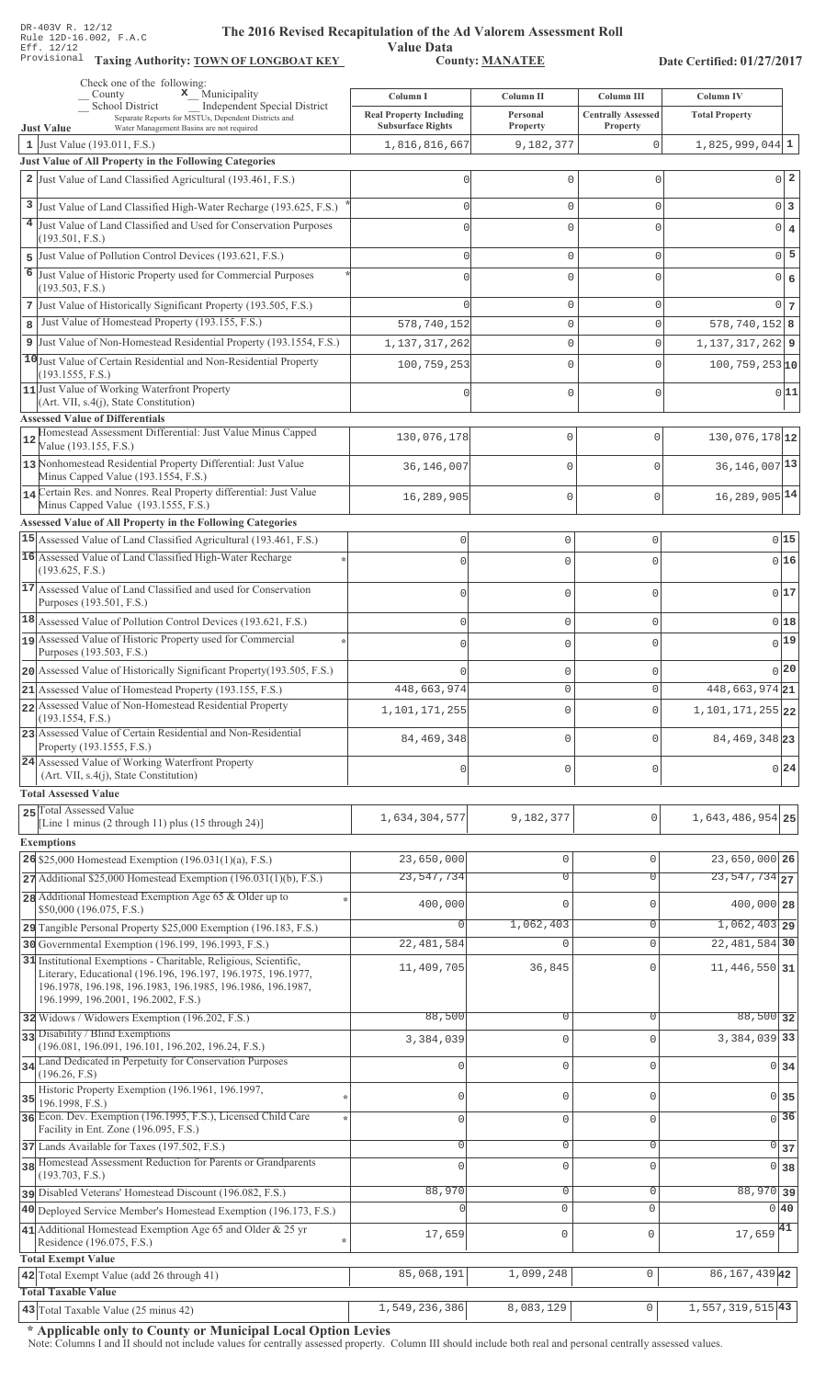Value Data<br>County: MANATEE Taxing Authority: **TOWN OF LONGBOAT KEY** County: **MANATEE** 

Date Certified: 01/27/2017

| Check one of the following:<br>$\mathbf x$ Municipality<br>County                                                                                                                                                                     | Column I                                                   | Column II                  | Column III                            | Column IV                                 |
|---------------------------------------------------------------------------------------------------------------------------------------------------------------------------------------------------------------------------------------|------------------------------------------------------------|----------------------------|---------------------------------------|-------------------------------------------|
| <b>Independent Special District</b><br><b>School District</b><br>Separate Reports for MSTUs, Dependent Districts and                                                                                                                  | <b>Real Property Including</b><br><b>Subsurface Rights</b> | Personal<br>Property       | <b>Centrally Assessed</b><br>Property | <b>Total Property</b>                     |
| <b>Just Value</b><br>Water Management Basins are not required<br>1 Just Value $(193.011, F.S.)$                                                                                                                                       | 1,816,816,667                                              | 9,182,377                  | $\mathbf 0$                           | $1,825,999,044$ 1                         |
| Just Value of All Property in the Following Categories                                                                                                                                                                                |                                                            |                            |                                       |                                           |
| 2 Just Value of Land Classified Agricultural (193.461, F.S.)                                                                                                                                                                          |                                                            | $\Omega$                   | $\Omega$                              | 0 <sup>2</sup>                            |
| 3 Just Value of Land Classified High-Water Recharge (193.625, F.S.)                                                                                                                                                                   |                                                            | $\mathbf 0$                | $\mathbf{0}$                          | $0\vert 3$                                |
| 4 Just Value of Land Classified and Used for Conservation Purposes                                                                                                                                                                    |                                                            | $\Omega$                   | $\Omega$                              | $\overline{\mathbf{4}}$<br>$\overline{0}$ |
| (193.501, F.S.)<br>Just Value of Pollution Control Devices (193.621, F.S.)                                                                                                                                                            |                                                            | $\mathbf 0$                | $\mathsf{O}\xspace$                   | $0\overline{5}$                           |
| 5<br>6<br>Just Value of Historic Property used for Commercial Purposes                                                                                                                                                                |                                                            | $\Omega$                   | $\Omega$                              | $\overline{6}$<br>$\overline{0}$          |
| (193.503, F.S.)                                                                                                                                                                                                                       |                                                            |                            |                                       |                                           |
| 7 Just Value of Historically Significant Property (193.505, F.S.)                                                                                                                                                                     |                                                            | $\mathbf 0$                | $\mathbf{0}$                          | $0\vert 7$                                |
| Just Value of Homestead Property (193.155, F.S.)<br>8                                                                                                                                                                                 | 578, 740, 152                                              | $\mathbb O$                | $\Omega$                              | $578, 740, 152$ 8                         |
| 9 Just Value of Non-Homestead Residential Property (193.1554, F.S.)<br>10 Just Value of Certain Residential and Non-Residential Property                                                                                              | 1, 137, 317, 262                                           | $\mathbb O$                | $\Omega$                              | $1, 137, 317, 262$ 9                      |
| (193.1555, F.S.)                                                                                                                                                                                                                      | 100,759,253                                                | $\mathbf{0}$               | $\Omega$                              | $100, 759, 253$ <sup>10</sup>             |
| 11 Just Value of Working Waterfront Property<br>(Art. VII, s.4(j), State Constitution)                                                                                                                                                |                                                            | $\mathbf{0}$               | $\Omega$                              | 0 11                                      |
| <b>Assessed Value of Differentials</b>                                                                                                                                                                                                |                                                            |                            |                                       |                                           |
| Homestead Assessment Differential: Just Value Minus Capped<br>12<br>Value (193.155, F.S.)                                                                                                                                             | 130,076,178                                                | 0                          | $\mathbf{0}$                          | 130,076,178 12                            |
| 13 Nonhomestead Residential Property Differential: Just Value                                                                                                                                                                         | 36,146,007                                                 | 0                          | $\mathbf{0}$                          | 36, 146, 007 13                           |
| Minus Capped Value (193.1554, F.S.)<br>14 Certain Res. and Nonres. Real Property differential: Just Value                                                                                                                             |                                                            | 0                          | $\mathbf{0}$                          | 16, 289, 905 14                           |
| Minus Capped Value (193.1555, F.S.)                                                                                                                                                                                                   | 16,289,905                                                 |                            |                                       |                                           |
| <b>Assessed Value of All Property in the Following Categories</b><br>15 Assessed Value of Land Classified Agricultural (193.461, F.S.)                                                                                                |                                                            |                            |                                       | 015                                       |
| 16 Assessed Value of Land Classified High-Water Recharge                                                                                                                                                                              | $\mathbf 0$                                                | $\mathbf 0$                | $\mathsf 0$                           |                                           |
| (193.625, F.S.)                                                                                                                                                                                                                       |                                                            | $\Omega$                   | $\Omega$                              | 016                                       |
| 17 Assessed Value of Land Classified and used for Conservation                                                                                                                                                                        | $\Omega$                                                   | $\mathbf 0$                | $\mathbf 0$                           | 017                                       |
| Purposes (193.501, F.S.)<br>18 Assessed Value of Pollution Control Devices (193.621, F.S.)                                                                                                                                            | $\Omega$                                                   | $\mathbf 0$                | $\mathbf 0$                           | 018                                       |
| Assessed Value of Historic Property used for Commercial                                                                                                                                                                               |                                                            | $\mathbf 0$                | $\mathbf 0$                           | $0$ <sup>19</sup>                         |
| Purposes (193.503, F.S.)                                                                                                                                                                                                              |                                                            |                            |                                       |                                           |
| 20 Assessed Value of Historically Significant Property (193.505, F.S.)                                                                                                                                                                |                                                            | $\mathsf{O}\xspace$        | $\mathbf 0$                           | 0 20                                      |
| 21 Assessed Value of Homestead Property (193.155, F.S.)<br>22 Assessed Value of Non-Homestead Residential Property                                                                                                                    | 448,663,974                                                | $\Omega$                   | $\Omega$                              | 448,663,974 21                            |
| (193.1554, F.S.)                                                                                                                                                                                                                      | 1,101,171,255                                              | 0                          | $\circ$                               | 1, 101, 171, 255 22                       |
| 23 Assessed Value of Certain Residential and Non-Residential<br>Property (193.1555, F.S.)                                                                                                                                             | 84, 469, 348                                               | 0                          | $\Omega$                              | 84, 469, 348 23                           |
| 24 Assessed Value of Working Waterfront Property<br>(Art. VII, s.4(j), State Constitution)                                                                                                                                            | $\Omega$                                                   | $\mathbf 0$                | 0                                     | 0 24                                      |
| <b>Total Assessed Value</b>                                                                                                                                                                                                           |                                                            |                            |                                       |                                           |
| 25 Total Assessed Value<br>[Line 1 minus (2 through 11) plus (15 through 24)]                                                                                                                                                         | 1,634,304,577                                              | 9,182,377                  | 0                                     | 1, 643, 486, 954 25                       |
| <b>Exemptions</b>                                                                                                                                                                                                                     |                                                            |                            |                                       |                                           |
| 26 \$25,000 Homestead Exemption (196.031(1)(a), F.S.)                                                                                                                                                                                 | 23,650,000                                                 | 0                          | $\mathbf{0}$                          | 23,650,000 26                             |
| $27$ Additional \$25,000 Homestead Exemption (196.031(1)(b), F.S.)                                                                                                                                                                    | 23, 547, 734                                               | $\overline{0}$             | $\Omega$                              | $\overline{23,547,734}$ 27                |
| 28 Additional Homestead Exemption Age 65 & Older up to<br>\$50,000 (196.075, F.S.)                                                                                                                                                    | 400,000                                                    | $\Omega$                   | $\mathbf{0}$                          | 400,000 28                                |
| 29 Tangible Personal Property \$25,000 Exemption (196.183, F.S.)                                                                                                                                                                      |                                                            | 1,062,403                  | $\overline{0}$                        | $1,062,403$ 29                            |
| 30 Governmental Exemption (196.199, 196.1993, F.S.)                                                                                                                                                                                   | 22, 481, 584                                               | $\Omega$                   | $\Omega$                              | 22, 481, 584 30                           |
| 31 Institutional Exemptions - Charitable, Religious, Scientific,<br>Literary, Educational (196.196, 196.197, 196.1975, 196.1977,<br>196.1978, 196.198, 196.1983, 196.1985, 196.1986, 196.1987,<br>196.1999, 196.2001, 196.2002, F.S.) | 11,409,705                                                 | 36,845                     | $\Omega$                              | 11, 446, 550 31                           |
| 32 Widows / Widowers Exemption (196.202, F.S.)                                                                                                                                                                                        | 88,500                                                     | 0                          | $\mathbf 0$                           | 88,500 32                                 |
| 33 Disability / Blind Exemptions                                                                                                                                                                                                      | 3,384,039                                                  | $\mathbf 0$                | $\Omega$                              | 3, 384, 039 33                            |
| (196.081, 196.091, 196.101, 196.202, 196.24, F.S.)<br>34 Land Dedicated in Perpetuity for Conservation Purposes                                                                                                                       | $\cap$                                                     | $\mathbf{0}$               | $\Omega$                              |                                           |
| (196.26, F.S)                                                                                                                                                                                                                         |                                                            |                            |                                       | 0 <sub>34</sub>                           |
| Historic Property Exemption (196.1961, 196.1997,<br>$35$ 196.1998, F.S.)                                                                                                                                                              |                                                            | $\mathbf{0}$               | C                                     | 0135                                      |
| 36 Econ. Dev. Exemption (196.1995, F.S.), Licensed Child Care                                                                                                                                                                         | $\Omega$                                                   | $\mathbf 0$                | $\Omega$                              | $\overline{0}$ 36                         |
| Facility in Ent. Zone (196.095, F.S.)<br>37 Lands Available for Taxes (197.502, F.S.)                                                                                                                                                 | $\Omega$                                                   | $\mathsf{O}\xspace$        | $\Omega$                              | $\overline{0}$ 37                         |
| 38 Homestead Assessment Reduction for Parents or Grandparents                                                                                                                                                                         |                                                            | $\mathbf 0$                | $\Omega$                              | 0 38                                      |
| (193.703, F.S.)                                                                                                                                                                                                                       |                                                            |                            | $\Omega$                              |                                           |
| pisabled Veterans' Homestead Discount (196.082, F.S.)<br>40 Deployed Service Member's Homestead Exemption (196.173, F.S.)                                                                                                             | 88,970                                                     | $\mathbf 0$<br>$\mathbf 0$ | $\mathbf 0$                           | 88,970 39<br>0 <sub>40</sub>              |
| 41 Additional Homestead Exemption Age 65 and Older & 25 yr                                                                                                                                                                            |                                                            |                            |                                       | $17,659$ <sup>41</sup>                    |
| Residence (196.075, F.S.)                                                                                                                                                                                                             | 17,659                                                     | $\mathsf 0$                | $\mathbf 0$                           |                                           |
| <b>Total Exempt Value</b><br>42 Total Exempt Value (add 26 through 41)                                                                                                                                                                | 85,068,191                                                 | 1,099,248                  | $\mathbb O$                           | 86, 167, 439 42                           |
| <b>Total Taxable Value</b>                                                                                                                                                                                                            |                                                            |                            |                                       |                                           |
| 43 Total Taxable Value (25 minus 42)                                                                                                                                                                                                  | 1,549,236,386                                              | 8,083,129                  | $\cup$                                | $1,557,319,515$  43                       |

\* Applicable only to County or Municipal Local Option Levies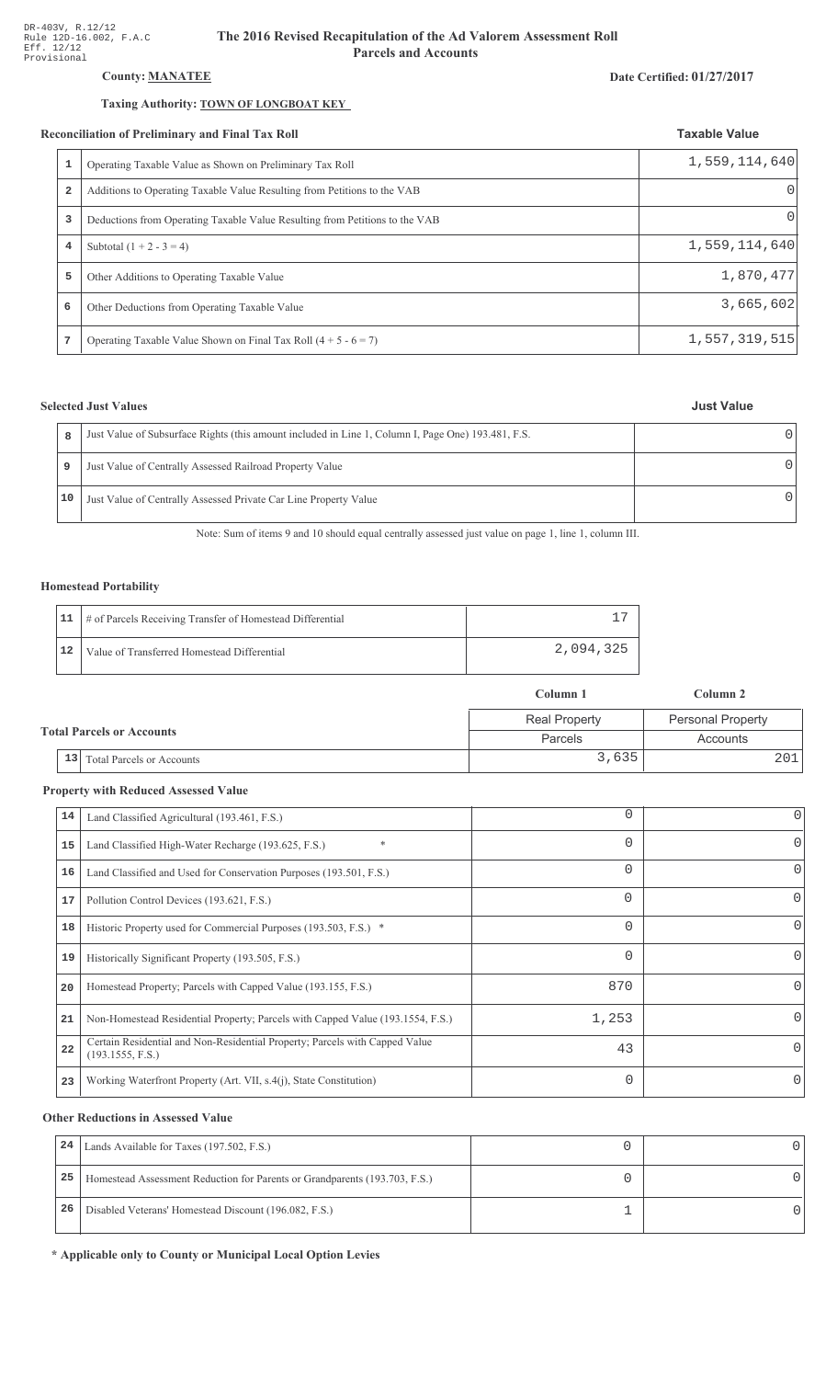# County: **MANATEE**

#### Taxing Authority: **TOWN OF LONGBOAT KEY**

#### Reconciliation of Preliminary and Final Tax Roll

|   | conciliation of Preliminary and Final Tax Roll                              | <b>Taxable Value</b> |
|---|-----------------------------------------------------------------------------|----------------------|
| 1 | Operating Taxable Value as Shown on Preliminary Tax Roll                    | 1,559,114,640        |
| 2 | Additions to Operating Taxable Value Resulting from Petitions to the VAB    | $\Omega$             |
| 3 | Deductions from Operating Taxable Value Resulting from Petitions to the VAB | $\left( \right)$     |
| 4 | Subtotal $(1 + 2 - 3 = 4)$                                                  | 1,559,114,640        |
| 5 | Other Additions to Operating Taxable Value                                  | 1,870,477            |
| 6 | Other Deductions from Operating Taxable Value                               | 3,665,602            |
| 7 | Operating Taxable Value Shown on Final Tax Roll $(4 + 5 - 6 = 7)$           | 1,557,319,515        |

# **Selected Just Values**

| <b>Just Value</b> |  |
|-------------------|--|
|                   |  |

| R  | Just Value of Subsurface Rights (this amount included in Line 1, Column I, Page One) 193.481, F.S. |  |
|----|----------------------------------------------------------------------------------------------------|--|
| 9  | Just Value of Centrally Assessed Railroad Property Value                                           |  |
| 10 | Just Value of Centrally Assessed Private Car Line Property Value                                   |  |

Note: Sum of items 9 and 10 should equal centrally assessed just value on page 1, line 1, column III.

### Homestead Portability

|    | 11   # of Parcels Receiving Transfer of Homestead Differential |           |
|----|----------------------------------------------------------------|-----------|
| 12 | Value of Transferred Homestead Differential                    | 2,094,325 |

|                                  |                                        | Column 1             | Column 2                 |  |
|----------------------------------|----------------------------------------|----------------------|--------------------------|--|
| <b>Total Parcels or Accounts</b> |                                        | <b>Real Property</b> | <b>Personal Property</b> |  |
|                                  |                                        | Parcels              | Accounts                 |  |
|                                  | 13<br><b>Total Parcels or Accounts</b> | 3,635                | 201                      |  |

#### **Property with Reduced Assessed Value**

| 14 | Land Classified Agricultural (193.461, F.S.)                                                    | $\Omega$ | 0        |
|----|-------------------------------------------------------------------------------------------------|----------|----------|
| 15 | Land Classified High-Water Recharge (193.625, F.S.)                                             | 0        | $\Omega$ |
| 16 | Land Classified and Used for Conservation Purposes (193.501, F.S.)                              | $\Omega$ | 0        |
| 17 | Pollution Control Devices (193.621, F.S.)                                                       | 0        | 0        |
| 18 | Historic Property used for Commercial Purposes (193.503, F.S.) *                                | $\Omega$ | 0        |
| 19 | Historically Significant Property (193.505, F.S.)                                               | 0        | $\Omega$ |
| 20 | Homestead Property; Parcels with Capped Value (193.155, F.S.)                                   | 870      | 0        |
| 21 | Non-Homestead Residential Property; Parcels with Capped Value (193.1554, F.S.)                  | 1,253    | 0        |
| 22 | Certain Residential and Non-Residential Property; Parcels with Capped Value<br>(193.1555, F.S.) | 43       | 0        |
| 23 | Working Waterfront Property (Art. VII, s.4(j), State Constitution)                              | $\Omega$ | $\Omega$ |
|    |                                                                                                 |          |          |

#### **Other Reductions in Assessed Value**

| 24 | Lands Available for Taxes (197.502, F.S.)                                  |  |
|----|----------------------------------------------------------------------------|--|
| 25 | Homestead Assessment Reduction for Parents or Grandparents (193.703, F.S.) |  |
| 26 | Disabled Veterans' Homestead Discount (196.082, F.S.)                      |  |

\* Applicable only to County or Municipal Local Option Levies

# Date Certified: 01/27/2017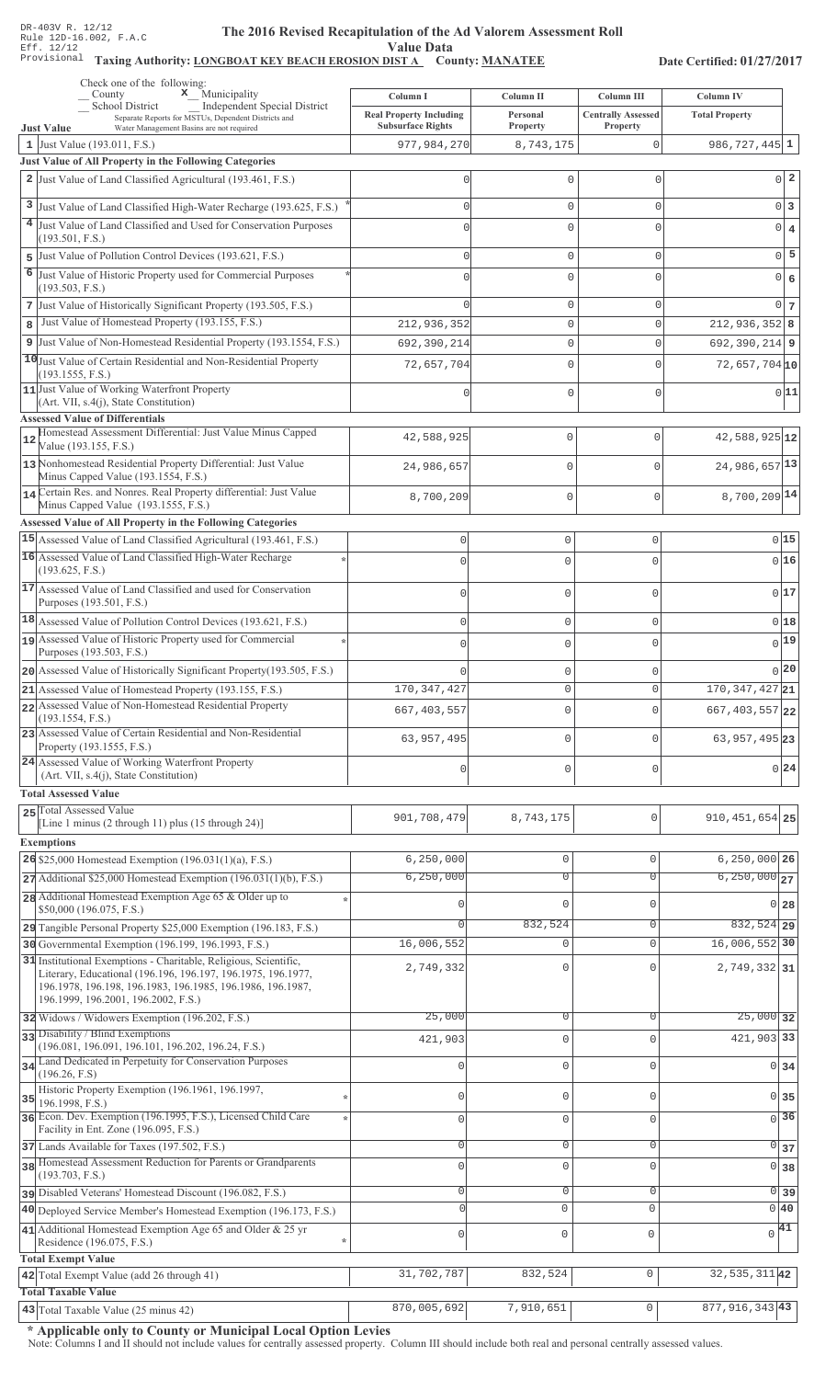#### The 2016 Revised Recapitulation of th The 2016 Revised Recapitulation of the Ad Valorem Assessment Roll **Value Data**

# Taxing Authority: LONGBOAT KEY BEACH EROSION DIST A County: MANATEE

Date Certified: 01/27/2017

|                | Check one of the following:<br>$\mathbf x$ Municipality<br>County                                                                                                                                                                     | Column I                                | Column II             | Column III                | Column IV                     |                 |
|----------------|---------------------------------------------------------------------------------------------------------------------------------------------------------------------------------------------------------------------------------------|-----------------------------------------|-----------------------|---------------------------|-------------------------------|-----------------|
|                | School District<br>Independent Special District<br>Separate Reports for MSTUs, Dependent Districts and                                                                                                                                | <b>Real Property Including</b>          | Personal              | <b>Centrally Assessed</b> | <b>Total Property</b>         |                 |
|                | <b>Just Value</b><br>Water Management Basins are not required<br>1 Just Value (193.011, F.S.)                                                                                                                                         | <b>Subsurface Rights</b><br>977,984,270 | Property<br>8,743,175 | Property<br>0             | $986, 727, 445$ 1             |                 |
|                | Just Value of All Property in the Following Categories                                                                                                                                                                                |                                         |                       |                           |                               |                 |
|                | 2 Just Value of Land Classified Agricultural (193.461, F.S.)                                                                                                                                                                          | Ω                                       | $\mathbf 0$           | $\mathbf{0}$              |                               | $0\vert 2$      |
|                | 3 Just Value of Land Classified High-Water Recharge (193.625, F.S.)                                                                                                                                                                   |                                         | $\mathbf 0$           | $\mathbf{0}$              | $0\vert 3$                    |                 |
| 4 <sup>1</sup> | Just Value of Land Classified and Used for Conservation Purposes                                                                                                                                                                      |                                         | $\Omega$              | $\cap$                    |                               |                 |
|                | (193.501, F.S.)                                                                                                                                                                                                                       |                                         |                       |                           | $0 \mid 4$                    |                 |
|                | 5 Just Value of Pollution Control Devices (193.621, F.S.)                                                                                                                                                                             |                                         | $\mathbf 0$           | $\mathbf{0}$              |                               | $0\overline{5}$ |
| 6              | Just Value of Historic Property used for Commercial Purposes<br>(193.503, F.S.)                                                                                                                                                       |                                         | $\mathbf 0$           | U                         | $0 \big  6$                   |                 |
|                | 7 Just Value of Historically Significant Property (193.505, F.S.)                                                                                                                                                                     |                                         | $\mathbf 0$           | $\mathbf{0}$              |                               | $0\overline{7}$ |
| 8              | Just Value of Homestead Property (193.155, F.S.)                                                                                                                                                                                      | 212,936,352                             | $\mathbb O$           | $\mathsf 0$               | $212,936,352$ 8               |                 |
| 9              | Just Value of Non-Homestead Residential Property (193.1554, F.S.)                                                                                                                                                                     | 692,390,214                             | $\mathbf{0}$          | $\mathbf{0}$              | $692, 390, 214$ 9             |                 |
|                | 10 Just Value of Certain Residential and Non-Residential Property                                                                                                                                                                     | 72,657,704                              | $\mathbf 0$           | $\Omega$                  | $72,657,704$ 10               |                 |
|                | (193.1555, F.S.)<br>11 Just Value of Working Waterfront Property                                                                                                                                                                      |                                         |                       |                           |                               | 0 11            |
|                | (Art. VII, s.4(j), State Constitution)                                                                                                                                                                                                |                                         | $\Omega$              | $\mathbf 0$               |                               |                 |
|                | <b>Assessed Value of Differentials</b><br>Homestead Assessment Differential: Just Value Minus Capped                                                                                                                                  |                                         |                       |                           |                               |                 |
| 12             | Value (193.155, F.S.)                                                                                                                                                                                                                 | 42,588,925                              | 0                     | $\mathbf{0}$              | 42,588,925 12                 |                 |
|                | 13 Nonhomestead Residential Property Differential: Just Value<br>Minus Capped Value (193.1554, F.S.)                                                                                                                                  | 24,986,657                              | 0                     | $\mathbf{0}$              | 24,986,657 13                 |                 |
|                | 14 Certain Res. and Nonres. Real Property differential: Just Value                                                                                                                                                                    | 8,700,209                               | 0                     | $\mathbf 0$               | 8,700,209 14                  |                 |
|                | Minus Capped Value (193.1555, F.S.)<br>Assessed Value of All Property in the Following Categories                                                                                                                                     |                                         |                       |                           |                               |                 |
|                | 15 Assessed Value of Land Classified Agricultural (193.461, F.S.)                                                                                                                                                                     | $\mathbf 0$                             | $\mathbf 0$           | 0                         | 0 15                          |                 |
|                | 16 Assessed Value of Land Classified High-Water Recharge                                                                                                                                                                              | $\mathbf{0}$                            | $\mathbf 0$           | $\cap$                    | 016                           |                 |
|                | (193.625, F.S.)                                                                                                                                                                                                                       |                                         |                       |                           |                               |                 |
|                | 17 Assessed Value of Land Classified and used for Conservation<br>Purposes (193.501, F.S.)                                                                                                                                            | $\mathbf 0$                             | $\mathbf 0$           | 0                         | 0 17                          |                 |
|                | $18$ Assessed Value of Pollution Control Devices (193.621, F.S.)                                                                                                                                                                      | $\mathbf 0$                             | $\mathbf 0$           | 0                         | 018                           |                 |
|                | 19 Assessed Value of Historic Property used for Commercial<br>Purposes (193.503, F.S.)                                                                                                                                                | $\mathbf{0}$                            | $\mathbf 0$           | $\Omega$                  | $0$ <sup>19</sup>             |                 |
|                | 20 Assessed Value of Historically Significant Property (193.505, F.S.)                                                                                                                                                                |                                         | $\mathbf 0$           | U                         | 0 20                          |                 |
|                | 21 Assessed Value of Homestead Property (193.155, F.S.)                                                                                                                                                                               | 170, 347, 427                           | $\circ$               | 0                         | $\overline{170,347,427}$ 21   |                 |
|                | 22 Assessed Value of Non-Homestead Residential Property                                                                                                                                                                               | 667, 403, 557                           | $\mathbf{0}$          | 0                         | $667, 403, 557$  22           |                 |
|                | (193.1554, F.S.)<br>23 Assessed Value of Certain Residential and Non-Residential                                                                                                                                                      | 63, 957, 495                            | $\mathbf 0$           | O                         | 63, 957, 495 23               |                 |
|                | Property (193.1555, F.S.)<br>24 Assessed Value of Working Waterfront Property                                                                                                                                                         |                                         |                       |                           |                               |                 |
|                | (Art. VII, s.4(j), State Constitution)                                                                                                                                                                                                | $\mathbf{0}$                            | $\mathbf 0$           | U                         | 0 24                          |                 |
|                | <b>Total Assessed Value</b>                                                                                                                                                                                                           |                                         |                       |                           |                               |                 |
|                | 25 Total Assessed Value<br>[Line 1 minus (2 through 11) plus (15 through 24)]                                                                                                                                                         | 901,708,479                             | 8,743,175             | 0                         | $910, 451, 654$ 25            |                 |
|                | <b>Exemptions</b>                                                                                                                                                                                                                     |                                         |                       |                           |                               |                 |
|                | 26 \$25,000 Homestead Exemption (196.031(1)(a), F.S.)                                                                                                                                                                                 | 6, 250, 000                             | $\mathbb O$           | $\mathbf 0$               | $6,250,000$ 26                |                 |
|                | $27$ Additional \$25,000 Homestead Exemption (196.031(1)(b), F.S.)                                                                                                                                                                    | 6, 250, 000                             | $\overline{0}$        | $\Omega$                  | $6,250,000$ 27                |                 |
|                | 28 Additional Homestead Exemption Age 65 & Older up to<br>\$50,000 (196.075, F.S.)                                                                                                                                                    |                                         | $\mathbf{0}$          | $\Omega$                  | $0$ 28                        |                 |
|                | 29 Tangible Personal Property \$25,000 Exemption (196.183, F.S.)                                                                                                                                                                      |                                         | 832,524               | $\mathbf 0$               | $832,524$ 29                  |                 |
|                | 30 Governmental Exemption (196.199, 196.1993, F.S.)                                                                                                                                                                                   | 16,006,552                              | $\mathbb O$           | $\Omega$                  | 16,006,552 30                 |                 |
|                | 31 Institutional Exemptions - Charitable, Religious, Scientific,<br>Literary, Educational (196.196, 196.197, 196.1975, 196.1977,<br>196.1978, 196.198, 196.1983, 196.1985, 196.1986, 196.1987,<br>196.1999, 196.2001, 196.2002, F.S.) | 2,749,332                               | $\Omega$              |                           | 2,749,332 31                  |                 |
|                | 32 Widows / Widowers Exemption (196.202, F.S.)                                                                                                                                                                                        | 25,000                                  | $\overline{0}$        | $\Omega$                  | $25,000$ 32                   |                 |
|                | 33 Disability / Blind Exemptions<br>(196.081, 196.091, 196.101, 196.202, 196.24, F.S.)                                                                                                                                                | 421,903                                 | $\mathbb O$           | $\Omega$                  | 421,903 33                    |                 |
|                | 34 Land Dedicated in Perpetuity for Conservation Purposes                                                                                                                                                                             |                                         | $\mathbb O$           | $\Omega$                  | 0 34                          |                 |
|                | (196.26, F.S)                                                                                                                                                                                                                         |                                         |                       |                           |                               |                 |
| 35             | Historic Property Exemption (196.1961, 196.1997,<br>196.1998, F.S.)                                                                                                                                                                   | 0                                       | $\mathbb O$           | $\mathbf{0}$              | 0 35                          |                 |
|                | 36 Econ. Dev. Exemption (196.1995, F.S.), Licensed Child Care<br>Facility in Ent. Zone (196.095, F.S.)                                                                                                                                | $\circ$                                 | $\mathsf{O}\xspace$   | $\mathbf 0$               | $\overline{0}$ 36             |                 |
|                | 37 Lands Available for Taxes (197.502, F.S.)                                                                                                                                                                                          | $\circ$                                 | $\mathbb O$           | 0                         | $\overline{0}$ 37             |                 |
|                | 38 Homestead Assessment Reduction for Parents or Grandparents<br>(193.703, F.S.)                                                                                                                                                      | $\Omega$                                | $\mathbf 0$           | $\Omega$                  | 0 38                          |                 |
|                | pisabled Veterans' Homestead Discount (196.082, F.S.)                                                                                                                                                                                 | 0                                       | $\mathbb O$           | $\mathbf 0$               | 0 39                          |                 |
|                | 40 Deployed Service Member's Homestead Exemption (196.173, F.S.)                                                                                                                                                                      | $\Omega$                                | $\mathbf 0$           | $\mathbf{0}$              | 0 40                          |                 |
|                | 41 Additional Homestead Exemption Age 65 and Older & 25 yr                                                                                                                                                                            | 0                                       | $\mathsf 0$           | $\mathbf 0$               | $\sqrt{41}$                   |                 |
|                | Residence (196.075, F.S.)<br><b>Total Exempt Value</b>                                                                                                                                                                                |                                         |                       |                           |                               |                 |
|                | 42 Total Exempt Value (add 26 through 41)                                                                                                                                                                                             | 31,702,787                              | 832,524               | $\mathbf 0$               | $\overline{32}$ , 535, 311 42 |                 |
|                | <b>Total Taxable Value</b>                                                                                                                                                                                                            |                                         |                       |                           |                               |                 |
|                | 43 Total Taxable Value (25 minus 42)                                                                                                                                                                                                  | 870,005,692                             | 7,910,651             | $\mathsf{O}\xspace$       | 877, 916, 343 43              |                 |

\* Applicable only to County or Municipal Local Option Levies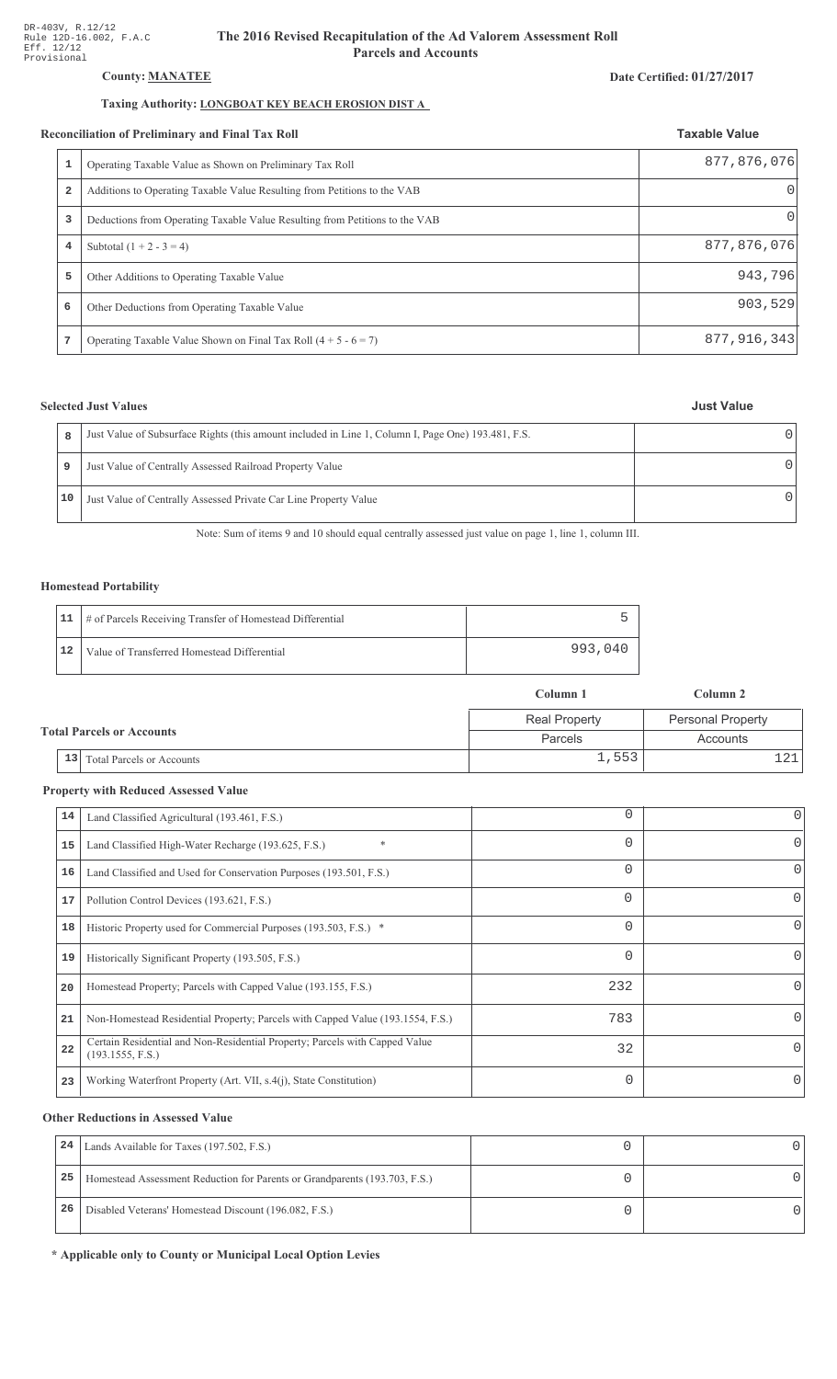# **County: MANATEE**

# Taxing Authority: **LONGBOAT KEY BEACH EROSION DIST A**

#### Reconciliation of Preliminary and Final Tax Roll

|   | conciliation of Preliminary and Final Tax Roll                              | <b>Taxable Value</b> |
|---|-----------------------------------------------------------------------------|----------------------|
|   | Operating Taxable Value as Shown on Preliminary Tax Roll                    | 877,876,076          |
| 2 | Additions to Operating Taxable Value Resulting from Petitions to the VAB    |                      |
| 3 | Deductions from Operating Taxable Value Resulting from Petitions to the VAB | $\left( \right)$     |
| 4 | Subtotal $(1 + 2 - 3 = 4)$                                                  | 877,876,076          |
| 5 | Other Additions to Operating Taxable Value                                  | 943,796              |
| 6 | Other Deductions from Operating Taxable Value                               | 903, 529             |
| 7 | Operating Taxable Value Shown on Final Tax Roll $(4 + 5 - 6 = 7)$           | 877,916,343          |

# **Selected Just Values**

|    | Just Value of Subsurface Rights (this amount included in Line 1, Column I, Page One) 193.481, F.S. |  |
|----|----------------------------------------------------------------------------------------------------|--|
| 9  | Just Value of Centrally Assessed Railroad Property Value                                           |  |
| 10 | Just Value of Centrally Assessed Private Car Line Property Value                                   |  |

Note: Sum of items 9 and 10 should equal centrally assessed just value on page 1, line 1, column III.

### **Homestead Portability**

|    | 11   # of Parcels Receiving Transfer of Homestead Differential |         |
|----|----------------------------------------------------------------|---------|
| 12 | Value of Transferred Homestead Differential                    | 993,040 |

|                                  |                                        | Column 1             | Column 2                 |
|----------------------------------|----------------------------------------|----------------------|--------------------------|
|                                  |                                        | <b>Real Property</b> | <b>Personal Property</b> |
| <b>Total Parcels or Accounts</b> |                                        | Parcels              | Accounts                 |
|                                  | 13<br><b>Total Parcels or Accounts</b> | 1,553                |                          |

# **Property with Reduced Assessed Value**

| 14 | Land Classified Agricultural (193.461, F.S.)                                                    | 0        | 0        |
|----|-------------------------------------------------------------------------------------------------|----------|----------|
| 15 | *<br>Land Classified High-Water Recharge (193.625, F.S.)                                        | 0        | 0        |
| 16 | Land Classified and Used for Conservation Purposes (193.501, F.S.)                              | 0        |          |
| 17 | Pollution Control Devices (193.621, F.S.)                                                       | 0        | 0        |
| 18 | Historic Property used for Commercial Purposes (193.503, F.S.) *                                | 0        |          |
| 19 | Historically Significant Property (193.505, F.S.)                                               | $\Omega$ | 0        |
| 20 | Homestead Property; Parcels with Capped Value (193.155, F.S.)                                   | 232      | 0        |
| 21 | Non-Homestead Residential Property; Parcels with Capped Value (193.1554, F.S.)                  | 783      | 0        |
| 22 | Certain Residential and Non-Residential Property; Parcels with Capped Value<br>(193.1555, F.S.) | 32       | $\Omega$ |
| 23 | Working Waterfront Property (Art. VII, s.4(j), State Constitution)                              | $\Omega$ |          |
|    |                                                                                                 |          |          |

# **Other Reductions in Assessed Value**

| 24 | Lands Available for Taxes (197.502, F.S.)                                  |  |
|----|----------------------------------------------------------------------------|--|
| 25 | Homestead Assessment Reduction for Parents or Grandparents (193.703, F.S.) |  |
| 26 | Disabled Veterans' Homestead Discount (196.082, F.S.)                      |  |

\* Applicable only to County or Municipal Local Option Levies

#### Date Certified: 01/27/2017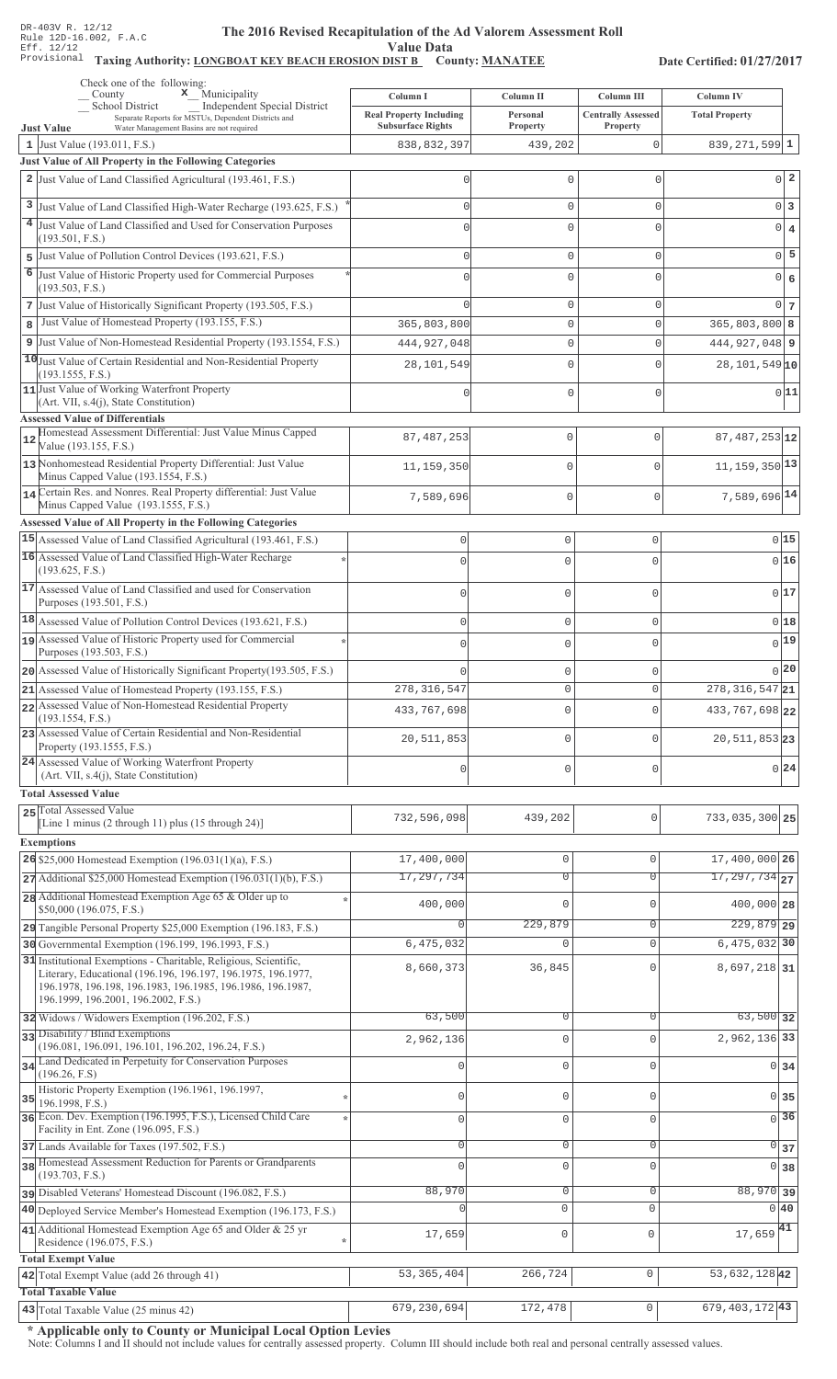#### The 2016 Revised Recapitulation of th The 2016 Revised Recapitulation of the Ad Valorem Assessment Roll **Value Data**

# Taxing Authority: LONGBOAT KEY BEACH EROSION DIST B County: MANATEE

Date Certified: 01/27/2017

|    | Check one of the following:<br>x Municipality<br>County                                                                 | Column I                       | Column II                          | Column III                 | Column IV                    |                 |
|----|-------------------------------------------------------------------------------------------------------------------------|--------------------------------|------------------------------------|----------------------------|------------------------------|-----------------|
|    | School District<br>Independent Special District<br>Separate Reports for MSTUs, Dependent Districts and                  | <b>Real Property Including</b> | Personal                           | <b>Centrally Assessed</b>  | <b>Total Property</b>        |                 |
|    | Water Management Basins are not required<br><b>Just Value</b>                                                           | <b>Subsurface Rights</b>       | Property                           | Property                   |                              |                 |
|    | 1 Just Value (193.011, F.S.)<br>Just Value of All Property in the Following Categories                                  | 838, 832, 397                  | 439,202                            | $\mathbf{0}$               | $839, 271, 599$ 1            |                 |
|    | 2 Just Value of Land Classified Agricultural (193.461, F.S.)                                                            |                                | 0                                  | $\mathbf 0$                |                              | $0\vert 2$      |
|    |                                                                                                                         |                                |                                    |                            |                              |                 |
|    | 3 Just Value of Land Classified High-Water Recharge (193.625, F.S.)                                                     | Λ                              | $\mathbf{0}$                       | $\mathbf 0$                |                              | 0 3             |
|    | 4 Just Value of Land Classified and Used for Conservation Purposes<br>(193.501, F.S.)                                   |                                | $\mathbf 0$                        | $\Omega$                   |                              | $0 \mid 4$      |
|    | 5 Just Value of Pollution Control Devices (193.621, F.S.)                                                               | Λ                              | $\mathbb O$                        | $\mathbf 0$                |                              | $0\overline{5}$ |
|    | 6 Just Value of Historic Property used for Commercial Purposes                                                          |                                | $\mathbf{0}$                       | $\Omega$                   |                              | 0 6             |
|    | (193.503, F.S.)                                                                                                         |                                |                                    |                            |                              |                 |
|    | 7 Just Value of Historically Significant Property (193.505, F.S.)<br>Just Value of Homestead Property (193.155, F.S.)   |                                | $\mathsf{O}\xspace$<br>$\mathbb O$ | $\mathbf 0$<br>$\mathbf 0$ | $365,803,800$ 8              | $0\vert 7$      |
| 8  | 9 Just Value of Non-Homestead Residential Property (193.1554, F.S.)                                                     | 365,803,800                    | $\mathbb O$                        | $\Omega$                   | 444, 927, 048 9              |                 |
|    | 10 Just Value of Certain Residential and Non-Residential Property                                                       | 444, 927, 048                  |                                    |                            |                              |                 |
|    | (193.1555, F.S.)                                                                                                        | 28,101,549                     | $\mathbf{0}$                       | $\Omega$                   | $28,101,549$ 10              |                 |
|    | 11 Just Value of Working Waterfront Property<br>$(Art. VII, s.4(j), State Constitution)$                                |                                | $\mathbf{0}$                       | $\mathbf 0$                |                              | 0 11            |
|    | <b>Assessed Value of Differentials</b>                                                                                  |                                |                                    |                            |                              |                 |
| 12 | Homestead Assessment Differential: Just Value Minus Capped                                                              | 87, 487, 253                   | 0                                  | $\mathbf 0$                | 87, 487, 253 12              |                 |
|    | Value (193.155, F.S.)<br>13 Nonhomestead Residential Property Differential: Just Value                                  |                                |                                    |                            |                              |                 |
|    | Minus Capped Value (193.1554, F.S.)                                                                                     | 11,159,350                     | 0                                  | $\mathbf 0$                | $11, 159, 350$ <sup>13</sup> |                 |
|    | 14 Certain Res. and Nonres. Real Property differential: Just Value                                                      | 7,589,696                      | 0                                  | $\mathbf 0$                | 7,589,696 14                 |                 |
|    | Minus Capped Value (193.1555, F.S.)<br>Assessed Value of All Property in the Following Categories                       |                                |                                    |                            |                              |                 |
|    | 15 Assessed Value of Land Classified Agricultural (193.461, F.S.)                                                       | $\mathbf 0$                    | $\mathbf 0$                        | 0                          |                              | 015             |
|    | 16 Assessed Value of Land Classified High-Water Recharge                                                                | $\Omega$                       | $\mathbf 0$                        | $\Omega$                   |                              | 016             |
|    | (193.625, F.S.)                                                                                                         |                                |                                    |                            |                              |                 |
|    | 17 Assessed Value of Land Classified and used for Conservation<br>Purposes (193.501, F.S.)                              | $\Omega$                       | $\mathbf 0$                        | $\Omega$                   |                              | 0 17            |
|    | 18 Assessed Value of Pollution Control Devices (193.621, F.S.)                                                          | $\mathbf{0}$                   | $\mathbf 0$                        | 0                          |                              | 018             |
|    | 19 Assessed Value of Historic Property used for Commercial                                                              | $\mathbf{0}$                   | $\mathbf 0$                        | O                          |                              | $_{0} 19 $      |
|    | Purposes (193.503, F.S.)                                                                                                |                                |                                    |                            |                              |                 |
|    | 20 Assessed Value of Historically Significant Property (193.505, F.S.)                                                  |                                | $\mathbf 0$                        | 0                          |                              | $0$  20         |
|    | 21 Assessed Value of Homestead Property (193.155, F.S.)                                                                 | 278, 316, 547                  | $\circ$                            | 0                          | $278, 316, 547$ 21           |                 |
|    | 22 Assessed Value of Non-Homestead Residential Property<br>(193.1554, F.S.)                                             | 433,767,698                    | $\mathbf 0$                        | O                          | 433, 767, 698 22             |                 |
|    | 23 Assessed Value of Certain Residential and Non-Residential                                                            | 20,511,853                     | $\mathbf 0$                        | O                          | 20, 511, 853 23              |                 |
|    | Property (193.1555, F.S.)<br>24 Assessed Value of Working Waterfront Property                                           |                                |                                    |                            |                              |                 |
|    | (Art. VII, s.4(j), State Constitution)                                                                                  | $\mathbf 0$                    | $\mathbf 0$                        | 0                          |                              | 0 24            |
|    | <b>Total Assessed Value</b>                                                                                             |                                |                                    |                            |                              |                 |
|    | 25 Total Assessed Value<br>[Line 1 minus (2 through 11) plus (15 through 24)]                                           | 732,596,098                    | 439,202                            | $\mathbf{0}$               | 733,035,300 25               |                 |
|    | <b>Exemptions</b>                                                                                                       |                                |                                    |                            |                              |                 |
|    | 26 \$25,000 Homestead Exemption $(196.031(1)(a), F.S.)$                                                                 | 17,400,000                     | $\mathbf 0$                        | $\mathsf 0$                | 17,400,000 26                |                 |
|    | $27$ Additional \$25,000 Homestead Exemption (196.031(1)(b), F.S.)                                                      | 17,297,734                     | $\overline{0}$                     | 0                          | $\overline{17,297,734}$ 27   |                 |
|    | 28 Additional Homestead Exemption Age 65 & Older up to                                                                  | 400,000                        | $\mathbf{0}$                       | $\mathbf{0}$               | 400,000 28                   |                 |
|    | \$50,000 (196.075, F.S.)                                                                                                |                                | 229,879                            | 0                          | $229,879$ 29                 |                 |
|    | 29 Tangible Personal Property \$25,000 Exemption (196.183, F.S.)<br>30 Governmental Exemption (196.199, 196.1993, F.S.) | 6,475,032                      | $\mathbf 0$                        | $\mathbf 0$                | 6,475,032 30                 |                 |
|    | 31 Institutional Exemptions - Charitable, Religious, Scientific,                                                        |                                |                                    |                            |                              |                 |
|    | Literary, Educational (196.196, 196.197, 196.1975, 196.1977,                                                            | 8,660,373                      | 36,845                             | $\Omega$                   | 8,697,218 31                 |                 |
|    | 196.1978, 196.198, 196.1983, 196.1985, 196.1986, 196.1987,<br>196.1999, 196.2001, 196.2002, F.S.)                       |                                |                                    |                            |                              |                 |
|    | 32 Widows / Widowers Exemption (196.202, F.S.)                                                                          | 63,500                         | 0                                  | $\Omega$                   | $63,500$ 32                  |                 |
|    | 33 Disability / Blind Exemptions                                                                                        | 2,962,136                      | $\mathbb O$                        | $\Omega$                   | 2,962,136 33                 |                 |
|    | (196.081, 196.091, 196.101, 196.202, 196.24, F.S.)<br>34 Land Dedicated in Perpetuity for Conservation Purposes         |                                | $\mathbf 0$                        | $\Omega$                   | $0 \overline{\smash{34}}$    |                 |
|    | (196.26, F.S)                                                                                                           |                                |                                    |                            |                              |                 |
| 35 | Historic Property Exemption (196.1961, 196.1997,<br>196.1998, F.S.)                                                     | 0                              | $\mathbf 0$                        | $\Omega$                   | $0\overline{35}$             |                 |
|    | 36 Econ. Dev. Exemption (196.1995, F.S.), Licensed Child Care                                                           | $\mathbf 0$                    | $\mathbf 0$                        | $\mathbf 0$                | $\overline{0}$ 36            |                 |
|    | Facility in Ent. Zone (196.095, F.S.)                                                                                   | 0                              | $\mathbf 0$                        | $\mathsf{O}\xspace$        |                              |                 |
|    | 37 Lands Available for Taxes (197.502, F.S.)<br>38 Homestead Assessment Reduction for Parents or Grandparents           | $\Omega$                       | $\mathbf 0$                        | $\Omega$                   | $\overline{0}$ 37            |                 |
|    | (193.703, F.S.)                                                                                                         |                                |                                    |                            | $0 \overline{\smash)38}$     |                 |
|    | pisabled Veterans' Homestead Discount (196.082, F.S.)                                                                   | 88,970                         | $\overline{0}$                     | $\mathsf{O}\xspace$        | 88,970 39                    |                 |
|    | 40 Deployed Service Member's Homestead Exemption (196.173, F.S.)                                                        |                                | $\mathbf 0$                        | $\mathbf 0$                | $0\vert 40$                  |                 |
|    | 41 Additional Homestead Exemption Age 65 and Older & 25 yr<br>Residence (196.075, F.S.)                                 | 17,659                         | 0                                  | $\mathbf 0$                | $17,659$ <sup>41</sup>       |                 |
|    | <b>Total Exempt Value</b>                                                                                               |                                |                                    |                            |                              |                 |
|    | 42 Total Exempt Value (add 26 through 41)                                                                               | 53, 365, 404                   | 266,724                            | $\mathbf 0$                | 53, 632, 128 42              |                 |
|    | <b>Total Taxable Value</b>                                                                                              |                                |                                    |                            |                              |                 |
|    | 43 Total Taxable Value (25 minus 42)                                                                                    | 679, 230, 694                  | 172,478                            | $\mathsf{O}\xspace$        | $679, 403, 172$ 43           |                 |

\* Applicable only to County or Municipal Local Option Levies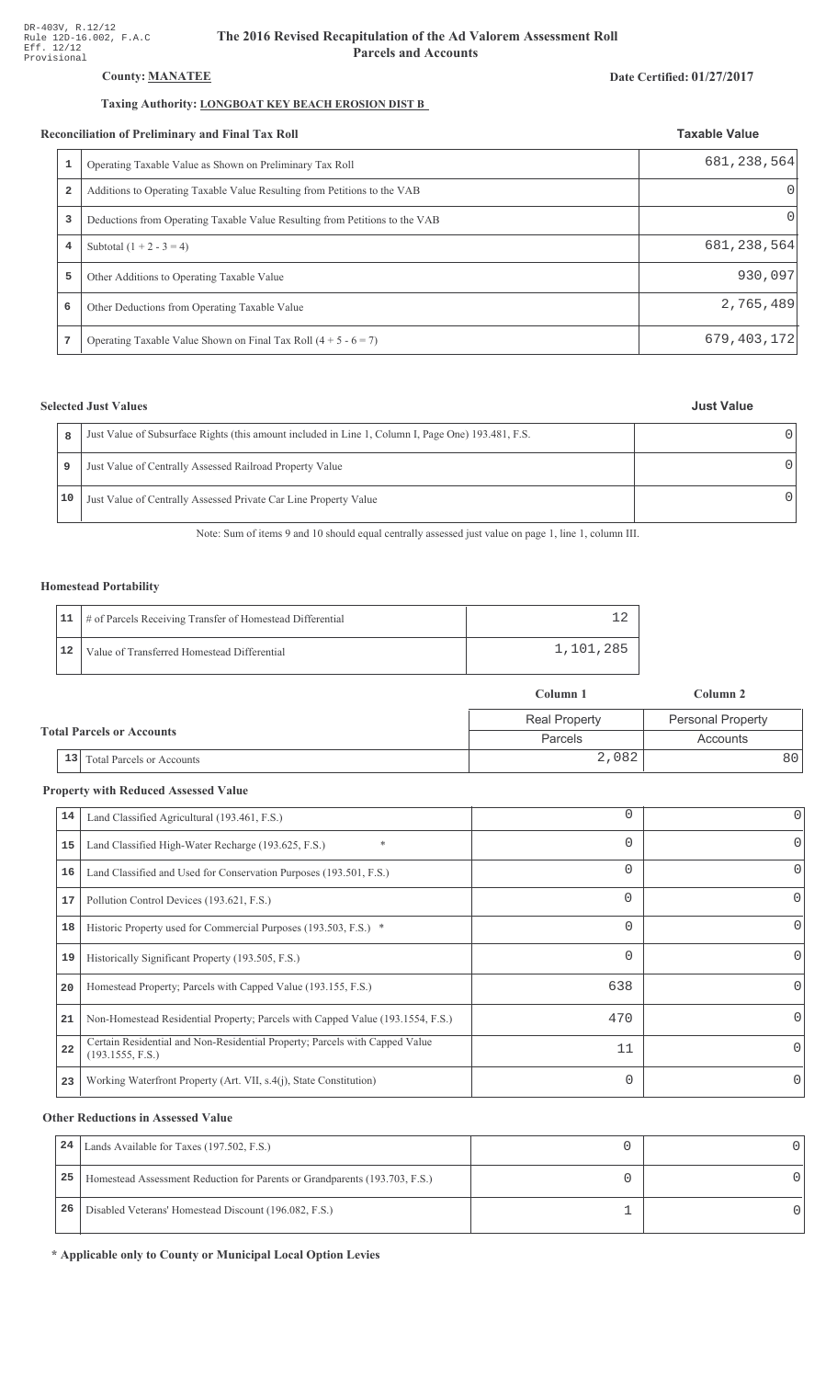# **County: MANATEE**

# Taxing Authority: **LONGBOAT KEY BEACH EROSION DIST B**

#### **Reconciliation of Preliminary and Final Tax Roll**

| conciliation of Preliminary and Final Tax Roll |                                                                             | <b>Taxable Value</b> |  |
|------------------------------------------------|-----------------------------------------------------------------------------|----------------------|--|
|                                                | Operating Taxable Value as Shown on Preliminary Tax Roll                    | 681, 238, 564        |  |
| 2                                              | Additions to Operating Taxable Value Resulting from Petitions to the VAB    |                      |  |
| 3                                              | Deductions from Operating Taxable Value Resulting from Petitions to the VAB | $\left( \right)$     |  |
| 4                                              | Subtotal $(1 + 2 - 3 = 4)$                                                  | 681, 238, 564        |  |
| 5                                              | Other Additions to Operating Taxable Value                                  | 930,097              |  |
| 6                                              | Other Deductions from Operating Taxable Value                               | 2,765,489            |  |
| 7                                              | Operating Taxable Value Shown on Final Tax Roll $(4 + 5 - 6 = 7)$           | 679, 403, 172        |  |

# **Selected Just Values**

| <b>Just Value</b> |
|-------------------|
|                   |

Date Certified: 01/27/2017

| 8  | Just Value of Subsurface Rights (this amount included in Line 1, Column I, Page One) 193.481, F.S. |  |
|----|----------------------------------------------------------------------------------------------------|--|
| 9  | Just Value of Centrally Assessed Railroad Property Value                                           |  |
| 10 | Just Value of Centrally Assessed Private Car Line Property Value                                   |  |

Note: Sum of items 9 and 10 should equal centrally assessed just value on page 1, line 1, column III.

### **Homestead Portability**

|    | 11   # of Parcels Receiving Transfer of Homestead Differential |           |
|----|----------------------------------------------------------------|-----------|
| 12 | Value of Transferred Homestead Differential                    | 1,101,285 |

|                                      | Column 1             | Column 2                 |  |
|--------------------------------------|----------------------|--------------------------|--|
|                                      | <b>Real Property</b> | <b>Personal Property</b> |  |
| <b>Total Parcels or Accounts</b>     | Parcels              | Accounts                 |  |
| $\vert$ 13 Total Parcels or Accounts | 2,082                | 80 I                     |  |

# **Property with Reduced Assessed Value**

| 14 | Land Classified Agricultural (193.461, F.S.)                                                    | 0        | 0        |
|----|-------------------------------------------------------------------------------------------------|----------|----------|
| 15 | *<br>Land Classified High-Water Recharge (193.625, F.S.)                                        | 0        | 0        |
| 16 | Land Classified and Used for Conservation Purposes (193.501, F.S.)                              | 0        |          |
| 17 | Pollution Control Devices (193.621, F.S.)                                                       | 0        | 0        |
| 18 | Historic Property used for Commercial Purposes (193.503, F.S.) *                                | 0        |          |
| 19 | Historically Significant Property (193.505, F.S.)                                               | $\Omega$ | 0        |
| 20 | Homestead Property; Parcels with Capped Value (193.155, F.S.)                                   | 638      | 0        |
| 21 | Non-Homestead Residential Property; Parcels with Capped Value (193.1554, F.S.)                  | 470      | 0        |
| 22 | Certain Residential and Non-Residential Property; Parcels with Capped Value<br>(193.1555, F.S.) | 11       | $\Omega$ |
| 23 | Working Waterfront Property (Art. VII, s.4(j), State Constitution)                              | $\Omega$ |          |
|    |                                                                                                 |          |          |

# **Other Reductions in Assessed Value**

| 24 | Lands Available for Taxes (197.502, F.S.)                                  |  |
|----|----------------------------------------------------------------------------|--|
| 25 | Homestead Assessment Reduction for Parents or Grandparents (193.703, F.S.) |  |
| 26 | Disabled Veterans' Homestead Discount (196.082, F.S.)                      |  |

\* Applicable only to County or Municipal Local Option Levies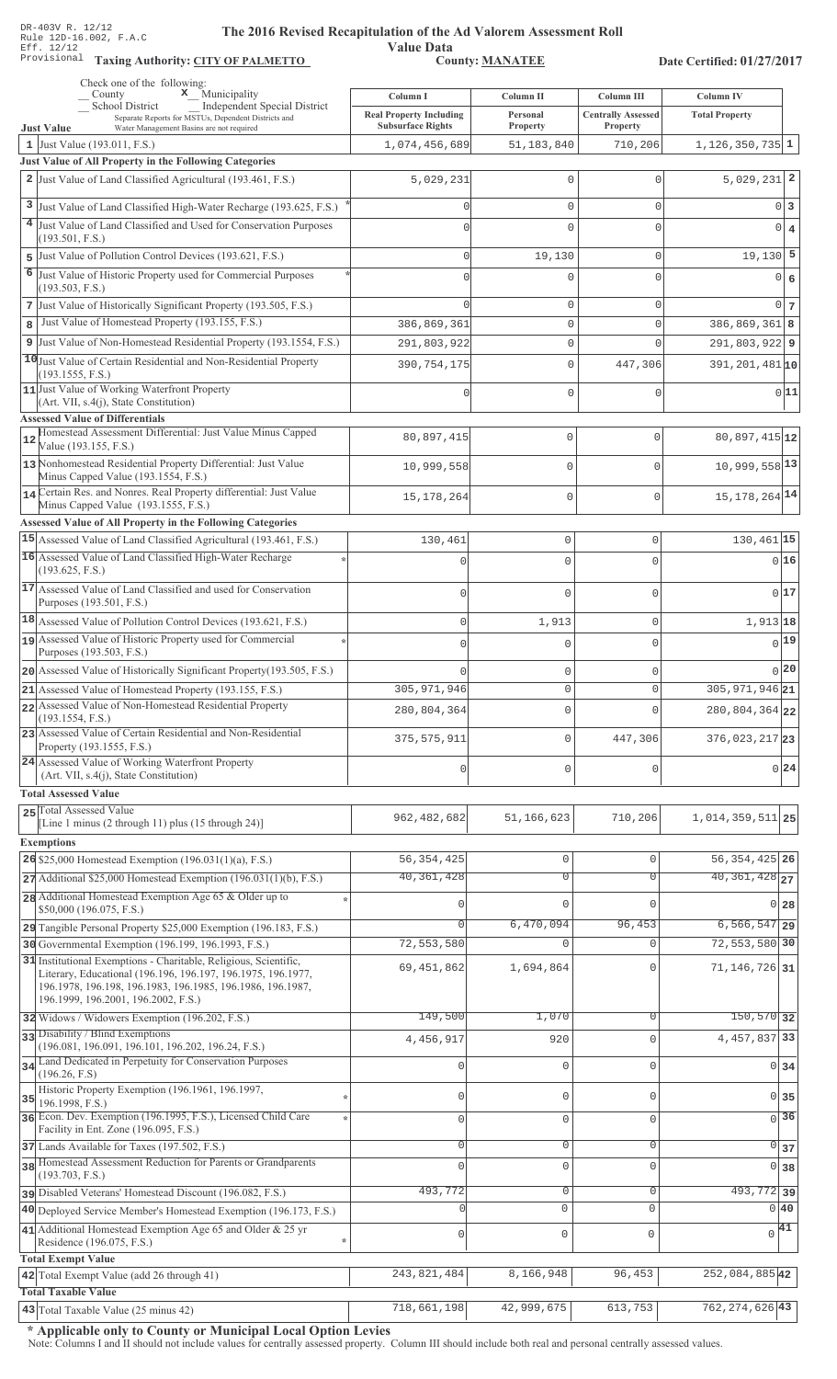**Taxing Auth** 

#### **The 2016 Rev** ised Recapitulation of the Ad Valorem Assessment Roll

**Value Data** ority: <u>CITY OF PALMETTO</u> County: MANATEE

Date Certified: 01/27/2017

| Check one of the following:<br>$\mathbf x$ Municipality                                                                                                                                                                               |                                            |                       |                                         |                                           |
|---------------------------------------------------------------------------------------------------------------------------------------------------------------------------------------------------------------------------------------|--------------------------------------------|-----------------------|-----------------------------------------|-------------------------------------------|
| County<br><b>Independent Special District</b><br>School District<br>Separate Reports for MSTUs, Dependent Districts and                                                                                                               | Column I<br><b>Real Property Including</b> | Column II<br>Personal | Column III<br><b>Centrally Assessed</b> | <b>Column IV</b><br><b>Total Property</b> |
| <b>Just Value</b><br>Water Management Basins are not required                                                                                                                                                                         | <b>Subsurface Rights</b>                   | Property              | Property                                |                                           |
| 1 Just Value (193.011, F.S.)                                                                                                                                                                                                          | 1,074,456,689                              | 51, 183, 840          | 710,206                                 | $1,126,350,735$ 1                         |
| <b>Just Value of All Property in the Following Categories</b>                                                                                                                                                                         |                                            |                       |                                         |                                           |
| 2 Just Value of Land Classified Agricultural (193.461, F.S.)                                                                                                                                                                          | 5,029,231                                  | 0                     | $\mathbf 0$                             | $5,029,231$ 2                             |
| 3 Just Value of Land Classified High-Water Recharge (193.625, F.S.)                                                                                                                                                                   |                                            | 0                     | $\mathbf 0$                             | 0 3                                       |
| 4 Just Value of Land Classified and Used for Conservation Purposes                                                                                                                                                                    |                                            | 0                     | $\circ$                                 | $\overline{0}$<br>$\overline{4}$          |
| (193.501, F.S.)                                                                                                                                                                                                                       |                                            |                       |                                         |                                           |
| Just Value of Pollution Control Devices (193.621, F.S.)<br>5<br>6                                                                                                                                                                     |                                            | 19,130                | $\mathbf{0}$                            | $19,130$ 5                                |
| Just Value of Historic Property used for Commercial Purposes<br>(193.503, F.S.)                                                                                                                                                       |                                            | 0                     | $\circ$                                 | 0 6                                       |
| 7 Just Value of Historically Significant Property (193.505, F.S.)                                                                                                                                                                     |                                            | 0                     | $\mathbf 0$                             | $0\vert 7$                                |
| Just Value of Homestead Property (193.155, F.S.)<br>8                                                                                                                                                                                 | 386,869,361                                | 0                     | $\mathbf 0$                             | $386, 869, 361$ 8                         |
| 9 Just Value of Non-Homestead Residential Property (193.1554, F.S.)                                                                                                                                                                   | 291,803,922                                | 0                     | $\mathbf{0}$                            | $291,803,922$ 9                           |
| 10 Just Value of Certain Residential and Non-Residential Property                                                                                                                                                                     | 390,754,175                                | 0                     | 447,306                                 | $391, 201, 481$ <sub>10</sub>             |
| (193.1555, F.S.)<br>11 Just Value of Working Waterfront Property                                                                                                                                                                      |                                            |                       |                                         |                                           |
| (Art. VII, s.4(j), State Constitution)                                                                                                                                                                                                |                                            | 0                     | $\mathbf 0$                             | 0 11                                      |
| <b>Assessed Value of Differentials</b>                                                                                                                                                                                                |                                            |                       |                                         |                                           |
| Homestead Assessment Differential: Just Value Minus Capped<br>12<br>Value (193.155, F.S.)                                                                                                                                             | 80,897,415                                 | $\mathbf 0$           | $\mathbf{0}$                            | $80,897,415$ <sub>12</sub>                |
| 13 Nonhomestead Residential Property Differential: Just Value<br>Minus Capped Value (193.1554, F.S.)                                                                                                                                  | 10,999,558                                 | $\mathbf 0$           | $\mathbf{0}$                            | $10,999,558$ <sup>13</sup>                |
| 14 Certain Res. and Nonres. Real Property differential: Just Value                                                                                                                                                                    | 15, 178, 264                               | $\mathbf{0}$          | $\mathbf{0}$                            | 15, 178, 264 14                           |
| Minus Capped Value (193.1555, F.S.)                                                                                                                                                                                                   |                                            |                       |                                         |                                           |
| <b>Assessed Value of All Property in the Following Categories</b>                                                                                                                                                                     |                                            |                       |                                         |                                           |
| 15 Assessed Value of Land Classified Agricultural (193.461, F.S.)<br>16 Assessed Value of Land Classified High-Water Recharge                                                                                                         | 130,461                                    | $\mathbf 0$           | $\mathbf{0}$                            | 130,461 15                                |
| (193.625, F.S.)                                                                                                                                                                                                                       | $\Omega$                                   | $\mathbf 0$           | $\Omega$                                | 0 16                                      |
| 17 Assessed Value of Land Classified and used for Conservation<br>Purposes (193.501, F.S.)                                                                                                                                            | 0                                          | $\mathbf 0$           | $\Omega$                                | 0 17                                      |
| 18 Assessed Value of Pollution Control Devices (193.621, F.S.)                                                                                                                                                                        | 0                                          | 1,913                 | $\mathbf{0}$                            | 1,913 18                                  |
| assessed Value of Historic Property used for Commercial                                                                                                                                                                               | 0                                          | $\mathbf 0$           | 0                                       | $0$ <sup>19</sup>                         |
| Purposes (193.503, F.S.)                                                                                                                                                                                                              |                                            |                       |                                         |                                           |
| 20 Assessed Value of Historically Significant Property (193.505, F.S.)                                                                                                                                                                |                                            | $\mathbf 0$           | $\Omega$                                | 0 20                                      |
| 21 Assessed Value of Homestead Property (193.155, F.S.)                                                                                                                                                                               | 305, 971, 946                              | $\mathsf 0$           | $\Omega$                                | $\overline{305,971,946}$ 21               |
| 22 Assessed Value of Non-Homestead Residential Property<br>(193.1554, F.S.)                                                                                                                                                           | 280,804,364                                | $\mathbf 0$           | $\Omega$                                | 280, 804, 364 22                          |
| 23 Assessed Value of Certain Residential and Non-Residential<br>Property (193.1555, F.S.)                                                                                                                                             | 375, 575, 911                              | $\mathsf 0$           | 447,306                                 | 376, 023, 217 23                          |
| 24 Assessed Value of Working Waterfront Property<br>(Art. VII, s.4(j), State Constitution)                                                                                                                                            | $\Omega$                                   | $\mathbf 0$           | O                                       | 0 24                                      |
| <b>Total Assessed Value</b>                                                                                                                                                                                                           |                                            |                       |                                         |                                           |
| 25 Total Assessed Value                                                                                                                                                                                                               |                                            |                       |                                         |                                           |
| [Line 1 minus (2 through 11) plus (15 through 24)]                                                                                                                                                                                    | 962, 482, 682                              | 51, 166, 623          | 710,206                                 | 1,014,359,511 25                          |
| <b>Exemptions</b>                                                                                                                                                                                                                     |                                            |                       |                                         |                                           |
| 26 \$25,000 Homestead Exemption (196.031(1)(a), F.S.)                                                                                                                                                                                 | 56, 354, 425                               | 0                     | $\mathbf{0}$                            | 56, 354, 425 26                           |
| 27 Additional \$25,000 Homestead Exemption (196.031(1)(b), F.S.)                                                                                                                                                                      | 40, 361, 428                               | $\overline{0}$        | $\overline{0}$                          | $40,361,428$ <sub>27</sub>                |
| 28 Additional Homestead Exemption Age 65 & Older up to<br>\$50,000 (196.075, F.S.)                                                                                                                                                    |                                            | 0                     | $\Omega$                                | $0\,$ 28                                  |
| 29 Tangible Personal Property \$25,000 Exemption (196.183, F.S.)                                                                                                                                                                      | $\Omega$                                   | 6,470,094             | 96,453                                  | $6, 566, 547$ 29                          |
| 30 Governmental Exemption (196.199, 196.1993, F.S.)                                                                                                                                                                                   | 72,553,580                                 | 0                     | $\mathbf{0}$                            | 72,553,580 30                             |
| 31 Institutional Exemptions - Charitable, Religious, Scientific,<br>Literary, Educational (196.196, 196.197, 196.1975, 196.1977,<br>196.1978, 196.198, 196.1983, 196.1985, 196.1986, 196.1987,<br>196.1999, 196.2001, 196.2002, F.S.) | 69, 451, 862                               | 1,694,864             | $\mathbf 0$                             | 71, 146, 726 31                           |
| 32 Widows / Widowers Exemption (196.202, F.S.)                                                                                                                                                                                        | 149,500                                    | 1,070                 | 0                                       | $150, 570$ 32                             |
| 33 Disability / Blind Exemptions                                                                                                                                                                                                      | 4,456,917                                  | 920                   | $\circ$                                 | 4, 457, 837 33                            |
| (196.081, 196.091, 196.101, 196.202, 196.24, F.S.)<br>34 Land Dedicated in Perpetuity for Conservation Purposes                                                                                                                       |                                            |                       |                                         |                                           |
| (196.26, F.S)                                                                                                                                                                                                                         |                                            | 0                     | $\circ$                                 | $0 \overline{\smash{34}}$                 |
| Historic Property Exemption (196.1961, 196.1997,<br>35<br>196.1998, F.S.)                                                                                                                                                             | $\Omega$                                   | 0                     | $\mathbf{0}$                            | $0 \overline{\smash)35}$                  |
| 36 Econ. Dev. Exemption (196.1995, F.S.), Licensed Child Care<br>Facility in Ent. Zone (196.095, F.S.)                                                                                                                                | $\Omega$                                   | 0                     | $\mathbf 0$                             | $\overline{0}$ 36                         |
| 37 Lands Available for Taxes (197.502, F.S.)                                                                                                                                                                                          | $\circ$                                    | 0                     | $\mathbf 0$                             | $\overline{0}$ 37                         |
| 38 Homestead Assessment Reduction for Parents or Grandparents                                                                                                                                                                         | $\Omega$                                   | $\overline{0}$        | $\mathbf{0}$                            | $0 \overline{\smash{\big)}\ 38}$          |
| (193.703, F.S.)                                                                                                                                                                                                                       |                                            |                       |                                         |                                           |
| pisabled Veterans' Homestead Discount (196.082, F.S.)                                                                                                                                                                                 | 493,772                                    | 0<br>$\mathbf 0$      | $\mathbf{0}$<br>$\Omega$                | $493,772$ 39<br>0 40                      |
| 40 Deployed Service Member's Homestead Exemption (196.173, F.S.)                                                                                                                                                                      |                                            |                       |                                         |                                           |
| 41 Additional Homestead Exemption Age 65 and Older & 25 yr<br>Residence (196.075, F.S.)                                                                                                                                               | $\mathbf 0$                                | $\mathbb O$           | $\mathbf 0$                             | $\sqrt{41}$                               |
| <b>Total Exempt Value</b>                                                                                                                                                                                                             |                                            |                       |                                         |                                           |
| 42 Total Exempt Value (add 26 through 41)                                                                                                                                                                                             | 243, 821, 484                              | 8,166,948             | 96,453                                  | 252,084,885 42                            |
| <b>Total Taxable Value</b>                                                                                                                                                                                                            |                                            |                       |                                         |                                           |
| 43 Total Taxable Value (25 minus 42)                                                                                                                                                                                                  | 718,661,198                                | 42,999,675            | 613,753                                 | 762, 274, 626 43                          |

\* Applicable only to County or Municipal Local Option Levies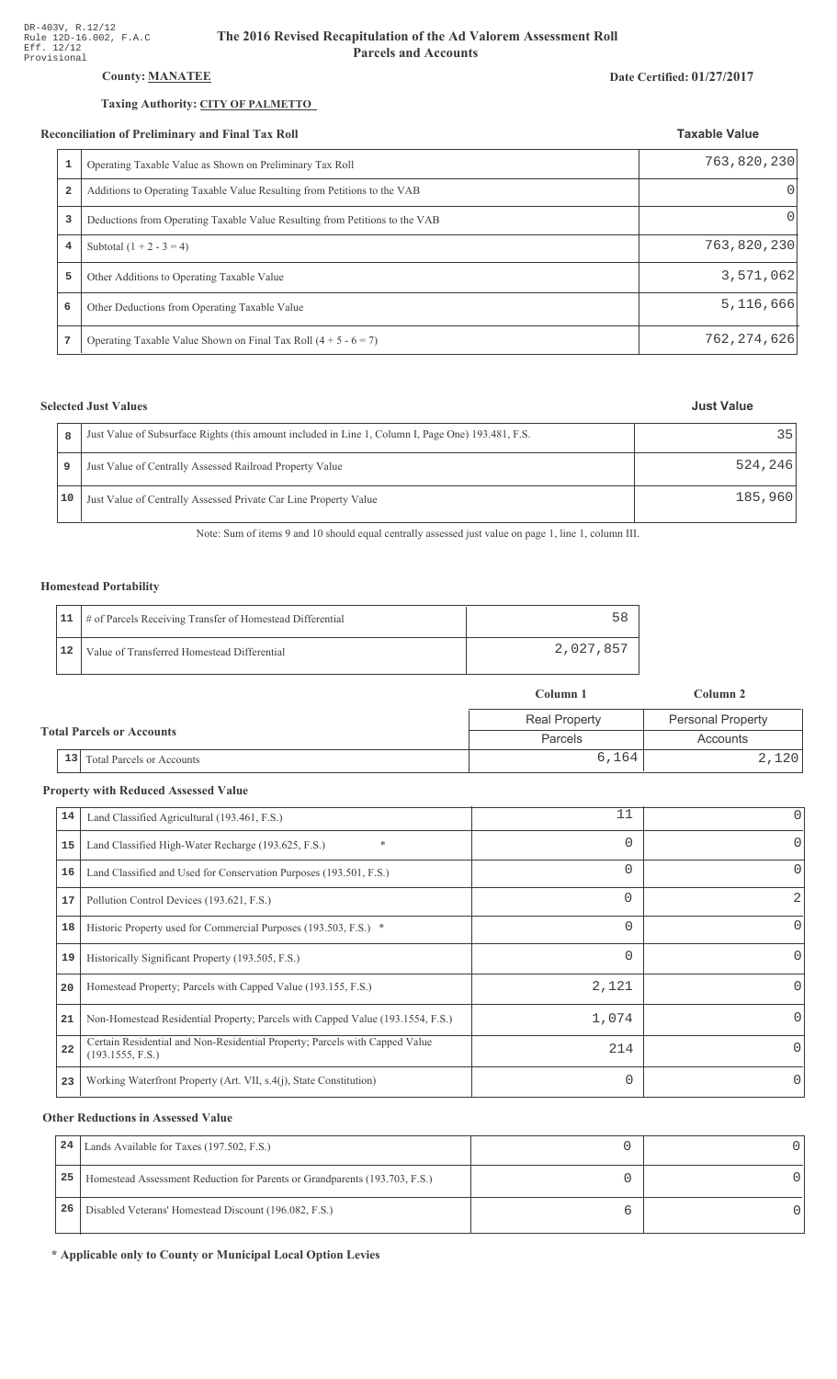#### The 2016 Revised Recapitulation of the Ad Valorem Assessment Roll **Parcels and Accounts**

# County: **MANATEE**

### Taxing Authority: CITY OF PALMETTO

#### Reconciliation of Preliminary and Final Tax Roll

| 1<br>Operating Taxable Value as Shown on Preliminary Tax Roll<br>$\overline{2}$<br>Additions to Operating Taxable Value Resulting from Petitions to the VAB<br>3<br>Deductions from Operating Taxable Value Resulting from Petitions to the VAB<br>Subtotal $(1 + 2 - 3 = 4)$<br>4<br>5<br>Other Additions to Operating Taxable Value<br>6<br>Other Deductions from Operating Taxable Value |  |             |
|---------------------------------------------------------------------------------------------------------------------------------------------------------------------------------------------------------------------------------------------------------------------------------------------------------------------------------------------------------------------------------------------|--|-------------|
|                                                                                                                                                                                                                                                                                                                                                                                             |  | 763,820,230 |
|                                                                                                                                                                                                                                                                                                                                                                                             |  | $\Omega$    |
|                                                                                                                                                                                                                                                                                                                                                                                             |  | O           |
|                                                                                                                                                                                                                                                                                                                                                                                             |  | 763,820,230 |
|                                                                                                                                                                                                                                                                                                                                                                                             |  | 3,571,062   |
|                                                                                                                                                                                                                                                                                                                                                                                             |  | 5,116,666   |

# **Selected Just Values**

| 8  | Just Value of Subsurface Rights (this amount included in Line 1, Column I, Page One) 193.481, F.S. | 35      |
|----|----------------------------------------------------------------------------------------------------|---------|
| 9  | Just Value of Centrally Assessed Railroad Property Value                                           | 524,246 |
| 10 | Just Value of Centrally Assessed Private Car Line Property Value                                   | 185,960 |

Note: Sum of items 9 and 10 should equal centrally assessed just value on page 1, line 1, column III.

# Homestead Portability

|    | 11   # of Parcels Receiving Transfer of Homestead Differential |           |
|----|----------------------------------------------------------------|-----------|
| 12 | Value of Transferred Homestead Differential                    | 2,027,857 |

|                                  |    |                           | Column 1             | Column 2                 |
|----------------------------------|----|---------------------------|----------------------|--------------------------|
|                                  |    |                           | <b>Real Property</b> | <b>Personal Property</b> |
| <b>Total Parcels or Accounts</b> |    |                           | Parcels              | Accounts                 |
|                                  | 13 | Total Parcels or Accounts | 6,164                | 2,120                    |

#### **Property with Reduced Assessed Value**

| 14 | Land Classified Agricultural (193.461, F.S.)                                                    | 11       | 0            |
|----|-------------------------------------------------------------------------------------------------|----------|--------------|
| 15 | $\ast$<br>Land Classified High-Water Recharge (193.625, F.S.)                                   | $\Omega$ | 0            |
| 16 | Land Classified and Used for Conservation Purposes (193.501, F.S.)                              | 0        | $\Omega$     |
| 17 | Pollution Control Devices (193.621, F.S.)                                                       | 0        | 2            |
| 18 | Historic Property used for Commercial Purposes (193.503, F.S.) *                                | 0        | 0            |
| 19 | Historically Significant Property (193.505, F.S.)                                               | 0        | 0            |
| 20 | Homestead Property; Parcels with Capped Value (193.155, F.S.)                                   | 2,121    | <sup>o</sup> |
| 21 | Non-Homestead Residential Property; Parcels with Capped Value (193.1554, F.S.)                  | 1,074    | <sup>o</sup> |
| 22 | Certain Residential and Non-Residential Property; Parcels with Capped Value<br>(193.1555, F.S.) | 214      | 0            |
| 23 | Working Waterfront Property (Art. VII, s.4(j), State Constitution)                              | $\Omega$ | $\Omega$     |

#### **Other Reductions in Assessed Value**

| 24 | Lands Available for Taxes (197.502, F.S.)                                  |  |
|----|----------------------------------------------------------------------------|--|
| 25 | Homestead Assessment Reduction for Parents or Grandparents (193.703, F.S.) |  |
| 26 | Disabled Veterans' Homestead Discount (196.082, F.S.)                      |  |

\* Applicable only to County or Municipal Local Option Levies

# Date Certified: 01/27/2017

**Taxable Value** 

**Just Value** 

762,274,626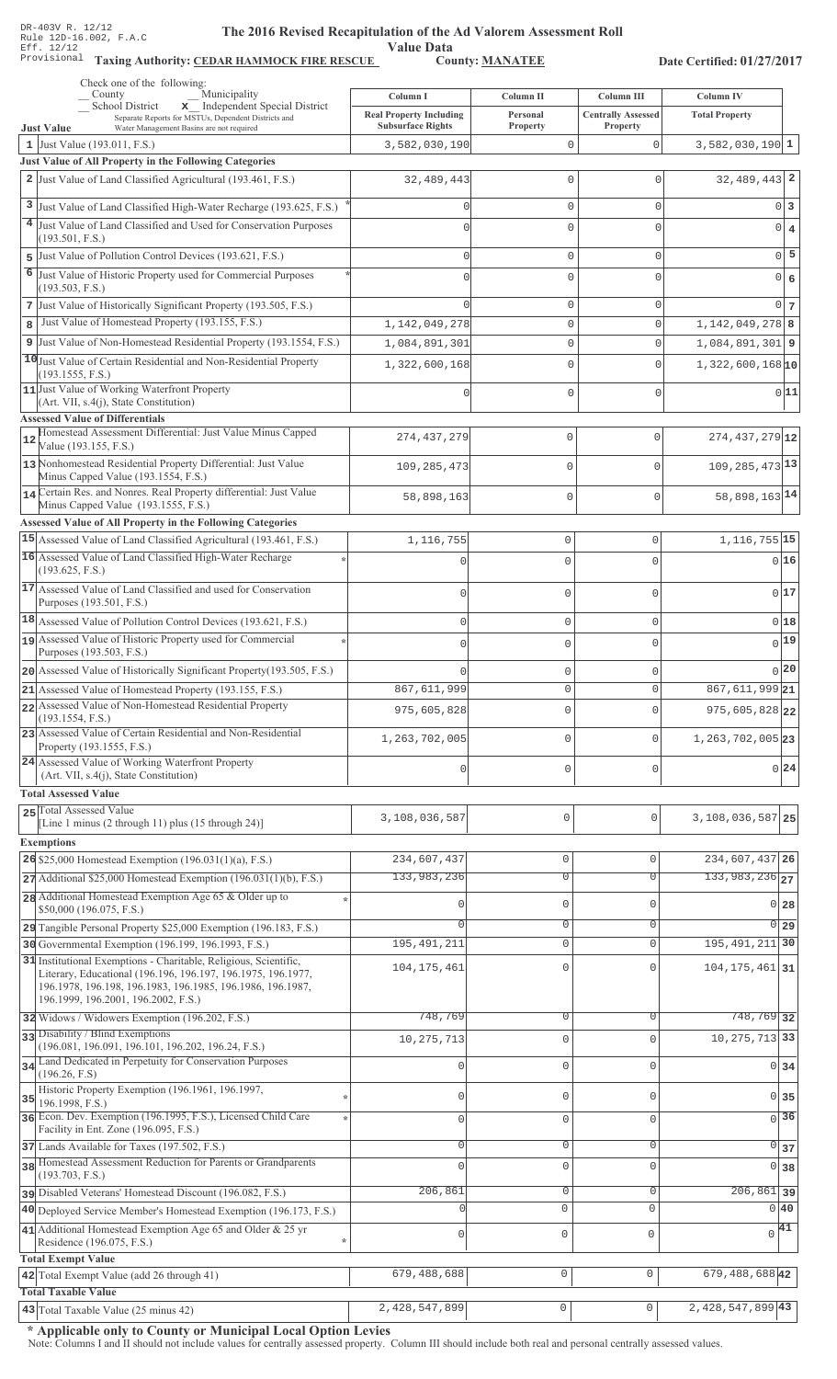Value Data<br>County: MANATEE

Taxing Authority: CEDAR HAMMOCK FIRE RESCUE County: MANATEE

Date Certified: 01/27/2017

|    | Check one of the following:<br>Municipality<br>County                                                                                                                                                                                 | Column I                                                   | Column II                 | Column III                            | Column IV                              |                 |
|----|---------------------------------------------------------------------------------------------------------------------------------------------------------------------------------------------------------------------------------------|------------------------------------------------------------|---------------------------|---------------------------------------|----------------------------------------|-----------------|
|    | x Independent Special District<br>School District<br>Separate Reports for MSTUs, Dependent Districts and<br>Water Management Basins are not required<br><b>Just Value</b>                                                             | <b>Real Property Including</b><br><b>Subsurface Rights</b> | Personal<br>Property      | <b>Centrally Assessed</b><br>Property | <b>Total Property</b>                  |                 |
|    | 1 Just Value $(193.011, F.S.)$                                                                                                                                                                                                        | 3,582,030,190                                              | $\mathbf{0}$              | $\mathbf{0}$                          | $3,582,030,190$ 1                      |                 |
|    | Just Value of All Property in the Following Categories                                                                                                                                                                                |                                                            |                           |                                       |                                        |                 |
|    | 2 Just Value of Land Classified Agricultural (193.461, F.S.)                                                                                                                                                                          | 32,489,443                                                 | $\mathbf{0}$              | $\mathbf{0}$                          | $32,489,443$ 2                         |                 |
|    | 3 Just Value of Land Classified High-Water Recharge (193.625, F.S.)                                                                                                                                                                   |                                                            | $\mathbf{0}$              | $\mathbf{0}$                          |                                        | $0\vert 3$      |
|    | 4 Just Value of Land Classified and Used for Conservation Purposes                                                                                                                                                                    | Ω                                                          | $\mathbf 0$               | $\mathbf 0$                           |                                        | $0 \mid 4$      |
|    | (193.501, F.S.)                                                                                                                                                                                                                       |                                                            |                           |                                       |                                        |                 |
| 5  | Just Value of Pollution Control Devices (193.621, F.S.)                                                                                                                                                                               | $\Omega$                                                   | $\mathbf{0}$              | $\mathbf{0}$                          |                                        | $0\overline{5}$ |
| 6  | Just Value of Historic Property used for Commercial Purposes<br>(193.503, F.S.)                                                                                                                                                       |                                                            | $\mathbf{0}$              | $\mathbf 0$                           |                                        | 0 6             |
|    | 7 Just Value of Historically Significant Property (193.505, F.S.)                                                                                                                                                                     | Λ                                                          | $\mathbf{0}$              | $\mathbf{0}$                          |                                        | $0\vert 7$      |
| 8  | Just Value of Homestead Property (193.155, F.S.)                                                                                                                                                                                      | 1, 142, 049, 278                                           | $\mathbf 0$               | $\mathbf 0$                           | $1,142,049,278$ 8                      |                 |
| 9  | Just Value of Non-Homestead Residential Property (193.1554, F.S.)                                                                                                                                                                     | 1,084,891,301                                              | $\mathbb O$               | $\mathbf{0}$                          | $1,084,891,301$ 9                      |                 |
|    | 10 Just Value of Certain Residential and Non-Residential Property<br>(193.1555, F.S.)                                                                                                                                                 | 1,322,600,168                                              | $\mathbf{0}$              | $\Omega$                              | $1,322,600,168$ <sub>10</sub>          |                 |
|    | 11 Just Value of Working Waterfront Property                                                                                                                                                                                          |                                                            | $\mathbf{0}$              | $\mathbf{0}$                          |                                        | 0 11            |
|    | (Art. VII, s.4(j), State Constitution)<br><b>Assessed Value of Differentials</b>                                                                                                                                                      |                                                            |                           |                                       |                                        |                 |
| 12 | Homestead Assessment Differential: Just Value Minus Capped                                                                                                                                                                            | 274, 437, 279                                              | 0                         | $\mathbf{0}$                          | $274, 437, 279$ 12                     |                 |
|    | Value (193.155, F.S.)<br>13 Nonhomestead Residential Property Differential: Just Value                                                                                                                                                | 109, 285, 473                                              | 0                         | $\mathbf 0$                           | $109, 285, 473$ <sup>13</sup>          |                 |
|    | Minus Capped Value (193.1554, F.S.)                                                                                                                                                                                                   |                                                            |                           |                                       |                                        |                 |
|    | 14 Certain Res. and Nonres. Real Property differential: Just Value<br>Minus Capped Value (193.1555, F.S.)                                                                                                                             | 58,898,163                                                 | 0                         | $\mathbf 0$                           | 58,898,163 14                          |                 |
|    | Assessed Value of All Property in the Following Categories                                                                                                                                                                            |                                                            |                           |                                       |                                        |                 |
|    | 15 Assessed Value of Land Classified Agricultural (193.461, F.S.)                                                                                                                                                                     | 1,116,755                                                  | $\mathbf 0$               | 0                                     | $1,116,755$ 15                         |                 |
|    | 16 Assessed Value of Land Classified High-Water Recharge<br>(193.625, F.S.)                                                                                                                                                           | $\sqrt{ }$                                                 | $\Omega$                  | $\Omega$                              |                                        | 016             |
|    | 17 Assessed Value of Land Classified and used for Conservation                                                                                                                                                                        | $\mathbf 0$                                                | $\mathbf 0$               | 0                                     |                                        | 0 17            |
|    | Purposes (193.501, F.S.)<br>18 Assessed Value of Pollution Control Devices (193.621, F.S.)                                                                                                                                            | $\mathbf 0$                                                | $\mathbf 0$               | 0                                     |                                        | 018             |
|    | 19 Assessed Value of Historic Property used for Commercial                                                                                                                                                                            | $\mathbf 0$                                                | $\mathbf 0$               | $\Omega$                              |                                        | $_{0} 19 $      |
|    | Purposes (193.503, F.S.)                                                                                                                                                                                                              |                                                            |                           |                                       |                                        |                 |
|    | 20 Assessed Value of Historically Significant Property (193.505, F.S.)                                                                                                                                                                |                                                            | $\mathbf 0$               | 0                                     |                                        | $0$  20         |
|    | 21 Assessed Value of Homestead Property (193.155, F.S.)<br>22 Assessed Value of Non-Homestead Residential Property                                                                                                                    | 867, 611, 999                                              | $\circ$                   | 0                                     | 867,611,99921                          |                 |
|    | (193.1554, F.S.)                                                                                                                                                                                                                      | 975,605,828                                                | $\mathbf 0$               | $\Omega$                              | 975,605,828 22                         |                 |
|    | 23 Assessed Value of Certain Residential and Non-Residential<br>Property (193.1555, F.S.)                                                                                                                                             | 1,263,702,005                                              | $\mathbf 0$               | 0                                     | $1, 263, 702, 005$ 23                  |                 |
|    | 24 Assessed Value of Working Waterfront Property<br>(Art. VII, s.4(j), State Constitution)                                                                                                                                            | $\mathbf{0}$                                               | $\mathbf 0$               | 0                                     |                                        | 0 24            |
|    | <b>Total Assessed Value</b>                                                                                                                                                                                                           |                                                            |                           |                                       |                                        |                 |
|    | 25 Total Assessed Value                                                                                                                                                                                                               |                                                            |                           |                                       |                                        |                 |
|    | [Line 1 minus (2 through 11) plus $(15 \text{ through } 24)$ ]                                                                                                                                                                        | 3,108,036,587                                              | 0                         | $\mathbf{0}$                          | 3,108,036,587 25                       |                 |
|    | <b>Exemptions</b>                                                                                                                                                                                                                     |                                                            |                           |                                       |                                        |                 |
|    | $26$ \$25,000 Homestead Exemption (196.031(1)(a), F.S.)                                                                                                                                                                               | 234,607,437<br>133,983,236                                 | $\mathbb O$               | $\mathbf 0$                           | 234,607,437 26<br>133,983,236 27       |                 |
|    | $27$ Additional \$25,000 Homestead Exemption (196.031(1)(b), F.S.)                                                                                                                                                                    |                                                            | $\overline{0}$            | $\Omega$                              |                                        |                 |
|    | 28 Additional Homestead Exemption Age 65 & Older up to<br>\$50,000 (196.075, F.S.)                                                                                                                                                    |                                                            | $\mathsf{O}\xspace$       | $\Omega$                              | 0 <sub>28</sub>                        |                 |
|    | 29 Tangible Personal Property \$25,000 Exemption (196.183, F.S.)                                                                                                                                                                      |                                                            | $\mathsf{O}\xspace$       | 0                                     | $\overline{0}$   29                    |                 |
|    | 30 Governmental Exemption (196.199, 196.1993, F.S.)                                                                                                                                                                                   | 195, 491, 211                                              | $\mathbb O$               | $\mathbf 0$                           | 195, 491, 211 30                       |                 |
|    | 31 Institutional Exemptions - Charitable, Religious, Scientific,<br>Literary, Educational (196.196, 196.197, 196.1975, 196.1977,<br>196.1978, 196.198, 196.1983, 196.1985, 196.1986, 196.1987,<br>196.1999, 196.2001, 196.2002, F.S.) | 104, 175, 461                                              | $\mathbf{0}$              | $\Omega$                              | $104, 175, 461$ 31                     |                 |
|    | 32 Widows / Widowers Exemption (196.202, F.S.)                                                                                                                                                                                        | 748,769                                                    | $\overline{0}$            | $\Omega$                              | 748,769 32                             |                 |
|    | 33 Disability / Blind Exemptions<br>(196.081, 196.091, 196.101, 196.202, 196.24, F.S.)                                                                                                                                                | 10, 275, 713                                               | $\mathbf 0$               | $\Omega$                              | 10, 275, 713 33                        |                 |
|    | 34 Land Dedicated in Perpetuity for Conservation Purposes                                                                                                                                                                             |                                                            | $\mathsf{O}\xspace$       | $\Omega$                              | 0 34                                   |                 |
|    | (196.26, F.S)<br>Historic Property Exemption (196.1961, 196.1997,                                                                                                                                                                     | 0                                                          | $\mathbf{0}$              | $\Omega$                              | $0\overline{35}$                       |                 |
| 35 | 196.1998, F.S.)<br>36 Econ. Dev. Exemption (196.1995, F.S.), Licensed Child Care                                                                                                                                                      | $\mathbf{0}$                                               | $\mathbf 0$               | $\mathbf{0}$                          | $\overline{0}$ 36                      |                 |
|    | Facility in Ent. Zone (196.095, F.S.)                                                                                                                                                                                                 | 0                                                          | $\mathbf{0}$              | $\mathbf{0}$                          |                                        |                 |
|    | 37 Lands Available for Taxes (197.502, F.S.)<br>38 Homestead Assessment Reduction for Parents or Grandparents                                                                                                                         | $\Omega$                                                   | $\mathbf 0$               | $\Omega$                              | $\overline{0}$ 37<br>0 38              |                 |
|    | (193.703, F.S.)                                                                                                                                                                                                                       |                                                            |                           |                                       |                                        |                 |
|    | pisabled Veterans' Homestead Discount (196.082, F.S.)<br>40 Deployed Service Member's Homestead Exemption (196.173, F.S.)                                                                                                             | 206,861                                                    | $\overline{0}$<br>$\circ$ | $\mathbf 0$<br>$\mathbf 0$            | $\overline{206,861}$ 39<br>$0\vert 40$ |                 |
|    | 41 Additional Homestead Exemption Age 65 and Older & 25 yr                                                                                                                                                                            |                                                            |                           |                                       | $\sqrt{41}$                            |                 |
|    | Residence (196.075, F.S.)<br>÷                                                                                                                                                                                                        | 0                                                          | $\mathsf 0$               | $\mathbf 0$                           |                                        |                 |
|    | <b>Total Exempt Value</b><br>42 Total Exempt Value (add 26 through 41)                                                                                                                                                                | 679, 488, 688                                              | $\mathsf 0$               | $\mathbf 0$                           | 679, 488, 688 42                       |                 |
|    | <b>Total Taxable Value</b>                                                                                                                                                                                                            |                                                            |                           |                                       |                                        |                 |
|    | $\vert$ 43 Total Taxable Value (25 minus 42)                                                                                                                                                                                          | 2,428,547,899                                              | $\mathsf{O}\xspace$       | $\circ$                               | $2,428,547,899$ 43                     |                 |

\* Applicable only to County or Municipal Local Option Levies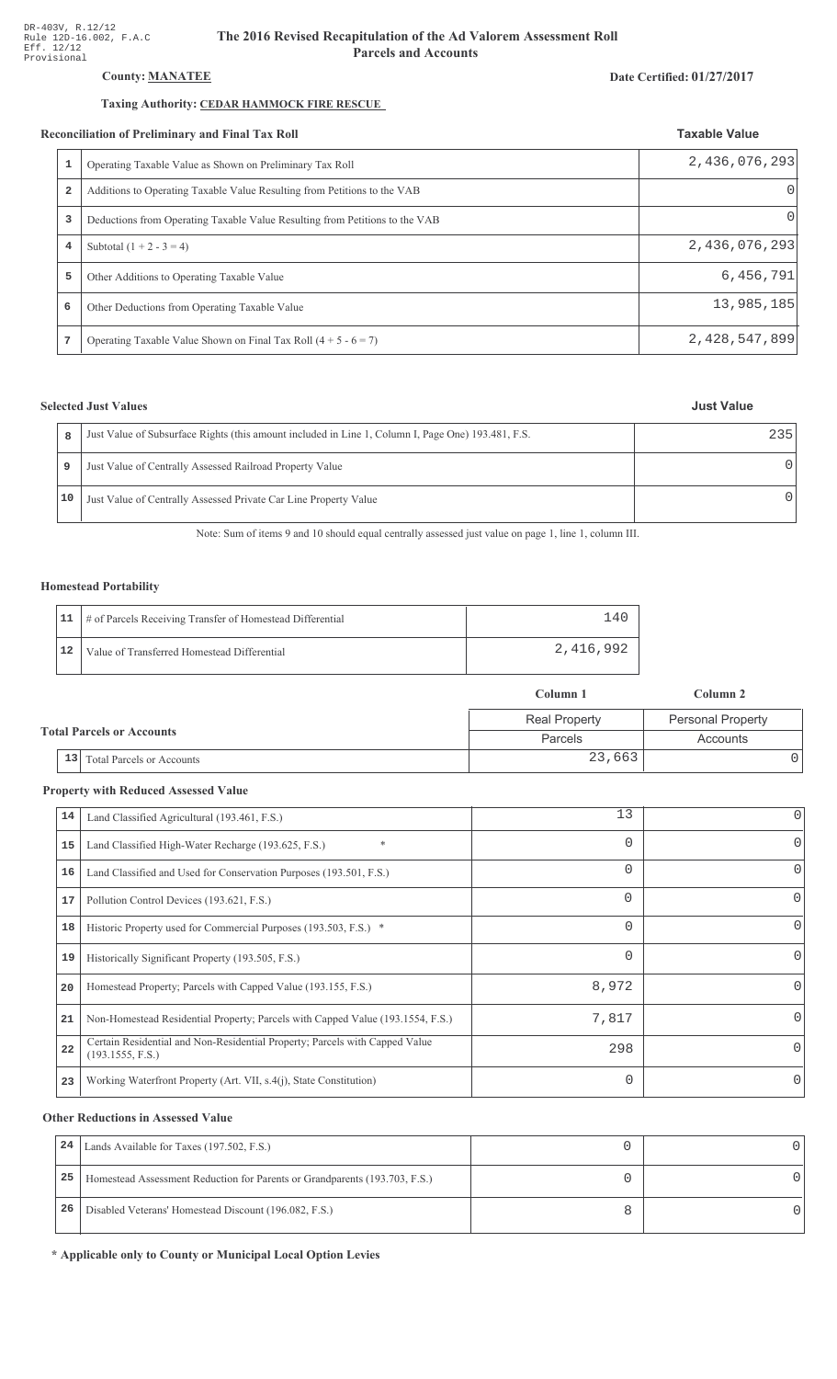# County: **MANATEE**

# Taxing Authority: CEDAR HAMMOCK FIRE RESCUE

#### Reconciliation of Preliminary and Final Tax Roll

|   | conciliation of Preliminary and Final Tax Roll                              | <b>Taxable Value</b> |  |
|---|-----------------------------------------------------------------------------|----------------------|--|
|   | Operating Taxable Value as Shown on Preliminary Tax Roll                    | 2,436,076,293        |  |
| 2 | Additions to Operating Taxable Value Resulting from Petitions to the VAB    | 0                    |  |
| 3 | Deductions from Operating Taxable Value Resulting from Petitions to the VAB | 0                    |  |
| 4 | Subtotal $(1 + 2 - 3 = 4)$                                                  | 2,436,076,293        |  |
| 5 | Other Additions to Operating Taxable Value                                  | 6,456,791            |  |
| 6 | Other Deductions from Operating Taxable Value                               | 13,985,185           |  |
| 7 | Operating Taxable Value Shown on Final Tax Roll $(4 + 5 - 6 = 7)$           | 2,428,547,899        |  |

# **Selected Just Values**

| 8  | Just Value of Subsurface Rights (this amount included in Line 1, Column I, Page One) 193.481, F.S. | 235 |
|----|----------------------------------------------------------------------------------------------------|-----|
| 9  | Just Value of Centrally Assessed Railroad Property Value                                           | O   |
| 10 | Just Value of Centrally Assessed Private Car Line Property Value                                   |     |

Note: Sum of items 9 and 10 should equal centrally assessed just value on page 1, line 1, column III.

### Homestead Portability

|    | 11   # of Parcels Receiving Transfer of Homestead Differential | $\overline{4}$ |
|----|----------------------------------------------------------------|----------------|
| 12 | Value of Transferred Homestead Differential                    | 2,416,992      |

|                                        | Column 1             | Column 2                 |  |
|----------------------------------------|----------------------|--------------------------|--|
|                                        | <b>Real Property</b> | <b>Personal Property</b> |  |
| <b>Total Parcels or Accounts</b>       | Parcels              | Accounts                 |  |
| 13<br><b>Total Parcels or Accounts</b> | 23,663               |                          |  |

#### **Property with Reduced Assessed Value**

| 14 | Land Classified Agricultural (193.461, F.S.)                                                    | 13       | 0            |
|----|-------------------------------------------------------------------------------------------------|----------|--------------|
| 15 | $\ast$<br>Land Classified High-Water Recharge (193.625, F.S.)                                   | $\Omega$ | 0            |
| 16 | Land Classified and Used for Conservation Purposes (193.501, F.S.)                              | $\Omega$ | O            |
| 17 | Pollution Control Devices (193.621, F.S.)                                                       | $\Omega$ | 0            |
| 18 | Historic Property used for Commercial Purposes (193.503, F.S.) *                                | $\Omega$ | 0            |
| 19 | Historically Significant Property (193.505, F.S.)                                               | $\Omega$ | 0            |
| 20 | Homestead Property; Parcels with Capped Value (193.155, F.S.)                                   | 8,972    | <sup>0</sup> |
| 21 | Non-Homestead Residential Property; Parcels with Capped Value (193.1554, F.S.)                  | 7,817    | <sup>0</sup> |
| 22 | Certain Residential and Non-Residential Property; Parcels with Capped Value<br>(193.1555, F.S.) | 298      | 0            |
| 23 | Working Waterfront Property (Art. VII, s.4(j), State Constitution)                              | $\Omega$ | 0            |

#### **Other Reductions in Assessed Value**

| 24 | Lands Available for Taxes (197.502, F.S.)                                  |  |
|----|----------------------------------------------------------------------------|--|
| 25 | Homestead Assessment Reduction for Parents or Grandparents (193.703, F.S.) |  |
| 26 | Disabled Veterans' Homestead Discount (196.082, F.S.)                      |  |

\* Applicable only to County or Municipal Local Option Levies

#### Date Certified: 01/27/2017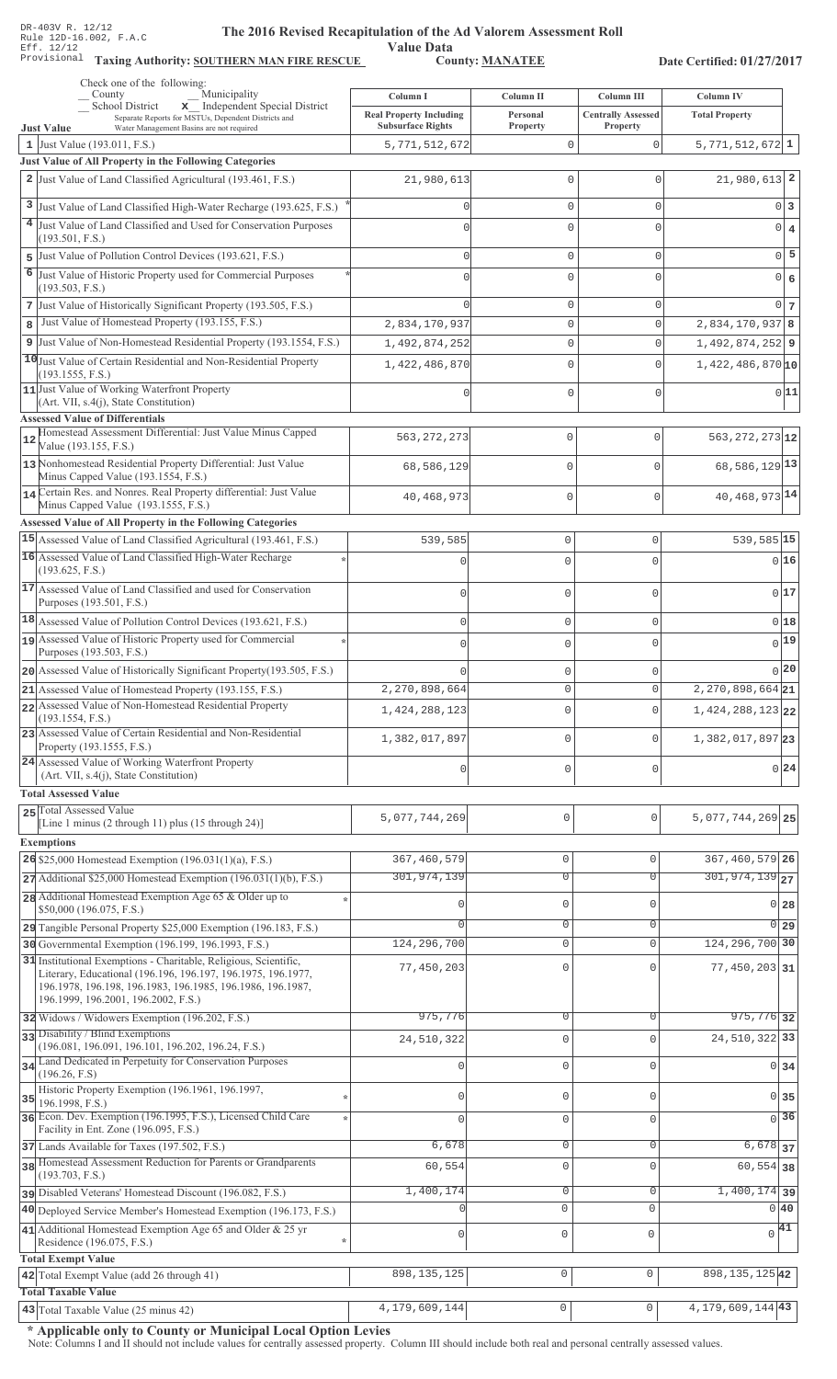Value Data<br>County: MANATEE Taxing Authority: SOUTHERN MAN FIRE RESCUE County: MANATEE

Date Certified: 01/27/2017

| Check one of the following:<br>Municipality<br>County                                                                                                             |                                                                        |                                   |                                                     | Column IV                              |
|-------------------------------------------------------------------------------------------------------------------------------------------------------------------|------------------------------------------------------------------------|-----------------------------------|-----------------------------------------------------|----------------------------------------|
| <b>School District</b><br>x Independent Special District<br>Separate Reports for MSTUs, Dependent Districts and                                                   | Column I<br><b>Real Property Including</b><br><b>Subsurface Rights</b> | Column II<br>Personal<br>Property | Column III<br><b>Centrally Assessed</b><br>Property | <b>Total Property</b>                  |
| <b>Just Value</b><br>Water Management Basins are not required<br>1 Just Value (193.011, F.S.)                                                                     | 5,771,512,672                                                          | 0                                 | $\mathbf 0$                                         | $5,771,512,672$ <sup>1</sup>           |
| Just Value of All Property in the Following Categories                                                                                                            |                                                                        |                                   |                                                     |                                        |
| 2 Just Value of Land Classified Agricultural (193.461, F.S.)                                                                                                      | 21,980,613                                                             | 0                                 | $\Omega$                                            | $21,980,613$ <sup>2</sup>              |
| Just Value of Land Classified High-Water Recharge (193.625, F.S.)                                                                                                 | 0                                                                      | 0                                 | 0                                                   | 0 3                                    |
| 4 Just Value of Land Classified and Used for Conservation Purposes                                                                                                |                                                                        | 0                                 | $\Omega$                                            | 0 4                                    |
| (193.501, F.S.)                                                                                                                                                   |                                                                        |                                   |                                                     |                                        |
| 5 Just Value of Pollution Control Devices (193.621, F.S.)                                                                                                         | 0                                                                      | 0                                 | 0                                                   | $0$ 5                                  |
| 6 Just Value of Historic Property used for Commercial Purposes<br>(193.503, F.S.)                                                                                 | Λ                                                                      | 0                                 | 0                                                   | $0 \big  6$                            |
| 7 Just Value of Historically Significant Property (193.505, F.S.)                                                                                                 |                                                                        | 0                                 | 0                                                   | 0 <sub>7</sub>                         |
| Just Value of Homestead Property (193.155, F.S.)<br>8                                                                                                             | 2,834,170,937                                                          | 0                                 | 0                                                   | 2,834,170,937 8                        |
| 9 Just Value of Non-Homestead Residential Property (193.1554, F.S.)                                                                                               | 1,492,874,252                                                          | $\mathsf{O}\xspace$               | 0                                                   | $1,492,874,252$ 9                      |
| 10 Just Value of Certain Residential and Non-Residential Property                                                                                                 | 1,422,486,870                                                          | 0                                 | 0                                                   | $1,422,486,870$ 10                     |
| (193.1555, F.S.)                                                                                                                                                  |                                                                        |                                   |                                                     |                                        |
| 11 Just Value of Working Waterfront Property<br>(Art. VII, s.4(j), State Constitution)                                                                            |                                                                        | $\mathbf 0$                       | 0                                                   | 0 11                                   |
| <b>Assessed Value of Differentials</b>                                                                                                                            |                                                                        |                                   |                                                     |                                        |
| Homestead Assessment Differential: Just Value Minus Capped<br>12<br>Value (193.155, F.S.)                                                                         | 563, 272, 273                                                          | $\mathsf{O}\xspace$               | $\mathbf 0$                                         | 563, 272, 273 12                       |
| 13 Nonhomestead Residential Property Differential: Just Value<br>Minus Capped Value (193.1554, F.S.)                                                              | 68,586,129                                                             | $\mathbf{0}$                      | $\Omega$                                            | 68,586,129 13                          |
| 14 Certain Res. and Nonres. Real Property differential: Just Value                                                                                                | 40,468,973                                                             | $\mathbf 0$                       | $\mathbf 0$                                         | 40, 468, 973 14                        |
| Minus Capped Value (193.1555, F.S.)                                                                                                                               |                                                                        |                                   |                                                     |                                        |
| Assessed Value of All Property in the Following Categories                                                                                                        |                                                                        |                                   |                                                     |                                        |
| 15 Assessed Value of Land Classified Agricultural (193.461, F.S.)<br>16 Assessed Value of Land Classified High-Water Recharge                                     | 539,585                                                                | $\circ$                           | $\mathbf 0$                                         | 539,585 15                             |
| (193.625, F.S.)                                                                                                                                                   |                                                                        | $\Omega$                          | $\cap$                                              | 0 16                                   |
| 17 Assessed Value of Land Classified and used for Conservation                                                                                                    | $\bigcap$                                                              | $\mathbf 0$                       | $\Omega$                                            | 0 17                                   |
| Purposes (193.501, F.S.)                                                                                                                                          |                                                                        |                                   |                                                     |                                        |
| 18 Assessed Value of Pollution Control Devices (193.621, F.S.)                                                                                                    | $\Omega$                                                               | $\circ$                           | 0                                                   | 0 18                                   |
| 19 Assessed Value of Historic Property used for Commercial<br>Purposes (193.503, F.S.)                                                                            |                                                                        | $\Omega$                          | $\Omega$                                            | $0$ <sup>19</sup>                      |
| 20 Assessed Value of Historically Significant Property (193.505, F.S.)                                                                                            | $\cap$                                                                 | $\circ$                           | 0                                                   | 0 20                                   |
| 21 Assessed Value of Homestead Property (193.155, F.S.)                                                                                                           | 2,270,898,664                                                          | $\Omega$                          | $\Omega$                                            | $\overline{2,270,898,664}$ 21          |
| 22 Assessed Value of Non-Homestead Residential Property                                                                                                           | 1,424,288,123                                                          | $\mathbf 0$                       | $\Omega$                                            | 1,424,288,123 22                       |
| (193.1554, F.S.)<br>23 Assessed Value of Certain Residential and Non-Residential<br>Property (193.1555, F.S.)                                                     | 1,382,017,897                                                          | $\mathbf 0$                       | $\mathbf 0$                                         | 1,382,017,897 23                       |
| 24 Assessed Value of Working Waterfront Property                                                                                                                  | $\cap$                                                                 | $\mathbf 0$                       | $\Omega$                                            | 0 24                                   |
| (Art. VII, s.4(j), State Constitution)                                                                                                                            |                                                                        |                                   |                                                     |                                        |
| <b>Total Assessed Value</b>                                                                                                                                       |                                                                        |                                   |                                                     |                                        |
| 25 Total Assessed Value<br>[Line 1 minus (2 through 11) plus (15 through 24)]                                                                                     | 5,077,744,269                                                          | $\mathbf 0$                       | 0                                                   | 5, 077, 744, 269 25                    |
| <b>Exemptions</b>                                                                                                                                                 |                                                                        |                                   |                                                     |                                        |
| 26 \$25,000 Homestead Exemption $(196.031(1)(a), F.S.)$                                                                                                           | 367,460,579                                                            | $\mathbb O$                       | $\mathbf{0}$                                        | 367, 460, 579 26                       |
| $27$ Additional \$25,000 Homestead Exemption (196.031(1)(b), F.S.)                                                                                                | 301, 974, 139                                                          | $\overline{0}$                    | $\overline{0}$                                      | $\overline{301,974,139}$ <sub>27</sub> |
| 28 Additional Homestead Exemption Age 65 & Older up to                                                                                                            |                                                                        | $\mathbf 0$                       | $\mathbf{0}$                                        | $0\,$ 28                               |
| \$50,000 (196.075, F.S.)                                                                                                                                          |                                                                        | $\overline{0}$                    | 0                                                   | $\overline{0}$ 29                      |
| 29 Tangible Personal Property \$25,000 Exemption (196.183, F.S.)<br>30 Governmental Exemption (196.199, 196.1993, F.S.)                                           | 124, 296, 700                                                          | $\mathbf 0$                       | $\Omega$                                            | 124, 296, 700 30                       |
| 31 Institutional Exemptions - Charitable, Religious, Scientific,                                                                                                  |                                                                        |                                   |                                                     |                                        |
| Literary, Educational (196.196, 196.197, 196.1975, 196.1977,<br>196.1978, 196.198, 196.1983, 196.1985, 196.1986, 196.1987,<br>196.1999, 196.2001, 196.2002, F.S.) | 77,450,203                                                             | $\mathbf 0$                       |                                                     | 77,450,203 31                          |
| 32 Widows / Widowers Exemption (196.202, F.S.)                                                                                                                    | 975,776                                                                | $\overline{0}$                    | $\mathbf{0}$                                        | $975, 776$ 32                          |
| 33 Disability / Blind Exemptions                                                                                                                                  |                                                                        | $\mathbf 0$                       | $\cap$                                              | 24, 510, 322 33                        |
| (196.081, 196.091, 196.101, 196.202, 196.24, F.S.)                                                                                                                | 24,510,322                                                             |                                   |                                                     |                                        |
| 34 Land Dedicated in Perpetuity for Conservation Purposes<br>(196.26, F.S)                                                                                        |                                                                        | $\mathbb O$                       | $\Omega$                                            | $0\overline{34}$                       |
| Historic Property Exemption (196.1961, 196.1997,                                                                                                                  |                                                                        | $\mathbf{0}$                      | $\cap$                                              | 0 35                                   |
| 35<br>196.1998, F.S.)<br>36 Econ. Dev. Exemption (196.1995, F.S.), Licensed Child Care                                                                            |                                                                        |                                   |                                                     | $\overline{0}$ 36                      |
| Facility in Ent. Zone (196.095, F.S.)                                                                                                                             |                                                                        | $\mathbf 0$                       | $\Omega$                                            |                                        |
| 37 Lands Available for Taxes (197.502, F.S.)                                                                                                                      | 6,678                                                                  | 0                                 | $\Omega$                                            | $6,678$ 37                             |
| 38 Homestead Assessment Reduction for Parents or Grandparents<br>(193.703, F.S.)                                                                                  | 60,554                                                                 | $\mathbf 0$                       | $\Omega$                                            | 60,554 38                              |
| pisabled Veterans' Homestead Discount (196.082, F.S.)                                                                                                             | 1,400,174                                                              | $\mathbf 0$                       | $\mathbf{0}$                                        | $1,400,174$ 39                         |
| 40 Deployed Service Member's Homestead Exemption (196.173, F.S.)                                                                                                  |                                                                        | $\circ$                           | $\mathbf{0}$                                        | $0\vert 40$                            |
| 41 Additional Homestead Exemption Age 65 and Older & 25 yr                                                                                                        | 0                                                                      | $\circ$                           | $\mathbf{0}$                                        | $\sqrt{41}$                            |
| Residence (196.075, F.S.)                                                                                                                                         |                                                                        |                                   |                                                     |                                        |
| <b>Total Exempt Value</b>                                                                                                                                         |                                                                        |                                   |                                                     |                                        |
| 42 Total Exempt Value (add 26 through 41)<br><b>Total Taxable Value</b>                                                                                           | 898, 135, 125                                                          | 0                                 | 0                                                   | $\overline{898, 135, 125}$ 42          |
| 43 Total Taxable Value (25 minus 42)                                                                                                                              | 4,179,609,144                                                          | 0                                 | 0                                                   | $4,179,609,144$ <sup>43</sup>          |

\* Applicable only to County or Municipal Local Option Levies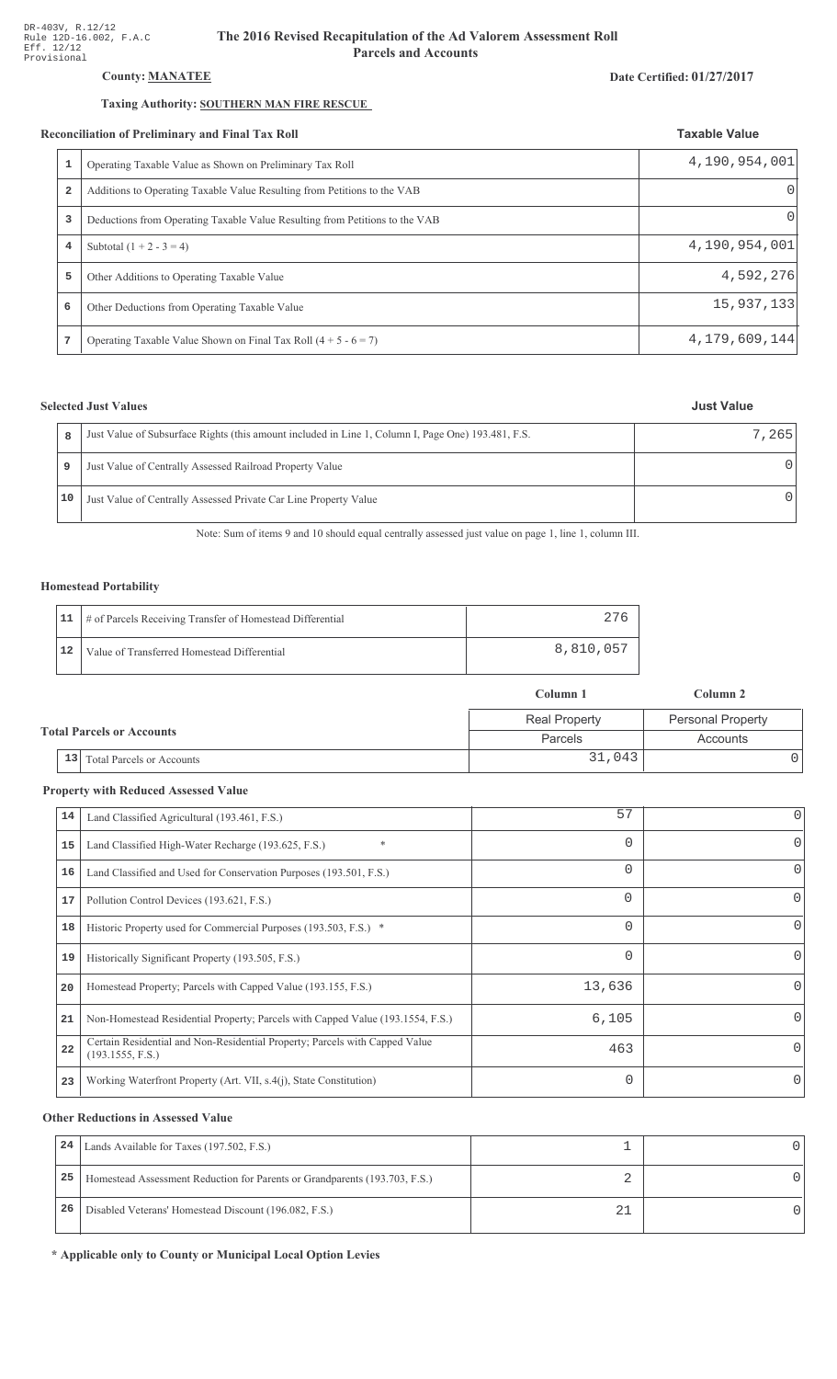# County: **MANATEE**

### Taxing Authority: SOUTHERN MAN FIRE RESCUE

#### Reconciliation of Preliminary and Final Tax Roll

|   | conciliation of Preliminary and Final Tax Roll                              | <b>Taxable Value</b> |
|---|-----------------------------------------------------------------------------|----------------------|
| 1 | Operating Taxable Value as Shown on Preliminary Tax Roll                    | 4,190,954,001        |
| 2 | Additions to Operating Taxable Value Resulting from Petitions to the VAB    | $\Omega$             |
| 3 | Deductions from Operating Taxable Value Resulting from Petitions to the VAB | Ω                    |
| 4 | Subtotal $(1 + 2 - 3 = 4)$                                                  | 4,190,954,001        |
| 5 | Other Additions to Operating Taxable Value                                  | 4,592,276            |
| 6 | Other Deductions from Operating Taxable Value                               | 15,937,133           |
| 7 | Operating Taxable Value Shown on Final Tax Roll $(4 + 5 - 6 = 7)$           | 4,179,609,144        |

# **Selected Just Values**

| 8    | Just Value of Subsurface Rights (this amount included in Line 1, Column I, Page One) 193.481, F.S. | 7.265 |
|------|----------------------------------------------------------------------------------------------------|-------|
| 9    | Just Value of Centrally Assessed Railroad Property Value                                           |       |
| 10 I | Just Value of Centrally Assessed Private Car Line Property Value                                   |       |

Note: Sum of items 9 and 10 should equal centrally assessed just value on page 1, line 1, column III.

### Homestead Portability

|    | 11   # of Parcels Receiving Transfer of Homestead Differential |           |
|----|----------------------------------------------------------------|-----------|
| 12 | Value of Transferred Homestead Differential                    | 8,810,057 |

|  |                                        | Column 1             | Column 2                 |  |
|--|----------------------------------------|----------------------|--------------------------|--|
|  |                                        | <b>Real Property</b> | <b>Personal Property</b> |  |
|  | <b>Total Parcels or Accounts</b>       | Parcels              | Accounts                 |  |
|  | 13<br><b>Total Parcels or Accounts</b> | 31,043               |                          |  |

#### **Property with Reduced Assessed Value**

| 14 | Land Classified Agricultural (193.461, F.S.)                                                    | 57       | 0                |
|----|-------------------------------------------------------------------------------------------------|----------|------------------|
| 15 | $\ast$<br>Land Classified High-Water Recharge (193.625, F.S.)                                   | 0        |                  |
| 16 | Land Classified and Used for Conservation Purposes (193.501, F.S.)                              | $\Omega$ | $\left( \right)$ |
| 17 | Pollution Control Devices (193.621, F.S.)                                                       | 0        | $\left( \right)$ |
| 18 | Historic Property used for Commercial Purposes (193.503, F.S.) *                                | 0        | O                |
| 19 | Historically Significant Property (193.505, F.S.)                                               | 0        | 0                |
| 20 | Homestead Property; Parcels with Capped Value (193.155, F.S.)                                   | 13,636   |                  |
| 21 | Non-Homestead Residential Property; Parcels with Capped Value (193.1554, F.S.)                  | 6,105    |                  |
| 22 | Certain Residential and Non-Residential Property; Parcels with Capped Value<br>(193.1555, F.S.) | 463      |                  |
| 23 | Working Waterfront Property (Art. VII, s.4(j), State Constitution)                              | $\Omega$ |                  |

#### **Other Reductions in Assessed Value**

| 24 | Lands Available for Taxes (197.502, F.S.)                                  |  |
|----|----------------------------------------------------------------------------|--|
| 25 | Homestead Assessment Reduction for Parents or Grandparents (193.703, F.S.) |  |
| 26 | Disabled Veterans' Homestead Discount (196.082, F.S.)                      |  |

\* Applicable only to County or Municipal Local Option Levies

# Date Certified: 01/27/2017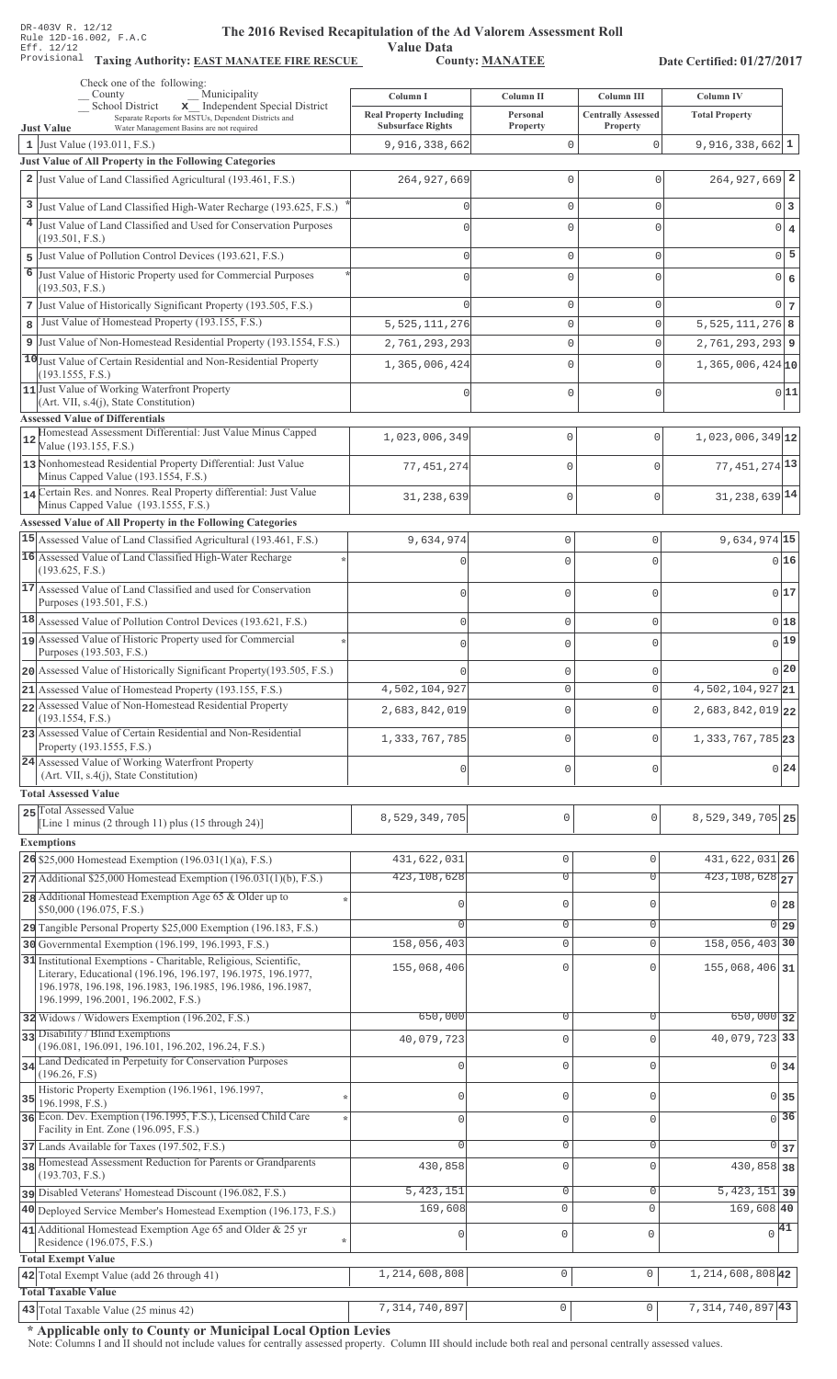Value Data<br>County: MANATEE Taxing Authority: **EAST MANATEE FIRE RESCUE** County: **MANATEE** 

Date Certified: 01/27/2017

| Check one of the following:<br>County                                                                                      |                                                            |                      |                                       |                             |
|----------------------------------------------------------------------------------------------------------------------------|------------------------------------------------------------|----------------------|---------------------------------------|-----------------------------|
| Municipality<br>x Independent Special District<br><b>School District</b>                                                   | Column I                                                   | Column II            | Column III                            | <b>Column IV</b>            |
| Separate Reports for MSTUs, Dependent Districts and<br><b>Just Value</b><br>Water Management Basins are not required       | <b>Real Property Including</b><br><b>Subsurface Rights</b> | Personal<br>Property | <b>Centrally Assessed</b><br>Property | <b>Total Property</b>       |
| 1 Just Value $(193.011, F.S.)$                                                                                             | 9,916,338,662                                              | $\mathbf 0$          | $\mathbf 0$                           | $9,916,338,662$ 1           |
| Just Value of All Property in the Following Categories                                                                     |                                                            |                      |                                       |                             |
| 2 Just Value of Land Classified Agricultural (193.461, F.S.)                                                               | 264, 927, 669                                              | 0                    | $\Omega$                              | $264,927,669$ <sup>2</sup>  |
| 3 Just Value of Land Classified High-Water Recharge (193.625, F.S.)                                                        | Ω                                                          | 0                    | 0                                     | 0 3                         |
| Just Value of Land Classified and Used for Conservation Purposes                                                           | $\cap$                                                     | $\Omega$             | $\Omega$                              | $0 \mid 4$                  |
| (193.501, F.S.)                                                                                                            |                                                            |                      |                                       |                             |
| Just Value of Pollution Control Devices (193.621, F.S.)<br>5                                                               | Ω                                                          | 0                    | 0                                     | $0\vert 5$                  |
| 6<br>Just Value of Historic Property used for Commercial Purposes                                                          | $\cap$                                                     | 0                    | 0                                     | 0 6                         |
| (193.503, F.S.)<br>7 Just Value of Historically Significant Property (193.505, F.S.)                                       |                                                            | 0                    | 0                                     | 0 <sub>7</sub>              |
| Just Value of Homestead Property (193.155, F.S.)<br>8                                                                      | 5, 525, 111, 276                                           | 0                    | 0                                     | $5,525,111,276$ 8           |
| 9 Just Value of Non-Homestead Residential Property (193.1554, F.S.)                                                        | 2,761,293,293                                              | $\mathbf 0$          | 0                                     | 2, 761, 293, 293 9          |
| 10 Just Value of Certain Residential and Non-Residential Property                                                          |                                                            | 0                    | 0                                     | $1,365,006,424$ 10          |
| (193.1555, F.S.)                                                                                                           | 1,365,006,424                                              |                      |                                       |                             |
| 11 Just Value of Working Waterfront Property<br>(Art. VII, s.4(j), State Constitution)                                     |                                                            | 0                    | 0                                     | 0 11                        |
| <b>Assessed Value of Differentials</b>                                                                                     |                                                            |                      |                                       |                             |
| Homestead Assessment Differential: Just Value Minus Capped                                                                 | 1,023,006,349                                              | $\mathbf 0$          | $\mathbf 0$                           | $1,023,006,349$ 12          |
| Value (193.155, F.S.)                                                                                                      |                                                            |                      |                                       |                             |
| 13 Nonhomestead Residential Property Differential: Just Value<br>Minus Capped Value (193.1554, F.S.)                       | 77, 451, 274                                               | $\mathbf 0$          | $\Omega$                              | 77, 451, 274 13             |
| 14 Certain Res. and Nonres. Real Property differential: Just Value                                                         |                                                            | $\mathbf{0}$         | $\mathbf 0$                           | 31, 238, 639 14             |
| Minus Capped Value (193.1555, F.S.)                                                                                        | 31,238,639                                                 |                      |                                       |                             |
| Assessed Value of All Property in the Following Categories                                                                 |                                                            |                      |                                       |                             |
| 15 Assessed Value of Land Classified Agricultural (193.461, F.S.)                                                          | 9,634,974                                                  | $\mathbf 0$          | 0                                     | 9,634,974 15                |
| 16 Assessed Value of Land Classified High-Water Recharge<br>(193.625, F.S.)                                                |                                                            | $\mathbf 0$          | $\cap$                                | 016                         |
| 17 Assessed Value of Land Classified and used for Conservation                                                             |                                                            |                      |                                       |                             |
| Purposes (193.501, F.S.)                                                                                                   | $\bigcap$                                                  | $\mathbf 0$          | $\Omega$                              | 017                         |
| 18 Assessed Value of Pollution Control Devices (193.621, F.S.)                                                             | $\mathbf{0}$                                               | $\mathbf 0$          | $\Omega$                              | 0 18                        |
| 19 Assessed Value of Historic Property used for Commercial                                                                 | $\bigcap$                                                  | $\mathbf 0$          | $\cap$                                | 0 19                        |
| Purposes (193.503, F.S.)                                                                                                   |                                                            |                      |                                       |                             |
| 20 Assessed Value of Historically Significant Property (193.505, F.S.)                                                     |                                                            | $\mathbf{0}$         |                                       | 0 20                        |
| 21 Assessed Value of Homestead Property (193.155, F.S.)                                                                    | 4,502,104,927                                              | 0                    |                                       | $4,502,104,927$ 21          |
| 22 Assessed Value of Non-Homestead Residential Property<br>(193.1554, F.S.)                                                | 2,683,842,019                                              | $\Omega$             | $\Omega$                              | 2,683,842,019 22            |
| 23 Assessed Value of Certain Residential and Non-Residential                                                               | 1,333,767,785                                              | $\mathbf{0}$         | $\Omega$                              | 1,333,767,785 23            |
| Property (193.1555, F.S.)                                                                                                  |                                                            |                      |                                       |                             |
| 24 Assessed Value of Working Waterfront Property<br>(Art. VII, s.4(j), State Constitution)                                 | $\cap$                                                     | 0                    | $\mathbf 0$                           | 0 24                        |
| <b>Total Assessed Value</b>                                                                                                |                                                            |                      |                                       |                             |
| 25 Total Assessed Value                                                                                                    | 8,529,349,705                                              | 0                    | 0                                     | 8, 529, 349, 705 25         |
| [Line 1 minus $(2 \text{ through } 11)$ plus $(15 \text{ through } 24)$ ]                                                  |                                                            |                      |                                       |                             |
| <b>Exemptions</b>                                                                                                          |                                                            |                      |                                       |                             |
| 26 \$25,000 Homestead Exemption $(196.031(1)(a), F.S.)$                                                                    | 431,622,031                                                | $\mathbb O$          | $\Omega$                              | 431, 622, 031 26            |
| $27$ Additional \$25,000 Homestead Exemption (196.031(1)(b), F.S.)                                                         | 423,108,628                                                | $\overline{0}$       | $\overline{0}$                        | $423,108,628$ <sub>27</sub> |
| 28 Additional Homestead Exemption Age 65 & Older up to<br>\$50,000 (196.075, F.S.)                                         | Ω                                                          | $\mathbf 0$          | $\mathbf{0}$                          | 0 <sub>28</sub>             |
| 29 Tangible Personal Property \$25,000 Exemption (196.183, F.S.)                                                           |                                                            | $\overline{0}$       | $\Omega$                              | $\overline{0}$ 29           |
| 30 Governmental Exemption (196.199, 196.1993, F.S.)                                                                        | 158,056,403                                                | $\mathbf 0$          | $\mathbf{0}$                          | 158,056,403 30              |
| 31 Institutional Exemptions - Charitable, Religious, Scientific,                                                           | 155,068,406                                                | $\mathbf 0$          |                                       | 155,068,406 31              |
| Literary, Educational (196.196, 196.197, 196.1975, 196.1977,<br>196.1978, 196.198, 196.1983, 196.1985, 196.1986, 196.1987, |                                                            |                      |                                       |                             |
| 196.1999, 196.2001, 196.2002, F.S.)                                                                                        |                                                            |                      |                                       |                             |
| 32 Widows / Widowers Exemption (196.202, F.S.)                                                                             | 650,000                                                    | $\overline{0}$       | $\mathbf{0}$                          | $650,000$ 32                |
| 33 Disability / Blind Exemptions                                                                                           | 40,079,723                                                 | $\mathbf 0$          | $\Omega$                              | 40,079,723 33               |
| (196.081, 196.091, 196.101, 196.202, 196.24, F.S.)<br>Land Dedicated in Perpetuity for Conservation Purposes               |                                                            |                      |                                       |                             |
| 34<br>(196.26, F.S)                                                                                                        | 0                                                          | $\mathbb O$          | $\mathbf{0}$                          | 0 34                        |
| Historic Property Exemption (196.1961, 196.1997,<br>35                                                                     | Ω                                                          | $\mathbf 0$          | $\mathbf{0}$                          | $0\overline{35}$            |
| 196.1998, F.S.)<br>36 Econ. Dev. Exemption (196.1995, F.S.), Licensed Child Care                                           | O                                                          | $\mathbf 0$          | $\Omega$                              | $\overline{0}$ 36           |
| Facility in Ent. Zone (196.095, F.S.)                                                                                      |                                                            |                      |                                       |                             |
| 37 Lands Available for Taxes (197.502, F.S.)                                                                               | $\Omega$                                                   | $\mathbf 0$          | $\mathbf{0}$                          | $\overline{0}$<br>37        |
| 38 Homestead Assessment Reduction for Parents or Grandparents<br>(193.703, F.S.)                                           | 430,858                                                    | $\mathbf 0$          | $\Omega$                              | 430,858 38                  |
| pisabled Veterans' Homestead Discount (196.082, F.S.)                                                                      | 5, 423, 151                                                | $\mathbb O$          | 0                                     | $\overline{5,423,151}$ 39   |
| 40 Deployed Service Member's Homestead Exemption (196.173, F.S.)                                                           | 169,608                                                    | $\circ$              | $\mathbf 0$                           | $169,608$ 40                |
| 41 Additional Homestead Exemption Age 65 and Older & 25 yr                                                                 | O                                                          | $\mathbb O$          | $\mathbf{0}$                          | $\sqrt{41}$                 |
| Residence (196.075, F.S.)                                                                                                  |                                                            |                      |                                       |                             |
| <b>Total Exempt Value</b>                                                                                                  |                                                            |                      |                                       |                             |
| 42 Total Exempt Value (add 26 through 41)<br><b>Total Taxable Value</b>                                                    | 1,214,608,808                                              | $\mathsf{O}\xspace$  | 0                                     | 1, 214, 608, 808 42         |
| 43 Total Taxable Value (25 minus 42)                                                                                       | 7, 314, 740, 897                                           | $\mathsf{O}\xspace$  | $\mathsf{O}\xspace$                   | 7, 314, 740, 897 43         |
|                                                                                                                            |                                                            |                      |                                       |                             |

\* Applicable only to County or Municipal Local Option Levies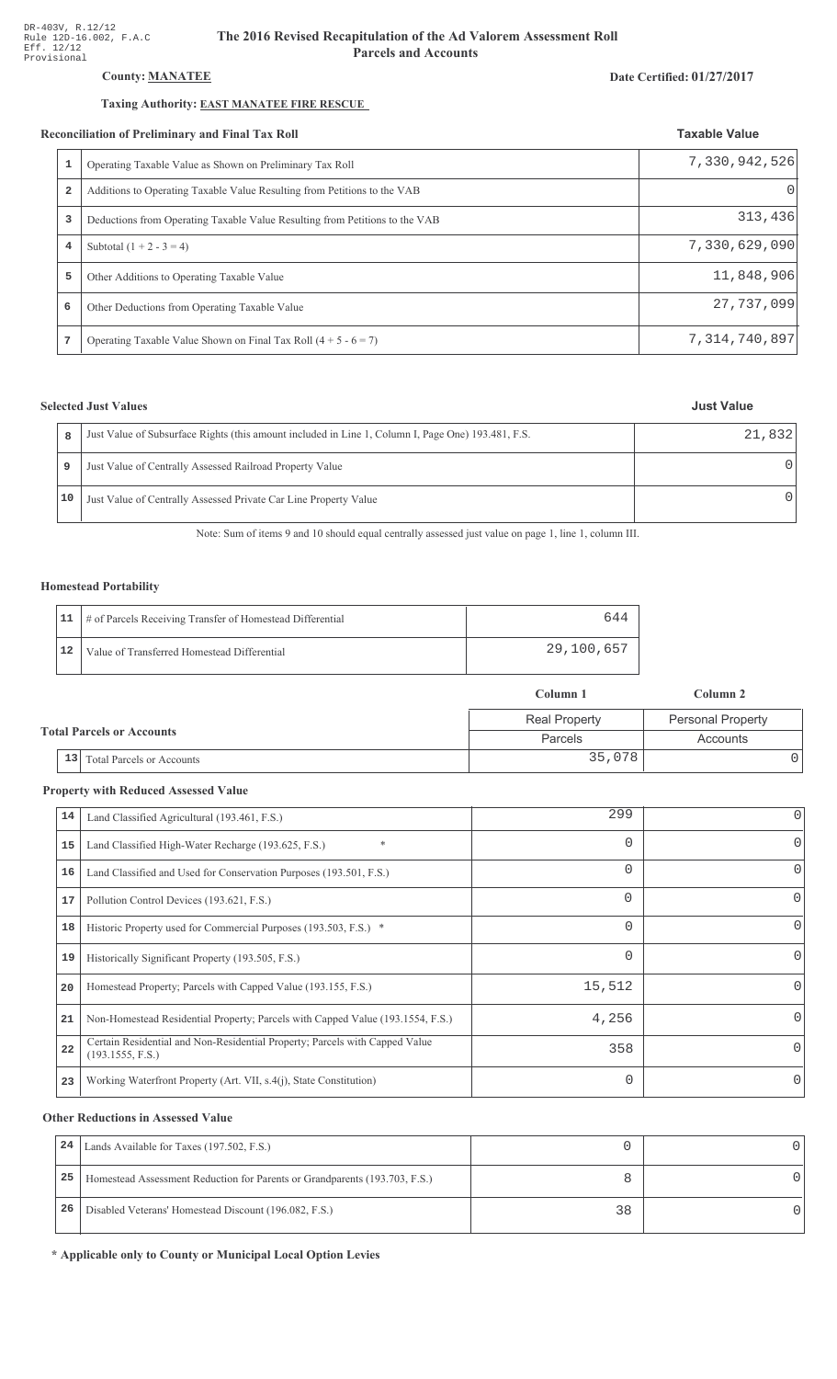# County: **MANATEE**

### Taxing Authority: **EAST MANATEE FIRE RESCUE**

#### Reconciliation of Preliminary and Final Tax Roll

| conciliation of Preliminary and Final Tax Roll |                                                                             | <b>Taxable Value</b> |  |
|------------------------------------------------|-----------------------------------------------------------------------------|----------------------|--|
|                                                | Operating Taxable Value as Shown on Preliminary Tax Roll                    | 7,330,942,526        |  |
| $\overline{a}$                                 | Additions to Operating Taxable Value Resulting from Petitions to the VAB    |                      |  |
| 3                                              | Deductions from Operating Taxable Value Resulting from Petitions to the VAB | 313,436              |  |
| 4                                              | Subtotal $(1 + 2 - 3 = 4)$                                                  | 7,330,629,090        |  |
| 5                                              | Other Additions to Operating Taxable Value                                  | 11,848,906           |  |
| 6                                              | Other Deductions from Operating Taxable Value                               | 27,737,099           |  |
|                                                | Operating Taxable Value Shown on Final Tax Roll $(4 + 5 - 6 = 7)$           | 7, 314, 740, 897     |  |

# **Selected Just Values**

|    | Just Value of Subsurface Rights (this amount included in Line 1, Column I, Page One) 193.481, F.S. | 21,832 |
|----|----------------------------------------------------------------------------------------------------|--------|
| 9  | Just Value of Centrally Assessed Railroad Property Value                                           |        |
| 10 | Just Value of Centrally Assessed Private Car Line Property Value                                   |        |

Note: Sum of items 9 and 10 should equal centrally assessed just value on page 1, line 1, column III.

### Homestead Portability

|    | 11   # of Parcels Receiving Transfer of Homestead Differential | 644        |
|----|----------------------------------------------------------------|------------|
| 12 | Value of Transferred Homestead Differential                    | 29,100,657 |

|                                        | Column 1             | Column 2                 |
|----------------------------------------|----------------------|--------------------------|
|                                        | <b>Real Property</b> | <b>Personal Property</b> |
| <b>Total Parcels or Accounts</b>       | Parcels              | Accounts                 |
| 13<br><b>Total Parcels or Accounts</b> | 35,078               |                          |

#### **Property with Reduced Assessed Value**

| 14 | Land Classified Agricultural (193.461, F.S.)                                                    | 299      | 0            |
|----|-------------------------------------------------------------------------------------------------|----------|--------------|
| 15 | $\ast$<br>Land Classified High-Water Recharge (193.625, F.S.)                                   | $\Omega$ | 0            |
| 16 | Land Classified and Used for Conservation Purposes (193.501, F.S.)                              | $\Omega$ | O            |
| 17 | Pollution Control Devices (193.621, F.S.)                                                       | $\Omega$ | 0            |
| 18 | Historic Property used for Commercial Purposes (193.503, F.S.) *                                | $\Omega$ | 0            |
| 19 | Historically Significant Property (193.505, F.S.)                                               | $\Omega$ | 0            |
| 20 | Homestead Property; Parcels with Capped Value (193.155, F.S.)                                   | 15,512   |              |
| 21 | Non-Homestead Residential Property; Parcels with Capped Value (193.1554, F.S.)                  | 4,256    | <sup>o</sup> |
| 22 | Certain Residential and Non-Residential Property; Parcels with Capped Value<br>(193.1555, F.S.) | 358      | 0            |
| 23 | Working Waterfront Property (Art. VII, s.4(j), State Constitution)                              | $\Omega$ | 0            |

#### **Other Reductions in Assessed Value**

| 24 | Lands Available for Taxes (197.502, F.S.)                                  |    |  |
|----|----------------------------------------------------------------------------|----|--|
| 25 | Homestead Assessment Reduction for Parents or Grandparents (193.703, F.S.) |    |  |
| 26 | Disabled Veterans' Homestead Discount (196.082, F.S.)                      | 38 |  |

\* Applicable only to County or Municipal Local Option Levies

#### Date Certified: 01/27/2017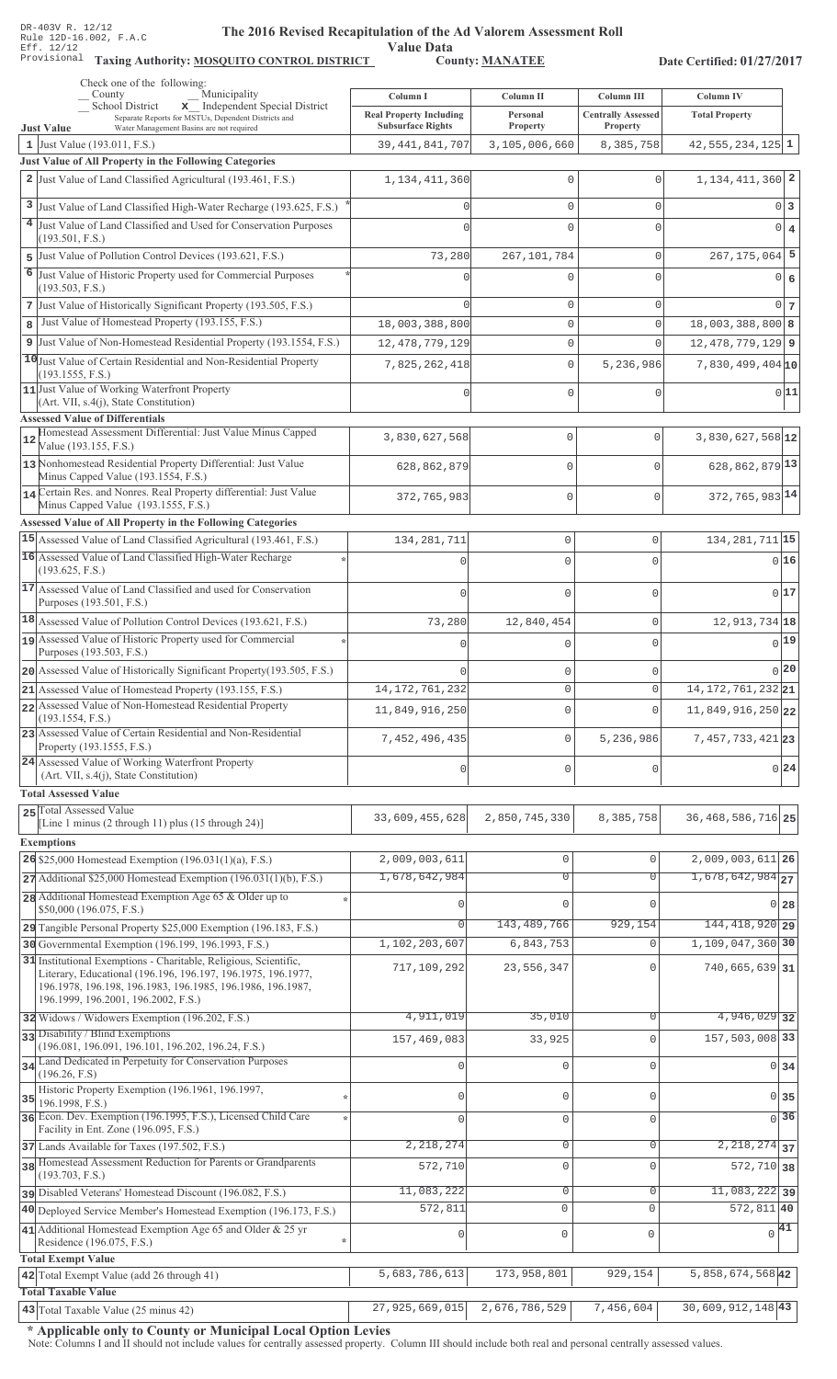Value Data<br>County: MANATEE Taxing Authority: **MOSQUITO CONTROL DISTRICT** County: **MANATEE** 

Date Certified: 01/27/2017

|    | Check one of the following:<br>Municipality<br>County                                                                                                                     | Column I                                                   | Column II            | Column III                            | Column IV                      |
|----|---------------------------------------------------------------------------------------------------------------------------------------------------------------------------|------------------------------------------------------------|----------------------|---------------------------------------|--------------------------------|
|    | x Independent Special District<br>School District<br>Separate Reports for MSTUs, Dependent Districts and<br><b>Just Value</b><br>Water Management Basins are not required | <b>Real Property Including</b><br><b>Subsurface Rights</b> | Personal<br>Property | <b>Centrally Assessed</b><br>Property | <b>Total Property</b>          |
|    | 1 Just Value (193.011, F.S.)                                                                                                                                              | 39, 441, 841, 707                                          | 3,105,006,660        | 8,385,758                             | $42,555,234,125$ 1             |
|    | Just Value of All Property in the Following Categories                                                                                                                    |                                                            |                      |                                       |                                |
|    | 2 Just Value of Land Classified Agricultural (193.461, F.S.)                                                                                                              | 1, 134, 411, 360                                           | 0                    | $\mathbf{0}$                          | $1,134,411,360$ 2              |
|    | 3 Just Value of Land Classified High-Water Recharge (193.625, F.S.)                                                                                                       |                                                            | 0                    | $\mathbf{0}$                          | 0 3                            |
|    | 4 Just Value of Land Classified and Used for Conservation Purposes                                                                                                        |                                                            | 0                    | $\Omega$                              | 0 4                            |
|    | (193.501, F.S.)                                                                                                                                                           |                                                            |                      |                                       |                                |
|    | 5 Just Value of Pollution Control Devices (193.621, F.S.)                                                                                                                 | 73,280                                                     | 267,101,784          | $\mathbf{0}$                          | $267, 175, 064$ 5              |
| 6  | Just Value of Historic Property used for Commercial Purposes<br>(193.503, F.S.)                                                                                           |                                                            | 0                    | $\Omega$                              | 0 6                            |
|    | 7 Just Value of Historically Significant Property (193.505, F.S.)                                                                                                         |                                                            | 0                    | $\mathbf{0}$                          | 0 <sub>7</sub>                 |
| 8  | Just Value of Homestead Property (193.155, F.S.)                                                                                                                          | 18,003,388,800                                             | 0                    | $\mathbf 0$                           | $18,003,388,800$ 8             |
|    | 9 Just Value of Non-Homestead Residential Property (193.1554, F.S.)                                                                                                       | 12, 478, 779, 129                                          | 0                    | $\mathbf 0$                           | $12,478,779,129$ 9             |
|    | 10 Just Value of Certain Residential and Non-Residential Property                                                                                                         | 7,825,262,418                                              | $\mathbb O$          | 5,236,986                             | $7,830,499,404$ 10             |
|    | (193.1555, F.S.)                                                                                                                                                          |                                                            |                      |                                       |                                |
|    | 11 Just Value of Working Waterfront Property<br>(Art. VII, s.4(j), State Constitution)                                                                                    |                                                            | 0                    | $\mathbf{0}$                          | 0 11                           |
|    | <b>Assessed Value of Differentials</b>                                                                                                                                    |                                                            |                      |                                       |                                |
| 12 | Homestead Assessment Differential: Just Value Minus Capped<br>Value (193.155, F.S.)                                                                                       | 3,830,627,568                                              | 0                    | $\Omega$                              | 3,830,627,568 12               |
|    | 13 Nonhomestead Residential Property Differential: Just Value                                                                                                             | 628,862,879                                                | 0                    | $\Omega$                              | 628, 862, 879 13               |
|    | Minus Capped Value (193.1554, F.S.)<br>14 Certain Res. and Nonres. Real Property differential: Just Value                                                                 |                                                            |                      |                                       |                                |
|    | Minus Capped Value (193.1555, F.S.)                                                                                                                                       | 372,765,983                                                | $\mathbf{0}$         | $\Omega$                              | 372, 765, 983 14               |
|    | Assessed Value of All Property in the Following Categories                                                                                                                |                                                            |                      |                                       |                                |
|    | 15 Assessed Value of Land Classified Agricultural (193.461, F.S.)                                                                                                         | 134, 281, 711                                              | $\mathbf 0$          | $\mathbf 0$                           | 134, 281, 711 15               |
|    | 16 Assessed Value of Land Classified High-Water Recharge<br>(193.625, F.S.)                                                                                               |                                                            | $\Omega$             | $\Omega$                              | 016                            |
|    | 17 Assessed Value of Land Classified and used for Conservation                                                                                                            | $\Omega$                                                   | $\mathbf{0}$         | $\overline{0}$                        | 017                            |
|    | Purposes (193.501, F.S.)                                                                                                                                                  |                                                            |                      |                                       |                                |
|    | 18 Assessed Value of Pollution Control Devices (193.621, F.S.)                                                                                                            | 73,280                                                     | 12,840,454           | 0                                     | 12, 913, 734 18                |
|    | 19 Assessed Value of Historic Property used for Commercial<br>Purposes (193.503, F.S.)                                                                                    |                                                            | $\Omega$             | $\Omega$                              | 0 19                           |
|    | 20 Assessed Value of Historically Significant Property (193.505, F.S.)                                                                                                    |                                                            | $\mathbf 0$          | 0                                     | 0 20                           |
|    | 21 Assessed Value of Homestead Property (193.155, F.S.)                                                                                                                   | 14, 172, 761, 232                                          | 0                    | $\mathbb O$                           | 14, 172, 761, 232 21           |
|    | 22 Assessed Value of Non-Homestead Residential Property                                                                                                                   | 11,849,916,250                                             | $\mathbf{0}$         | $\mathbf 0$                           | $11,849,916,250$  22           |
|    | (193.1554, F.S.)<br>23 Assessed Value of Certain Residential and Non-Residential                                                                                          | 7,452,496,435                                              | $\mathbf 0$          | 5,236,986                             | 7, 457, 733, 421 23            |
|    | Property (193.1555, F.S.)<br>24 Assessed Value of Working Waterfront Property                                                                                             |                                                            |                      |                                       |                                |
|    | (Art. VII, s.4(j), State Constitution)                                                                                                                                    |                                                            | $\mathbf 0$          | $\Omega$                              | 0 24                           |
|    | <b>Total Assessed Value</b>                                                                                                                                               |                                                            |                      |                                       |                                |
|    | 25 Total Assessed Value<br>[Line 1 minus (2 through 11) plus (15 through 24)]                                                                                             | 33,609,455,628                                             | 2,850,745,330        | 8,385,758                             | 36, 468, 586, 716 25           |
|    | <b>Exemptions</b>                                                                                                                                                         |                                                            |                      |                                       |                                |
|    | 26 \$25,000 Homestead Exemption (196.031(1)(a), F.S.)                                                                                                                     | 2,009,003,611                                              | $\mathbf 0$          | $\Omega$                              | $2,009,003,611$ 26             |
|    | $27$ Additional \$25,000 Homestead Exemption (196.031(1)(b), F.S.)                                                                                                        | 1,678,642,984                                              | $\overline{0}$       | $\overline{0}$                        | $1,678,642,984$ <sub>27</sub>  |
|    | 28 Additional Homestead Exemption Age 65 & Older up to                                                                                                                    |                                                            | $\Omega$             |                                       | $0$ 28                         |
|    | \$50,000 (196.075, F.S.)                                                                                                                                                  |                                                            | 143, 489, 766        | 929,154                               | 144, 418, 920 29               |
|    | 29 Tangible Personal Property \$25,000 Exemption (196.183, F.S.)<br>30 Governmental Exemption (196.199, 196.1993, F.S.)                                                   | 1,102,203,607                                              | 6,843,753            | $\Omega$                              | 1,109,047,360 30               |
|    | 31 Institutional Exemptions - Charitable, Religious, Scientific,                                                                                                          |                                                            |                      |                                       |                                |
|    | Literary, Educational (196.196, 196.197, 196.1975, 196.1977,<br>196.1978, 196.198, 196.1983, 196.1985, 196.1986, 196.1987,<br>196.1999, 196.2001, 196.2002, F.S.)         | 717,109,292                                                | 23,556,347           |                                       | 740,665,639 31                 |
|    | 32 Widows / Widowers Exemption (196.202, F.S.)                                                                                                                            | 4,911,019                                                  | 35,010               | $\Omega$                              | 4,946,029 32                   |
|    | 33 Disability / Blind Exemptions                                                                                                                                          | 157,469,083                                                | 33,925               | $\Omega$                              | 157,503,008 33                 |
|    | (196.081, 196.091, 196.101, 196.202, 196.24, F.S.)<br>34 Land Dedicated in Perpetuity for Conservation Purposes                                                           |                                                            |                      |                                       |                                |
|    | (196.26, F.S)                                                                                                                                                             |                                                            | 0                    | $\cap$                                | 0 34                           |
| 35 | Historic Property Exemption (196.1961, 196.1997,<br>196.1998, F.S.)                                                                                                       | 0                                                          | 0                    | $\Omega$                              | 0 35                           |
|    | 36 Econ. Dev. Exemption (196.1995, F.S.), Licensed Child Care<br>Facility in Ent. Zone (196.095, F.S.)                                                                    | $\cap$                                                     | $\mathbf 0$          | $\mathbf 0$                           | $\overline{0}$ 36              |
|    | 37 Lands Available for Taxes (197.502, F.S.)                                                                                                                              | 2,218,274                                                  | $\mathsf{O}\xspace$  | 0                                     | $\overline{2,218,274}$ 37      |
|    | 38 Homestead Assessment Reduction for Parents or Grandparents                                                                                                             | 572,710                                                    | $\mathbf{0}$         | $\mathbf 0$                           | $572, 710$ 38                  |
|    | (193.703, F.S.)<br>pisabled Veterans' Homestead Discount (196.082, F.S.)                                                                                                  | 11,083,222                                                 | $\mathbf 0$          | $\mathbf 0$                           | $11,083,222$ 39                |
|    | 40 Deployed Service Member's Homestead Exemption (196.173, F.S.)                                                                                                          | 572,811                                                    | $\circ$              | $\Omega$                              | 572, 811   40                  |
|    | 41 Additional Homestead Exemption Age 65 and Older & 25 yr                                                                                                                |                                                            |                      |                                       | $\sqrt{41}$                    |
|    | Residence (196.075, F.S.)                                                                                                                                                 | 0                                                          | $\mathbf 0$          | $\mathbf 0$                           |                                |
|    | <b>Total Exempt Value</b>                                                                                                                                                 |                                                            |                      |                                       |                                |
|    | 42 Total Exempt Value (add 26 through 41)<br><b>Total Taxable Value</b>                                                                                                   | 5,683,786,613                                              | 173,958,801          | 929,154                               | 5,858,674,568 42               |
|    | $\sqrt{43}$ Total Taxable Value (25 minus 42)                                                                                                                             | 27, 925, 669, 015                                          | 2,676,786,529        | 7,456,604                             | $30,609,912,148$ <sup>43</sup> |

\* Applicable only to County or Municipal Local Option Levies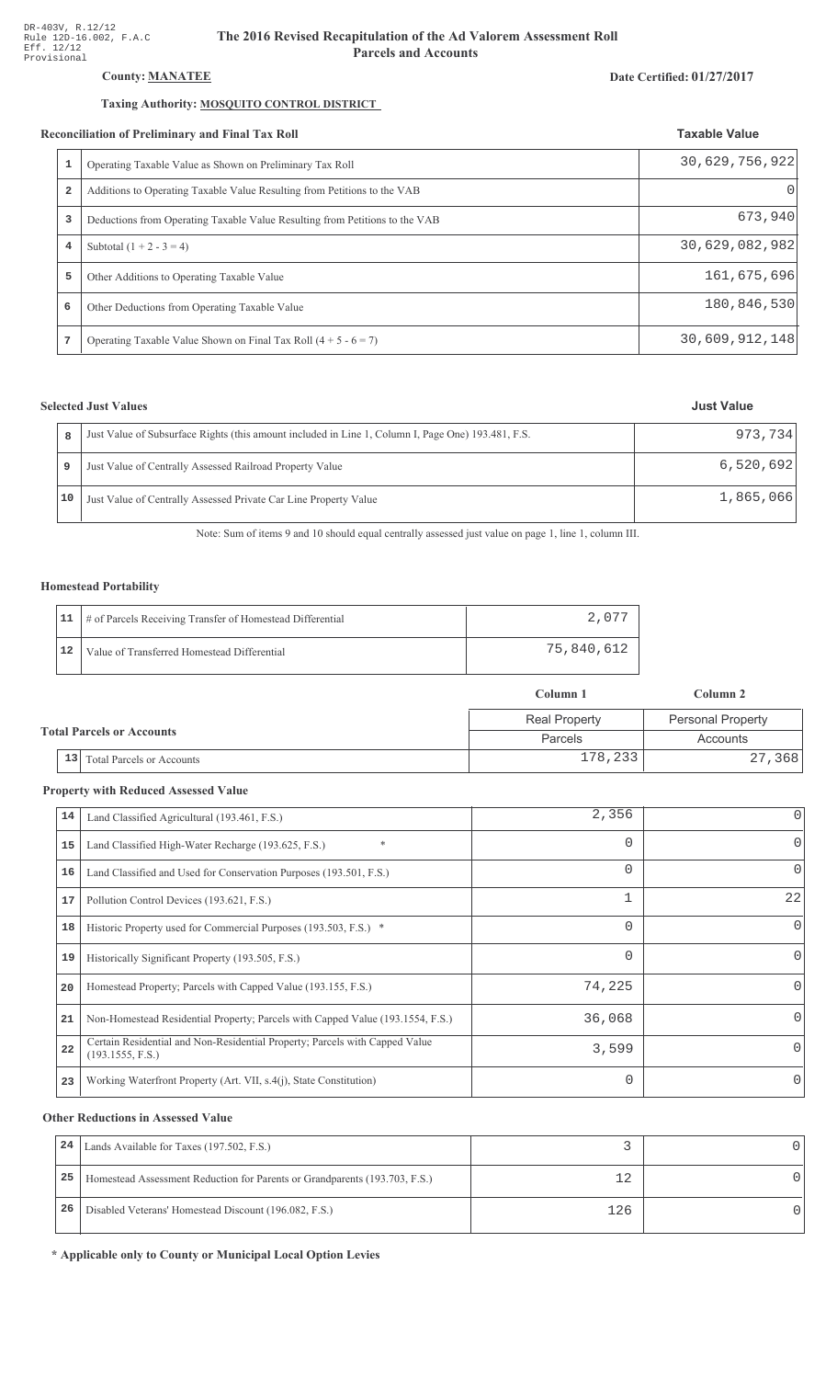# County: **MANATEE**

# Taxing Authority: MOSQUITO CONTROL DISTRICT

#### Reconciliation of Preliminary and Final Tax Roll

| Operating Taxable Value as Shown on Preliminary Tax Roll                    | 30,629,756,922   |
|-----------------------------------------------------------------------------|------------------|
| Additions to Operating Taxable Value Resulting from Petitions to the VAB    | $\left( \right)$ |
| Deductions from Operating Taxable Value Resulting from Petitions to the VAB | 673,940          |
| Subtotal $(1 + 2 - 3 = 4)$                                                  | 30,629,082,982   |
| Other Additions to Operating Taxable Value                                  | 161,675,696      |
| Other Deductions from Operating Taxable Value                               | 180,846,530      |
| Operating Taxable Value Shown on Final Tax Roll $(4 + 5 - 6 = 7)$           | 30,609,912,148   |
|                                                                             |                  |

# **Selected Just Values**

|    | Just Value of Subsurface Rights (this amount included in Line 1, Column I, Page One) 193.481, F.S. | 973.734   |
|----|----------------------------------------------------------------------------------------------------|-----------|
|    | Just Value of Centrally Assessed Railroad Property Value                                           | 6,520,692 |
| 10 | Just Value of Centrally Assessed Private Car Line Property Value                                   | 1,865,066 |

Note: Sum of items 9 and 10 should equal centrally assessed just value on page 1, line 1, column III.

### Homestead Portability

|    | 11   # of Parcels Receiving Transfer of Homestead Differential | 2.077      |
|----|----------------------------------------------------------------|------------|
| 12 | Value of Transferred Homestead Differential                    | 75,840,612 |

|                                  |                                        | Column 1             | Column 2                 |  |
|----------------------------------|----------------------------------------|----------------------|--------------------------|--|
|                                  |                                        | <b>Real Property</b> | <b>Personal Property</b> |  |
| <b>Total Parcels or Accounts</b> |                                        | Parcels              | Accounts                 |  |
|                                  | 13<br><b>Total Parcels or Accounts</b> | 178,233              | 27,368                   |  |

#### **Property with Reduced Assessed Value**

| 14 | Land Classified Agricultural (193.461, F.S.)                                                    | 2,356    |          |
|----|-------------------------------------------------------------------------------------------------|----------|----------|
| 15 | $\ast$<br>Land Classified High-Water Recharge (193.625, F.S.)                                   | 0        | $\Omega$ |
| 16 | Land Classified and Used for Conservation Purposes (193.501, F.S.)                              | $\Omega$ | 0        |
| 17 | Pollution Control Devices (193.621, F.S.)                                                       | 1        | 22       |
| 18 | Historic Property used for Commercial Purposes (193.503, F.S.) *                                | 0        | $\Omega$ |
| 19 | Historically Significant Property (193.505, F.S.)                                               | 0        | $\Omega$ |
| 20 | Homestead Property; Parcels with Capped Value (193.155, F.S.)                                   | 74,225   |          |
| 21 | Non-Homestead Residential Property; Parcels with Capped Value (193.1554, F.S.)                  | 36,068   |          |
| 22 | Certain Residential and Non-Residential Property; Parcels with Capped Value<br>(193.1555, F.S.) | 3,599    | $\Omega$ |
| 23 | Working Waterfront Property (Art. VII, s.4(j), State Constitution)                              | $\Omega$ | $\Omega$ |

#### **Other Reductions in Assessed Value**

| 24 | Lands Available for Taxes (197.502, F.S.)                                  |     |  |
|----|----------------------------------------------------------------------------|-----|--|
| 25 | Homestead Assessment Reduction for Parents or Grandparents (193.703, F.S.) |     |  |
| 26 | Disabled Veterans' Homestead Discount (196.082, F.S.)                      | 126 |  |

\* Applicable only to County or Municipal Local Option Levies

# Date Certified: 01/27/2017

**Taxable Value**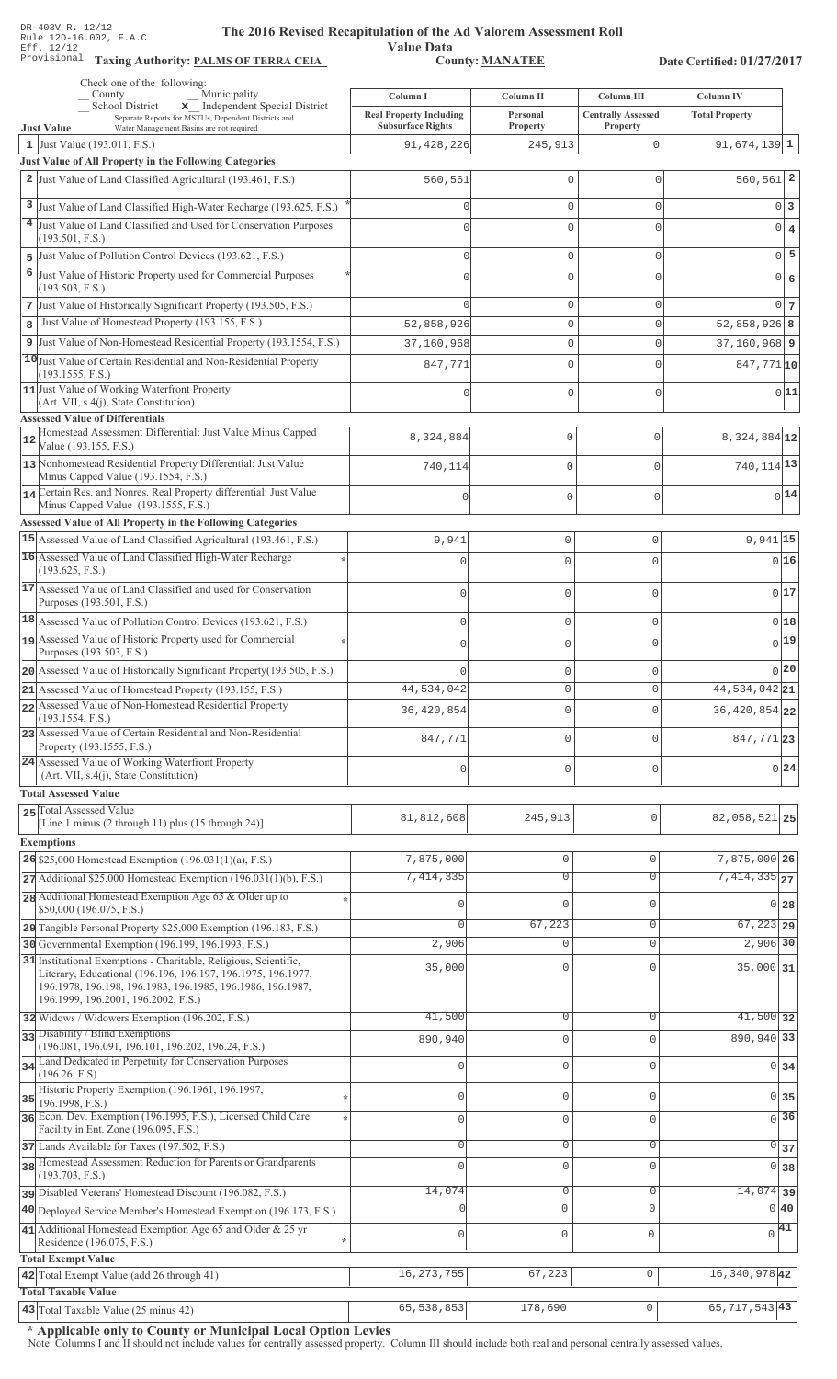Value Data<br>County: MANATEE

Taxing Authority: PALMS OF TERRA CEIA COUNTY: MANATEE

Date Certified: 01/27/2017

| Check one of the following:<br>Municipality<br>County                                                                      | Column I                               | Column II           | Column III                | Column IV                        |  |
|----------------------------------------------------------------------------------------------------------------------------|----------------------------------------|---------------------|---------------------------|----------------------------------|--|
| x Independent Special District<br>School District<br>Separate Reports for MSTUs, Dependent Districts and                   | <b>Real Property Including</b>         | Personal            | <b>Centrally Assessed</b> | <b>Total Property</b>            |  |
| <b>Just Value</b><br>Water Management Basins are not required<br>1 Just Value (193.011, F.S.)                              | <b>Subsurface Rights</b><br>91,428,226 | Property<br>245,913 | Property<br>0             | $91,674,139$ 1                   |  |
| Just Value of All Property in the Following Categories                                                                     |                                        |                     |                           |                                  |  |
| 2 Just Value of Land Classified Agricultural (193.461, F.S.)                                                               | 560,561                                | $\mathbf 0$         | $\mathbf 0$               | $560, 561$ 2                     |  |
| 3 Just Value of Land Classified High-Water Recharge (193.625, F.S.)                                                        |                                        | $\mathbf{0}$        | $\mathbf 0$               | $0\vert 3$                       |  |
| <sup>4</sup> Just Value of Land Classified and Used for Conservation Purposes                                              |                                        | $\mathbf{0}$        | $\Omega$                  |                                  |  |
| (193.501, F.S.)                                                                                                            |                                        |                     |                           | $0 \mid 4$                       |  |
| 5 Just Value of Pollution Control Devices (193.621, F.S.)                                                                  |                                        | $\mathbf{0}$        | $\mathbf 0$               | $0$ 5                            |  |
| 6<br>Just Value of Historic Property used for Commercial Purposes                                                          |                                        | $\mathbf{0}$        | $\Omega$                  | $0 \big  6$                      |  |
| (193.503, F.S.)<br>7 Just Value of Historically Significant Property (193.505, F.S.)                                       |                                        | $\mathbf{0}$        | $\mathbf 0$               | $0\overline{7}$                  |  |
| Just Value of Homestead Property (193.155, F.S.)<br>8                                                                      | 52,858,926                             | $\mathsf{O}\xspace$ | $\mathbf 0$               | $52,858,926$ 8                   |  |
| 9 Just Value of Non-Homestead Residential Property (193.1554, F.S.)                                                        | 37,160,968                             | $\mathbb O$         | $\mathbf 0$               | $37, 160, 968$ 9                 |  |
| 10 Just Value of Certain Residential and Non-Residential Property                                                          | 847,771                                | $\mathbf 0$         | $\Omega$                  | 847,771 10                       |  |
| (193.1555, F.S.)                                                                                                           |                                        |                     |                           |                                  |  |
| 11 Just Value of Working Waterfront Property<br>(Art. VII, s.4(j), State Constitution)                                     |                                        | $\mathbf 0$         | $\mathbf 0$               | 0 11                             |  |
| <b>Assessed Value of Differentials</b>                                                                                     |                                        |                     |                           |                                  |  |
| Homestead Assessment Differential: Just Value Minus Capped<br>12                                                           | 8,324,884                              | 0                   | $\mathbf{0}$              | 8,324,884 12                     |  |
| Value (193.155, F.S.)<br>13 Nonhomestead Residential Property Differential: Just Value                                     |                                        |                     |                           |                                  |  |
| Minus Capped Value (193.1554, F.S.)                                                                                        | 740,114                                | 0                   | $\mathbf{0}$              | 740, 114 13                      |  |
| 14 Certain Res. and Nonres. Real Property differential: Just Value                                                         |                                        | 0                   | $\mathbf 0$               | $0$ <sup>14</sup>                |  |
| Minus Capped Value (193.1555, F.S.)<br>Assessed Value of All Property in the Following Categories                          |                                        |                     |                           |                                  |  |
| 15 Assessed Value of Land Classified Agricultural (193.461, F.S.)                                                          | 9,941                                  | $\mathbf 0$         | 0                         | $9,941$ 15                       |  |
| 16 Assessed Value of Land Classified High-Water Recharge                                                                   | $\Omega$                               | $\mathbf 0$         | O                         | 0 16                             |  |
| (193.625, F.S.)                                                                                                            |                                        |                     |                           |                                  |  |
| 17 Assessed Value of Land Classified and used for Conservation                                                             | $\mathbf{0}$                           | $\mathbf 0$         | 0                         | 0 17                             |  |
| Purposes (193.501, F.S.)<br>$18$ Assessed Value of Pollution Control Devices (193.621, F.S.)                               |                                        |                     |                           | 018                              |  |
| 19 Assessed Value of Historic Property used for Commercial                                                                 | $\mathbf{0}$                           | $\mathbf 0$         | 0                         | $0$ <sup>19</sup>                |  |
| Purposes (193.503, F.S.)                                                                                                   | $\mathbf 0$                            | $\mathbf 0$         | $\Omega$                  |                                  |  |
| 20 Assessed Value of Historically Significant Property (193.505, F.S.)                                                     |                                        | $\mathbf 0$         | U                         | 0 20                             |  |
| 21 Assessed Value of Homestead Property (193.155, F.S.)                                                                    | 44,534,042                             | $\mathbb O$         | 0                         | $\overline{44,534,042}$ 21       |  |
| 22 Assessed Value of Non-Homestead Residential Property<br>(193.1554, F.S.)                                                | 36, 420, 854                           | $\mathbf{0}$        | U                         | 36, 420, 854 22                  |  |
| 23 Assessed Value of Certain Residential and Non-Residential                                                               | 847,771                                | $\mathbf 0$         | O                         |                                  |  |
| Property (193.1555, F.S.)                                                                                                  |                                        |                     |                           | 847,77123                        |  |
| 24 Assessed Value of Working Waterfront Property<br>(Art. VII, s.4(j), State Constitution)                                 | $\theta$                               | $\mathbf 0$         | U                         | 0 24                             |  |
| <b>Total Assessed Value</b>                                                                                                |                                        |                     |                           |                                  |  |
| 25 Total Assessed Value                                                                                                    |                                        |                     |                           |                                  |  |
| [Line 1 minus (2 through 11) plus (15 through 24)]                                                                         | 81,812,608                             | 245,913             | 0                         | 82,058,521 25                    |  |
| <b>Exemptions</b>                                                                                                          |                                        |                     |                           |                                  |  |
| 26 \$25,000 Homestead Exemption $(196.031(1)(a), F.S.)$                                                                    | 7,875,000                              | $\mathbb O$         | $\mathbf 0$               | 7,875,000 26                     |  |
| $27$ Additional \$25,000 Homestead Exemption (196.031(1)(b), F.S.)                                                         | 7,414,335                              | $\overline{0}$      | $\overline{0}$            | $7,414,335$ <sub>27</sub>        |  |
| 28 Additional Homestead Exemption Age 65 & Older up to<br>\$50,000 (196.075, F.S.)                                         | O                                      | $\mathbf{0}$        | $\Omega$                  | $0$ 28                           |  |
| 29 Tangible Personal Property \$25,000 Exemption (196.183, F.S.)                                                           |                                        | 67,223              | $\mathbf 0$               | $67,223$ 29                      |  |
| 30 Governmental Exemption (196.199, 196.1993, F.S.)                                                                        | 2,906                                  | $\mathbf 0$         | $\Omega$                  | 2,906 30                         |  |
| 31 Institutional Exemptions - Charitable, Religious, Scientific,                                                           | 35,000                                 | $\mathbf{0}$        |                           | 35,000 31                        |  |
| Literary, Educational (196.196, 196.197, 196.1975, 196.1977,<br>196.1978, 196.198, 196.1983, 196.1985, 196.1986, 196.1987, |                                        |                     |                           |                                  |  |
| 196.1999, 196.2001, 196.2002, F.S.)                                                                                        |                                        |                     |                           |                                  |  |
| 32 Widows / Widowers Exemption (196.202, F.S.)                                                                             | 41,500                                 | $\overline{0}$      | $\Omega$                  | $41,500$ 32                      |  |
| 33 Disability / Blind Exemptions<br>(196.081, 196.091, 196.101, 196.202, 196.24, F.S.)                                     | 890,940                                | $\mathbf 0$         | $\Omega$                  | 890,940 33                       |  |
| 34 Land Dedicated in Perpetuity for Conservation Purposes                                                                  |                                        | $\mathbb O$         | $\Omega$                  | $0 \overline{\smash{34}}$        |  |
| (196.26, F.S)<br>Historic Property Exemption (196.1961, 196.1997,                                                          |                                        |                     |                           |                                  |  |
| 35<br>196.1998, F.S.)                                                                                                      | U                                      | $\mathbb O$         | $\mathbf 0$               | 0 35                             |  |
| 36 Econ. Dev. Exemption (196.1995, F.S.), Licensed Child Care<br>Facility in Ent. Zone (196.095, F.S.)                     | 0                                      | $\mathbf 0$         | $\mathbf 0$               | $\overline{0}$ 36                |  |
| 37 Lands Available for Taxes (197.502, F.S.)                                                                               | 0                                      | $\mathbf 0$         | 0                         | $0 \overline{\smash{\big)}\ 37}$ |  |
| 38 Homestead Assessment Reduction for Parents or Grandparents                                                              | $\Omega$                               | $\mathbf 0$         | $\mathbf 0$               | 0 38                             |  |
| (193.703, F.S.)                                                                                                            |                                        |                     |                           |                                  |  |
| pisabled Veterans' Homestead Discount (196.082, F.S.)                                                                      | 14,074                                 | $\mathbf 0$         | $\mathbf 0$               | $14,074$ 39                      |  |
| 40 Deployed Service Member's Homestead Exemption (196.173, F.S.)                                                           |                                        | 0                   | $\mathbf 0$               | 0 40                             |  |
| 41 Additional Homestead Exemption Age 65 and Older & 25 yr<br>Residence (196.075, F.S.)                                    | 0                                      | $\mathbf 0$         | $\mathbf 0$               | $\sqrt{41}$                      |  |
| <b>Total Exempt Value</b>                                                                                                  |                                        |                     |                           |                                  |  |
| 42 Total Exempt Value (add 26 through 41)                                                                                  | 16, 273, 755                           | 67,223              | $\mathbf{0}$              | 16, 340, 978 42                  |  |
| <b>Total Taxable Value</b>                                                                                                 |                                        |                     |                           |                                  |  |
| 43 Total Taxable Value (25 minus 42)                                                                                       | 65,538,853                             | 178,690             | $\mathsf{O}\xspace$       | 65, 717, 543 43                  |  |

\* Applicable only to County or Municipal Local Option Levies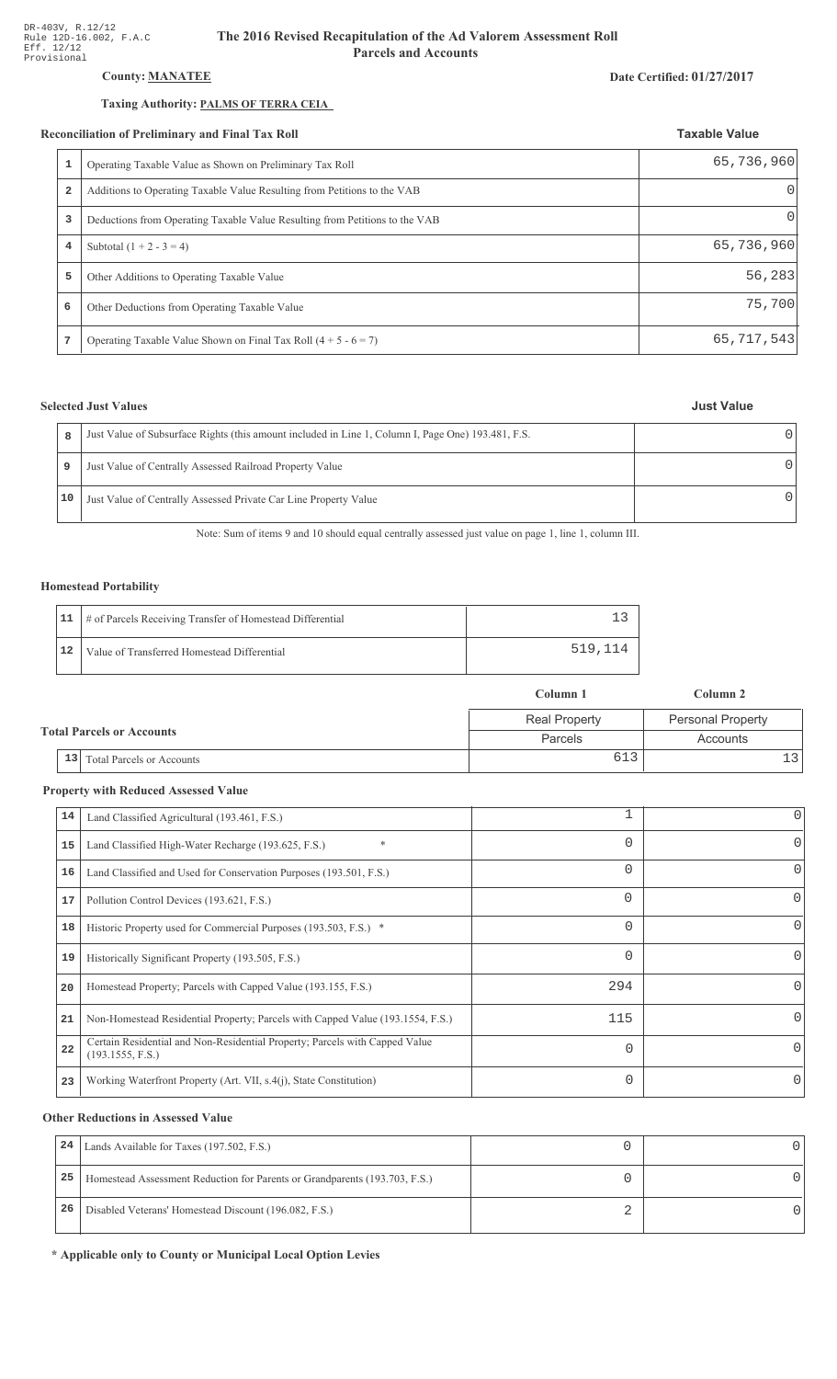# **County: MANATEE**

### Taxing Authority: PALMS OF TERRA CEIA

#### **Reconciliation of Preliminary and Final Tax Roll**

|                         | conciliation of Preliminary and Final Tax Roll                              | <b>Taxable Value</b> |
|-------------------------|-----------------------------------------------------------------------------|----------------------|
| 1                       | Operating Taxable Value as Shown on Preliminary Tax Roll                    | 65,736,960           |
| $\overline{\mathbf{2}}$ | Additions to Operating Taxable Value Resulting from Petitions to the VAB    | 0                    |
| 3                       | Deductions from Operating Taxable Value Resulting from Petitions to the VAB | $\Omega$             |
| 4                       | Subtotal $(1 + 2 - 3 = 4)$                                                  | 65,736,960           |
| 5                       | Other Additions to Operating Taxable Value                                  | 56,283               |
| 6                       | Other Deductions from Operating Taxable Value                               | 75,700               |
|                         | Operating Taxable Value Shown on Final Tax Roll $(4 + 5 - 6 = 7)$           | 65,717,543           |

# **Selected Just Values**

|    | Just Value of Subsurface Rights (this amount included in Line 1, Column I, Page One) 193.481, F.S. |  |
|----|----------------------------------------------------------------------------------------------------|--|
| 9  | Just Value of Centrally Assessed Railroad Property Value                                           |  |
| 10 | Just Value of Centrally Assessed Private Car Line Property Value                                   |  |

Note: Sum of items 9 and 10 should equal centrally assessed just value on page 1, line 1, column III.

### **Homestead Portability**

|    | 11   # of Parcels Receiving Transfer of Homestead Differential |         |
|----|----------------------------------------------------------------|---------|
| 12 | Value of Transferred Homestead Differential                    | 519,114 |

|  |    |                                  | Column 1             | Column 2                 |  |
|--|----|----------------------------------|----------------------|--------------------------|--|
|  |    |                                  | <b>Real Property</b> | <b>Personal Property</b> |  |
|  |    | <b>Total Parcels or Accounts</b> | Parcels              | Accounts                 |  |
|  | 13 | <b>Total Parcels or Accounts</b> | 613                  |                          |  |

# **Property with Reduced Assessed Value**

| 14 | Land Classified Agricultural (193.461, F.S.)                                                    |          | 0        |
|----|-------------------------------------------------------------------------------------------------|----------|----------|
| 15 | *<br>Land Classified High-Water Recharge (193.625, F.S.)                                        | 0        | 0        |
| 16 | Land Classified and Used for Conservation Purposes (193.501, F.S.)                              | 0        |          |
| 17 | Pollution Control Devices (193.621, F.S.)                                                       | 0        | 0        |
| 18 | Historic Property used for Commercial Purposes (193.503, F.S.) *                                | 0        |          |
| 19 | Historically Significant Property (193.505, F.S.)                                               | $\Omega$ | 0        |
| 20 | Homestead Property; Parcels with Capped Value (193.155, F.S.)                                   | 294      | 0        |
| 21 | Non-Homestead Residential Property; Parcels with Capped Value (193.1554, F.S.)                  | 115      | 0        |
| 22 | Certain Residential and Non-Residential Property; Parcels with Capped Value<br>(193.1555, F.S.) | $\Omega$ | $\Omega$ |
| 23 | Working Waterfront Property (Art. VII, s.4(j), State Constitution)                              | $\Omega$ |          |
|    |                                                                                                 |          |          |

### **Other Reductions in Assessed Value**

| 24 | Lands Available for Taxes (197.502, F.S.)                                  |  |
|----|----------------------------------------------------------------------------|--|
| 25 | Homestead Assessment Reduction for Parents or Grandparents (193.703, F.S.) |  |
| 26 | Disabled Veterans' Homestead Discount (196.082, F.S.)                      |  |

\* Applicable only to County or Municipal Local Option Levies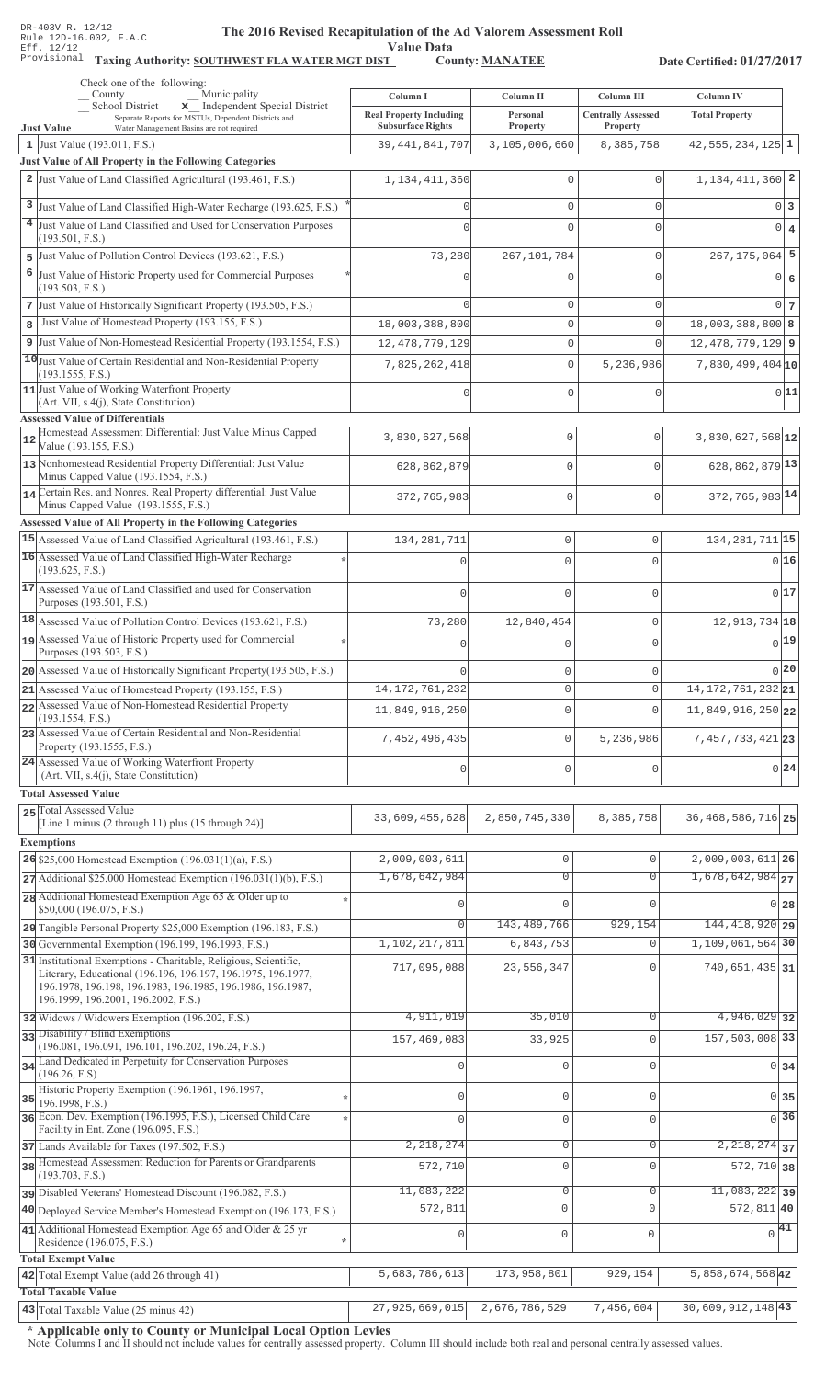Value Data<br>
County: <u>MANATEE</u>

Taxing Authority: SOUTHWEST FLA WATER MGT DIST County: MANATEE

Date Certified: 01/27/2017

|    | Check one of the following:<br>Municipality<br>County                                                                                    | Column I                       | Column II           | Column III                | Column IV                      |
|----|------------------------------------------------------------------------------------------------------------------------------------------|--------------------------------|---------------------|---------------------------|--------------------------------|
|    | School District<br>x Independent Special District<br>Separate Reports for MSTUs, Dependent Districts and                                 | <b>Real Property Including</b> | Personal            | <b>Centrally Assessed</b> | <b>Total Property</b>          |
|    | <b>Just Value</b><br>Water Management Basins are not required                                                                            | <b>Subsurface Rights</b>       | Property            | Property                  |                                |
|    | 1 Just Value (193.011, F.S.)<br>Just Value of All Property in the Following Categories                                                   | 39, 441, 841, 707              | 3,105,006,660       | 8,385,758                 | $42,555,234,125$ 1             |
|    | 2 Just Value of Land Classified Agricultural (193.461, F.S.)                                                                             | 1, 134, 411, 360               | O                   | $\mathbf 0$               | $1,134,411,360$ 2              |
|    |                                                                                                                                          |                                |                     |                           |                                |
| 3  | Just Value of Land Classified High-Water Recharge (193.625, F.S.)                                                                        | $\Omega$                       | $\Omega$            | $\mathbf{0}$              | $0\vert 3$                     |
|    | 4 Just Value of Land Classified and Used for Conservation Purposes<br>(193.501, F.S.)                                                    | $\Omega$                       | $\Omega$            | $\Omega$                  | $0 \mid 4$                     |
| 5  | Just Value of Pollution Control Devices (193.621, F.S.)                                                                                  | 73,280                         | 267, 101, 784       | $\mathsf{O}\xspace$       | $267, 175, 064$ 5              |
| 6  | Just Value of Historic Property used for Commercial Purposes                                                                             |                                | $\Omega$            | $\Omega$                  | 0 6                            |
|    | (193.503, F.S.)                                                                                                                          |                                |                     |                           |                                |
|    | 7 Just Value of Historically Significant Property (193.505, F.S.)<br>Just Value of Homestead Property (193.155, F.S.)                    |                                | $\mathbf 0$         | $\mathbf{0}$              | $0\vert$ 7                     |
| 8  |                                                                                                                                          | 18,003,388,800                 | $\mathbf 0$         | $\mathbf{0}$              | $18,003,388,800$ 8             |
|    | 9 Just Value of Non-Homestead Residential Property (193.1554, F.S.)<br>10 Just Value of Certain Residential and Non-Residential Property | 12, 478, 779, 129              | $\Omega$            | $\Omega$                  | $12,478,779,129$ 9             |
|    | (193.1555, F.S.)                                                                                                                         | 7,825,262,418                  | $\mathbf 0$         | 5,236,986                 | $7,830,499,404$ <sub>10</sub>  |
|    | 11 Just Value of Working Waterfront Property<br>(Art. VII, s.4(j), State Constitution)                                                   |                                | $\Omega$            | $\mathbf{0}$              | 0 11                           |
|    | <b>Assessed Value of Differentials</b>                                                                                                   |                                |                     |                           |                                |
| 12 | Homestead Assessment Differential: Just Value Minus Capped                                                                               | 3,830,627,568                  | 0                   | $\mathbf{0}$              | 3,830,627,568 12               |
|    | Value (193.155, F.S.)                                                                                                                    |                                |                     |                           |                                |
|    | 13 Nonhomestead Residential Property Differential: Just Value<br>Minus Capped Value (193.1554, F.S.)                                     | 628,862,879                    | 0                   | $\cap$                    | 628, 862, 879 13               |
|    | 14 Certain Res. and Nonres. Real Property differential: Just Value                                                                       | 372,765,983                    | 0                   | $\mathbf 0$               | 372, 765, 983 14               |
|    | Minus Capped Value (193.1555, F.S.)                                                                                                      |                                |                     |                           |                                |
|    | Assessed Value of All Property in the Following Categories<br>15 Assessed Value of Land Classified Agricultural (193.461, F.S.)          | 134, 281, 711                  | 0                   | $\mathbf 0$               | 134, 281, 711 15               |
|    | 16 Assessed Value of Land Classified High-Water Recharge                                                                                 |                                | $\Omega$            | $\cap$                    | 0 16                           |
|    | (193.625, F.S.)                                                                                                                          |                                |                     |                           |                                |
|    | 17 Assessed Value of Land Classified and used for Conservation                                                                           |                                | $\bigcap$           | $\Omega$                  | 0 17                           |
|    | Purposes (193.501, F.S.)                                                                                                                 |                                |                     |                           |                                |
|    | 18 Assessed Value of Pollution Control Devices (193.621, F.S.)<br>19 Assessed Value of Historic Property used for Commercial             | 73,280                         | 12,840,454          | $\circ$                   | 12, 913, 734 18                |
|    | Purposes (193.503, F.S.)                                                                                                                 |                                | $\bigcap$           | $\Omega$                  | 0 19                           |
|    | 20 Assessed Value of Historically Significant Property (193.505, F.S.)                                                                   |                                | 0                   | $\mathbf 0$               | 0 20                           |
|    | $21$ Assessed Value of Homestead Property (193.155, F.S.)                                                                                | 14, 172, 761, 232              | $\mathbf 0$         | $\circ$                   | 14, 172, 761, 232 21           |
|    | 22 Assessed Value of Non-Homestead Residential Property<br>(193.1554, F.S.)                                                              | 11,849,916,250                 | $\mathbf 0$         | $\Omega$                  | 11,849,916,250 22              |
|    | 23 Assessed Value of Certain Residential and Non-Residential                                                                             | 7,452,496,435                  | $\mathsf 0$         | 5,236,986                 | 7, 457, 733, 421 23            |
|    | Property (193.1555, F.S.)                                                                                                                |                                |                     |                           |                                |
|    | 24 Assessed Value of Working Waterfront Property<br>(Art. VII, s.4(j), State Constitution)                                               | $\Omega$                       | $\mathbf 0$         | $\Omega$                  | 0 24                           |
|    | <b>Total Assessed Value</b>                                                                                                              |                                |                     |                           |                                |
|    | 25 Total Assessed Value                                                                                                                  | 33,609,455,628                 | 2,850,745,330       | 8,385,758                 | 36, 468, 586, 716 25           |
|    | [Line 1 minus (2 through 11) plus (15 through 24)]                                                                                       |                                |                     |                           |                                |
|    | <b>Exemptions</b><br>26 \$25,000 Homestead Exemption $(196.031(1)(a), F.S.)$                                                             | 2,009,003,611                  | $\mathsf{O}\xspace$ | $\Omega$                  | $2,009,003,611$ 26             |
|    | $27$ Additional \$25,000 Homestead Exemption (196.031(1)(b), F.S.)                                                                       | 1,678,642,984                  | $\overline{0}$      | $\Omega$                  | $1,678,642,984$ <sub>27</sub>  |
|    | 28 Additional Homestead Exemption Age 65 & Older up to                                                                                   |                                |                     |                           |                                |
|    | \$50,000 (196.075, F.S.)                                                                                                                 | $\mathbf 0$                    | $\Omega$            | $\Omega$                  | $0\,$ 28                       |
|    | 29 Tangible Personal Property \$25,000 Exemption (196.183, F.S.)                                                                         | $\mathbf{0}$                   | 143, 489, 766       | 929,154                   | 144, 418, 920 29               |
|    | 30 Governmental Exemption (196.199, 196.1993, F.S.)                                                                                      | 1,102,217,811                  | 6,843,753           | $\Omega$                  | 1,109,061,564 30               |
|    | 31 Institutional Exemptions - Charitable, Religious, Scientific,<br>Literary, Educational (196.196, 196.197, 196.1975, 196.1977,         | 717,095,088                    | 23,556,347          | $\Omega$                  | 740,651,435 31                 |
|    | 196.1978, 196.198, 196.1983, 196.1985, 196.1986, 196.1987,                                                                               |                                |                     |                           |                                |
|    | 196.1999, 196.2001, 196.2002, F.S.)<br>32 Widows / Widowers Exemption (196.202, F.S.)                                                    | 4,911,019                      | 35,010              | 0                         | 4,946,029 32                   |
|    | 33 Disability / Blind Exemptions                                                                                                         |                                |                     |                           |                                |
|    | (196.081, 196.091, 196.101, 196.202, 196.24, F.S.)                                                                                       | 157,469,083                    | 33,925              | $\Omega$                  | 157,503,008 33                 |
|    | 34 Land Dedicated in Perpetuity for Conservation Purposes<br>(196.26, F.S)                                                               | $\mathbf 0$                    | $\mathbf{0}$        | $\Omega$                  | 0 <sub>34</sub>                |
|    | Historic Property Exemption (196.1961, 196.1997,                                                                                         | $\mathbf 0$                    | $\mathbf{0}$        | $\mathbf{0}$              | $0\overline{35}$               |
| 35 | 196.1998, F.S.)<br>36 Econ. Dev. Exemption (196.1995, F.S.), Licensed Child Care                                                         |                                |                     |                           | $\overline{0}$ 36              |
|    | Facility in Ent. Zone (196.095, F.S.)                                                                                                    | $\cap$                         | $\mathbf{0}$        | $\Omega$                  |                                |
|    | 37 Lands Available for Taxes (197.502, F.S.)                                                                                             | 2,218,274                      | $\mathsf{O}\xspace$ | $\mathbf{0}$              | $\overline{2,218,274}$ 37      |
|    | 38 Homestead Assessment Reduction for Parents or Grandparents<br>(193.703, F.S.)                                                         | 572,710                        | $\mathbb O$         | $\mathbf{0}$              | $572, 710$ 38                  |
|    | pisabled Veterans' Homestead Discount (196.082, F.S.)                                                                                    | 11,083,222                     | 0                   | 0                         | $11,083,222$ 39                |
|    | 40 Deployed Service Member's Homestead Exemption (196.173, F.S.)                                                                         | 572,811                        | $\mathbf{0}$        | $\Omega$                  | 572, 811   40                  |
|    | 41 Additional Homestead Exemption Age 65 and Older & 25 yr                                                                               | 0                              | $\mathsf 0$         | $\mathbb O$               | 41<br>$\Omega$                 |
|    | Residence (196.075, F.S.)                                                                                                                |                                |                     |                           |                                |
|    | <b>Total Exempt Value</b><br>42 Total Exempt Value (add 26 through 41)                                                                   | 5,683,786,613                  | 173,958,801         | 929,154                   | 5,858,674,568 42               |
|    | <b>Total Taxable Value</b>                                                                                                               |                                |                     |                           |                                |
|    | 43 Total Taxable Value (25 minus 42)                                                                                                     | 27,925,669,015                 | 2,676,786,529       | 7,456,604                 | $30,609,912,148$ <sup>43</sup> |

\* Applicable only to County or Municipal Local Option Levies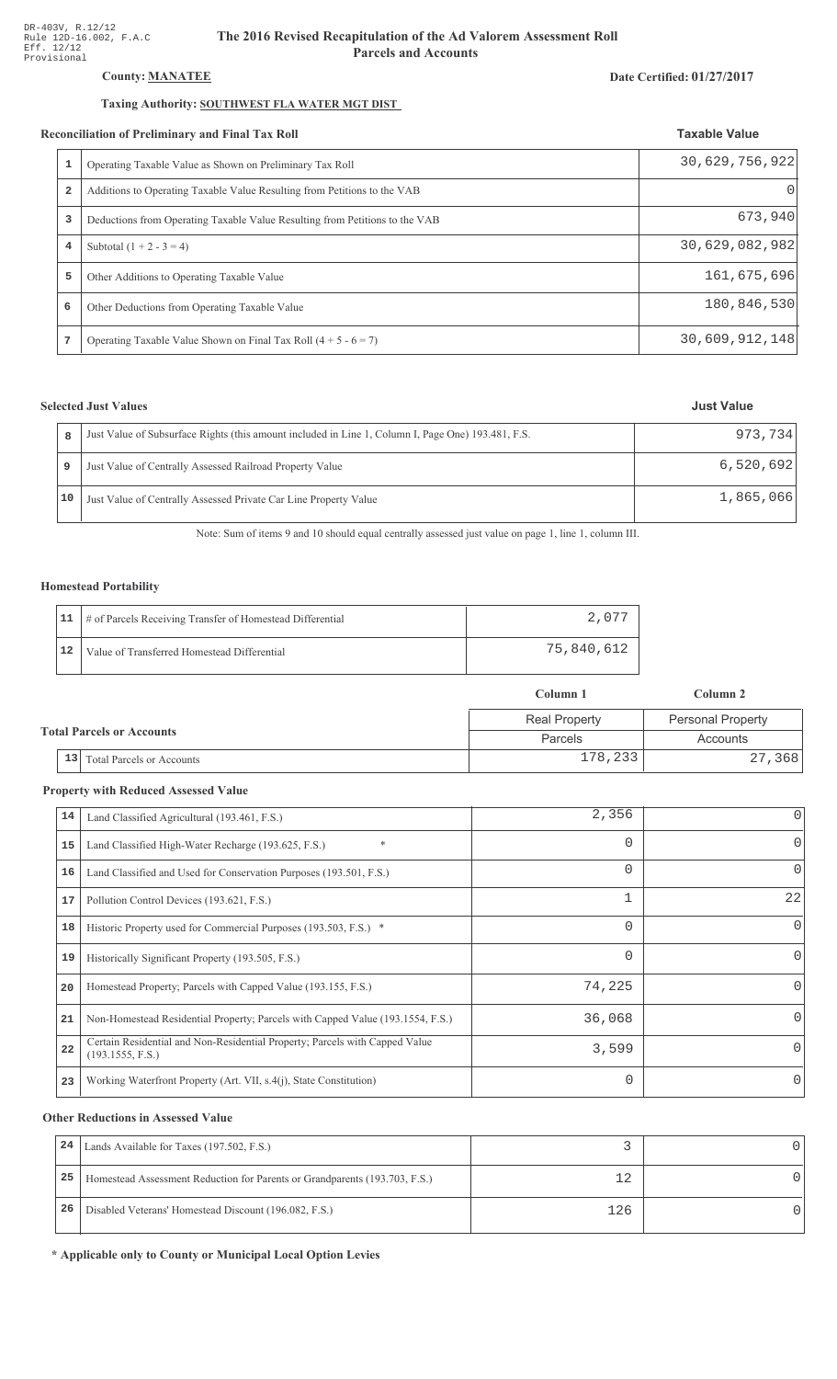# County: **MANATEE**

#### Taxing Authority: SOUTHWEST FLA WATER MGT DIST

#### Reconciliation of Preliminary and Final Tax Roll

|                | Operating Taxable Value as Shown on Preliminary Tax Roll                    | 30,629,756,922 |
|----------------|-----------------------------------------------------------------------------|----------------|
| $\overline{a}$ | Additions to Operating Taxable Value Resulting from Petitions to the VAB    |                |
| 3              | Deductions from Operating Taxable Value Resulting from Petitions to the VAB | 673,940        |
| 4              | Subtotal $(1 + 2 - 3 = 4)$                                                  | 30,629,082,982 |
| 5              | Other Additions to Operating Taxable Value                                  | 161,675,696    |
| 6              | Other Deductions from Operating Taxable Value                               | 180,846,530    |
|                | Operating Taxable Value Shown on Final Tax Roll $(4 + 5 - 6 = 7)$           | 30,609,912,148 |

# **Selected Just Values**

|    | Just Value of Subsurface Rights (this amount included in Line 1, Column I, Page One) 193.481, F.S. | 973.734   |
|----|----------------------------------------------------------------------------------------------------|-----------|
|    | Just Value of Centrally Assessed Railroad Property Value                                           | 6,520,692 |
| 10 | Just Value of Centrally Assessed Private Car Line Property Value                                   | 1,865,066 |

Note: Sum of items 9 and 10 should equal centrally assessed just value on page 1, line 1, column III.

### Homestead Portability

|    | 11   # of Parcels Receiving Transfer of Homestead Differential | 2.077      |
|----|----------------------------------------------------------------|------------|
| 12 | Value of Transferred Homestead Differential                    | 75,840,612 |

|                                  |                                        | Column 1             | Column 2                 |  |
|----------------------------------|----------------------------------------|----------------------|--------------------------|--|
| <b>Total Parcels or Accounts</b> |                                        | <b>Real Property</b> | <b>Personal Property</b> |  |
|                                  |                                        | Parcels              | Accounts                 |  |
|                                  | 13<br><b>Total Parcels or Accounts</b> | 178,233              | 27,368                   |  |

#### **Property with Reduced Assessed Value**

| 14 | Land Classified Agricultural (193.461, F.S.)                                                    | 2,356    |          |
|----|-------------------------------------------------------------------------------------------------|----------|----------|
| 15 | $\ast$<br>Land Classified High-Water Recharge (193.625, F.S.)                                   | 0        | $\Omega$ |
| 16 | Land Classified and Used for Conservation Purposes (193.501, F.S.)                              | $\Omega$ | $\Omega$ |
| 17 | Pollution Control Devices (193.621, F.S.)                                                       |          | 22       |
| 18 | Historic Property used for Commercial Purposes (193.503, F.S.) *                                | 0        | $\Omega$ |
| 19 | Historically Significant Property (193.505, F.S.)                                               | $\Omega$ | $\Omega$ |
| 20 | Homestead Property; Parcels with Capped Value (193.155, F.S.)                                   | 74,225   | 0        |
| 21 | Non-Homestead Residential Property; Parcels with Capped Value (193.1554, F.S.)                  | 36,068   | 0        |
| 22 | Certain Residential and Non-Residential Property; Parcels with Capped Value<br>(193.1555, F.S.) | 3,599    | $\Omega$ |
| 23 | Working Waterfront Property (Art. VII, s.4(j), State Constitution)                              | $\Omega$ | $\Omega$ |

#### **Other Reductions in Assessed Value**

| 24 | Lands Available for Taxes (197.502, F.S.)                                  |     |  |
|----|----------------------------------------------------------------------------|-----|--|
| 25 | Homestead Assessment Reduction for Parents or Grandparents (193.703, F.S.) |     |  |
| 26 | Disabled Veterans' Homestead Discount (196.082, F.S.)                      | 126 |  |

\* Applicable only to County or Municipal Local Option Levies

# Date Certified: 01/27/2017

**Taxable Value**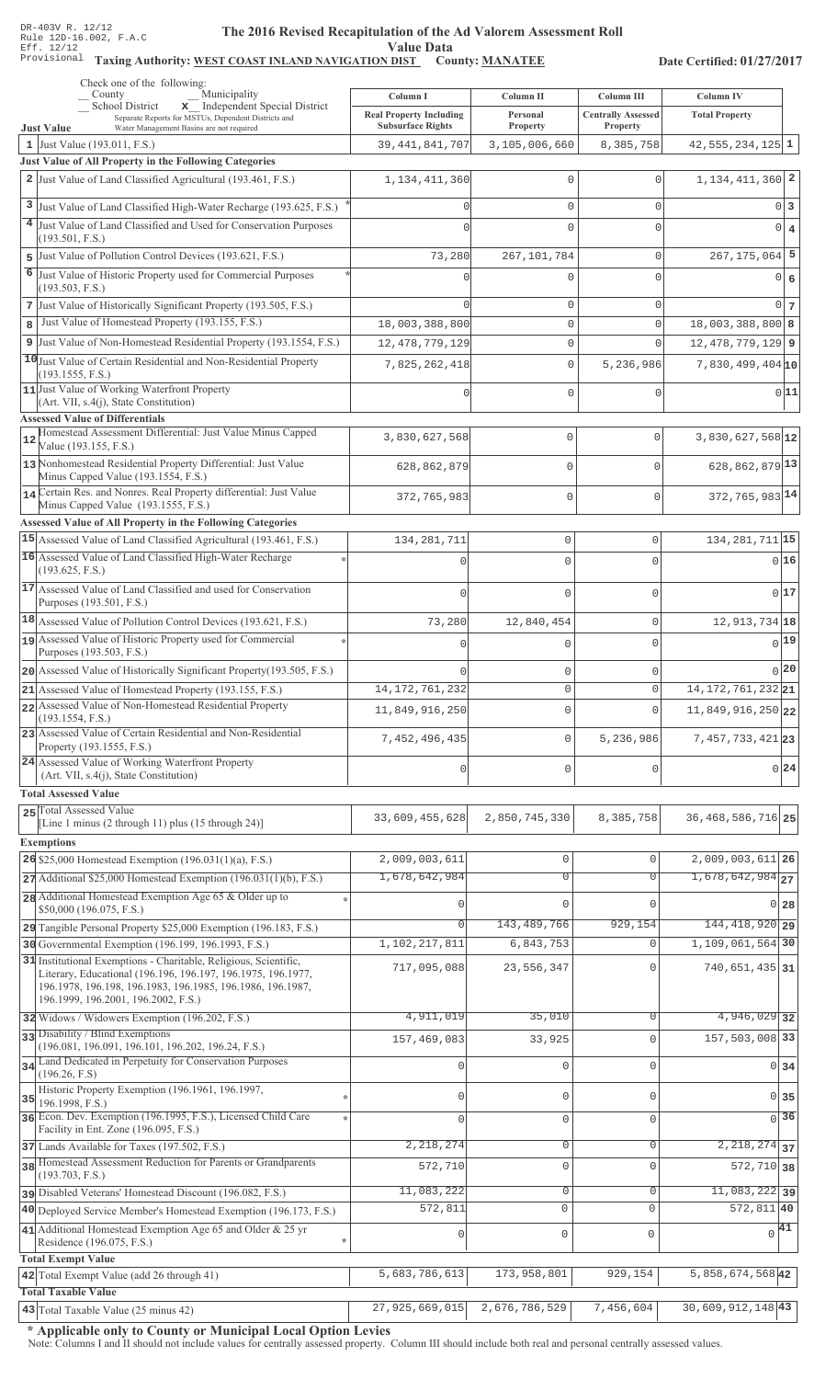#### The 2016 Revised Recapitulation of th The 2016 Revised Recapitulation of the Ad Valorem Assessment Roll **Value Data**

# Taxing Authority: WEST COAST INLAND NAVIGATION DIST County: MANATEE

Date Certified: 01/27/2017

|    | Check one of the following:<br>Municipality<br>County                                                                                                | Column I                       | Column II                  | Column III                      | <b>Column IV</b>                        |
|----|------------------------------------------------------------------------------------------------------------------------------------------------------|--------------------------------|----------------------------|---------------------------------|-----------------------------------------|
|    | x Independent Special District<br>School District<br>Separate Reports for MSTUs, Dependent Districts and                                             | <b>Real Property Including</b> | Personal                   | <b>Centrally Assessed</b>       | <b>Total Property</b>                   |
|    | Water Management Basins are not required<br><b>Just Value</b>                                                                                        | <b>Subsurface Rights</b>       | Property                   | Property                        |                                         |
|    | 1 Just Value $(193.011, F.S.)$<br>Just Value of All Property in the Following Categories                                                             | 39, 441, 841, 707              | 3,105,006,660              | 8,385,758                       | $42,555,234,125$ 1                      |
|    | 2 Just Value of Land Classified Agricultural (193.461, F.S.)                                                                                         | 1, 134, 411, 360               | 0                          | 0                               | 1, 134, 411, 360 2                      |
|    |                                                                                                                                                      |                                |                            |                                 |                                         |
|    | 3 Just Value of Land Classified High-Water Recharge (193.625, F.S.)<br><sup>4</sup> Just Value of Land Classified and Used for Conservation Purposes |                                | 0                          | 0                               | 0 3                                     |
|    | (193.501, F.S.)                                                                                                                                      |                                | 0                          | 0                               | $0 \mid 4$                              |
| 5  | Just Value of Pollution Control Devices (193.621, F.S.)                                                                                              | 73,280                         | 267, 101, 784              | 0                               | $267, 175, 064$ 5                       |
| 6  | Just Value of Historic Property used for Commercial Purposes                                                                                         |                                | 0                          | 0                               | $0 \mid 6$                              |
|    | (193.503, F.S.)<br>7 Just Value of Historically Significant Property (193.505, F.S.)                                                                 |                                | 0                          | 0                               | 0 <sub>7</sub>                          |
| 8  | Just Value of Homestead Property (193.155, F.S.)                                                                                                     | 18,003,388,800                 | $\mathsf{O}\xspace$        | 0                               | $18,003,388,800$ 8                      |
|    | 9 Just Value of Non-Homestead Residential Property (193.1554, F.S.)                                                                                  | 12, 478, 779, 129              | 0                          | $\Omega$                        | $12,478,779,129$ 9                      |
|    | 10 Just Value of Certain Residential and Non-Residential Property                                                                                    | 7,825,262,418                  | $\mathbb O$                | 5,236,986                       | $7,830,499,404$ <sub>10</sub>           |
|    | (193.1555, F.S.)                                                                                                                                     |                                |                            |                                 |                                         |
|    | 11 Just Value of Working Waterfront Property<br>(Art. VII, s.4(j), State Constitution)                                                               |                                | 0                          | 0                               | 0 11                                    |
|    | <b>Assessed Value of Differentials</b>                                                                                                               |                                |                            |                                 |                                         |
| 12 | Homestead Assessment Differential: Just Value Minus Capped<br>Value (193.155, F.S.)                                                                  | 3,830,627,568                  | $\mathbf{0}$               | $\Omega$                        | 3,830,627,568 12                        |
|    | 13 Nonhomestead Residential Property Differential: Just Value                                                                                        | 628,862,879                    | $\mathbf 0$                | $\cap$                          | 628, 862, 879 13                        |
|    | Minus Capped Value (193.1554, F.S.)<br>14 Certain Res. and Nonres. Real Property differential: Just Value                                            |                                |                            |                                 |                                         |
|    | Minus Capped Value (193.1555, F.S.)                                                                                                                  | 372,765,983                    | $\mathbf{0}$               | $\mathbf 0$                     | 372, 765, 983 14                        |
|    | Assessed Value of All Property in the Following Categories                                                                                           |                                |                            |                                 |                                         |
|    | 15 Assessed Value of Land Classified Agricultural (193.461, F.S.)                                                                                    | 134, 281, 711                  | $\circ$                    | $\mathsf 0$                     | 134, 281, 711 15                        |
|    | 16 Assessed Value of Land Classified High-Water Recharge<br>(193.625, F.S.)                                                                          |                                | $\Omega$                   | 0                               | 016                                     |
|    | 17 Assessed Value of Land Classified and used for Conservation                                                                                       | $\Omega$                       | $\Omega$                   | $\Omega$                        | 017                                     |
|    | Purposes (193.501, F.S.)                                                                                                                             |                                |                            |                                 |                                         |
|    | 18 Assessed Value of Pollution Control Devices (193.621, F.S.)                                                                                       | 73,280                         | 12,840,454                 | $\mathsf 0$                     | 12, 913, 734 18                         |
|    | 19 Assessed Value of Historic Property used for Commercial<br>Purposes (193.503, F.S.)                                                               | $\cap$                         | $\Omega$                   | 0                               | 0 19                                    |
|    | 20 Assessed Value of Historically Significant Property (193.505, F.S.)                                                                               |                                | $\mathbf 0$                | 0                               | 0 20                                    |
|    | 21 Assessed Value of Homestead Property (193.155, F.S.)                                                                                              | 14, 172, 761, 232              | $\Omega$                   | 0                               | 14, 172, 761, 232 21                    |
|    | 22 Assessed Value of Non-Homestead Residential Property                                                                                              | 11,849,916,250                 | $\circ$                    | $\Omega$                        | 11,849,916,250 22                       |
|    | (193.1554, F.S.)<br>23 Assessed Value of Certain Residential and Non-Residential                                                                     |                                |                            |                                 |                                         |
|    | Property (193.1555, F.S.)                                                                                                                            | 7,452,496,435                  | $\circ$                    | 5,236,986                       | 7, 457, 733, 421 23                     |
|    | 24 Assessed Value of Working Waterfront Property<br>(Art. VII, s.4(j), State Constitution)                                                           | $\mathbf 0$                    | $\mathbf{0}$               | $\mathbf 0$                     | 0 24                                    |
|    | <b>Total Assessed Value</b>                                                                                                                          |                                |                            |                                 |                                         |
|    | 25 Total Assessed Value<br>[Line 1 minus (2 through 11) plus (15 through 24)]                                                                        | 33,609,455,628                 | 2,850,745,330              | 8,385,758                       | 36, 468, 586, 716 25                    |
|    | <b>Exemptions</b>                                                                                                                                    |                                |                            |                                 |                                         |
|    | 26 \$25,000 Homestead Exemption $(196.031(1)(a), F.S.)$                                                                                              | 2,009,003,611                  | $\mathbf 0$                | 0                               | $2,009,003,611$ 26                      |
|    | $27$ Additional \$25,000 Homestead Exemption (196.031(1)(b), F.S.)                                                                                   | 1,678,642,984                  | $\overline{0}$             | $\overline{0}$                  | $1,678,642,984$ <sub>27</sub>           |
|    | 28 Additional Homestead Exemption Age 65 & Older up to                                                                                               |                                | $\bigcap$                  |                                 |                                         |
|    | \$50,000 (196.075, F.S.)                                                                                                                             |                                |                            |                                 | $0\vert 28$                             |
|    | 29 Tangible Personal Property \$25,000 Exemption (196.183, F.S.)<br>30 Governmental Exemption (196.199, 196.1993, F.S.)                              | 0<br>1,102,217,811             | 143, 489, 766<br>6,843,753 | 929,154<br>0                    | 144, 418, 920 29<br>1, 109, 061, 564 30 |
|    | 31 Institutional Exemptions - Charitable, Religious, Scientific,                                                                                     |                                |                            |                                 |                                         |
|    | Literary, Educational (196.196, 196.197, 196.1975, 196.1977,                                                                                         | 717,095,088                    | 23,556,347                 | $\Omega$                        | 740, 651, 435 31                        |
|    | 196.1978, 196.198, 196.1983, 196.1985, 196.1986, 196.1987,<br>196.1999, 196.2001, 196.2002, F.S.)                                                    |                                |                            |                                 |                                         |
|    | 32 Widows / Widowers Exemption (196.202, F.S.)                                                                                                       | 4,911,019                      | 35,010                     | 0                               | $4,946,029$ 32                          |
|    | 33 Disability / Blind Exemptions                                                                                                                     | 157,469,083                    | 33,925                     | 0                               | 157,503,008 33                          |
|    | (196.081, 196.091, 196.101, 196.202, 196.24, F.S.)<br>34 Land Dedicated in Perpetuity for Conservation Purposes                                      |                                |                            |                                 |                                         |
|    | (196.26, F.S)                                                                                                                                        |                                | $\mathbf 0$                | $\Omega$                        | $0 \overline{\smash{34}}$               |
| 35 | Historic Property Exemption (196.1961, 196.1997,<br>196.1998, F.S.)                                                                                  | 0                              | $\mathbf 0$                | 0                               | 0 35                                    |
|    | 36 Econ. Dev. Exemption (196.1995, F.S.), Licensed Child Care                                                                                        | $\Omega$                       | $\mathbf 0$                | $\Omega$                        | $\sqrt{36}$                             |
|    | Facility in Ent. Zone (196.095, F.S.)<br>37 Lands Available for Taxes (197.502, F.S.)                                                                | 2,218,274                      | $\mathbf 0$                | 0                               | $\overline{2,218,274}$ 37               |
|    | 38 Homestead Assessment Reduction for Parents or Grandparents                                                                                        | 572,710                        | $\mathbf 0$                | $\Omega$                        | $572, 710$ 38                           |
|    | (193.703, F.S.)                                                                                                                                      |                                |                            |                                 |                                         |
|    | pisabled Veterans' Homestead Discount (196.082, F.S.)                                                                                                | 11,083,222                     | $\overline{0}$<br>$\circ$  | $\mathsf{O}\xspace$<br>$\Omega$ | $11,083,222$ 39                         |
|    | 40 Deployed Service Member's Homestead Exemption (196.173, F.S.)                                                                                     | 572,811                        |                            |                                 | $572,811$ 40                            |
|    | 41 Additional Homestead Exemption Age 65 and Older & 25 yr<br>Residence (196.075, F.S.)                                                              | $\mathbf 0$                    | $\mathsf{O}\xspace$        | $\mathbb O$                     | $\sqrt{41}$                             |
|    | <b>Total Exempt Value</b>                                                                                                                            |                                |                            |                                 |                                         |
|    | 42 Total Exempt Value (add 26 through 41)                                                                                                            | 5,683,786,613                  | 173,958,801                | 929,154                         | 5,858,674,568 42                        |
|    | <b>Total Taxable Value</b><br>43 Total Taxable Value (25 minus 42)                                                                                   | 27,925,669,015                 | 2,676,786,529              | 7,456,604                       | $30,609,912,148$ <sup>43</sup>          |
|    |                                                                                                                                                      |                                |                            |                                 |                                         |

\* Applicable only to County or Municipal Local Option Levies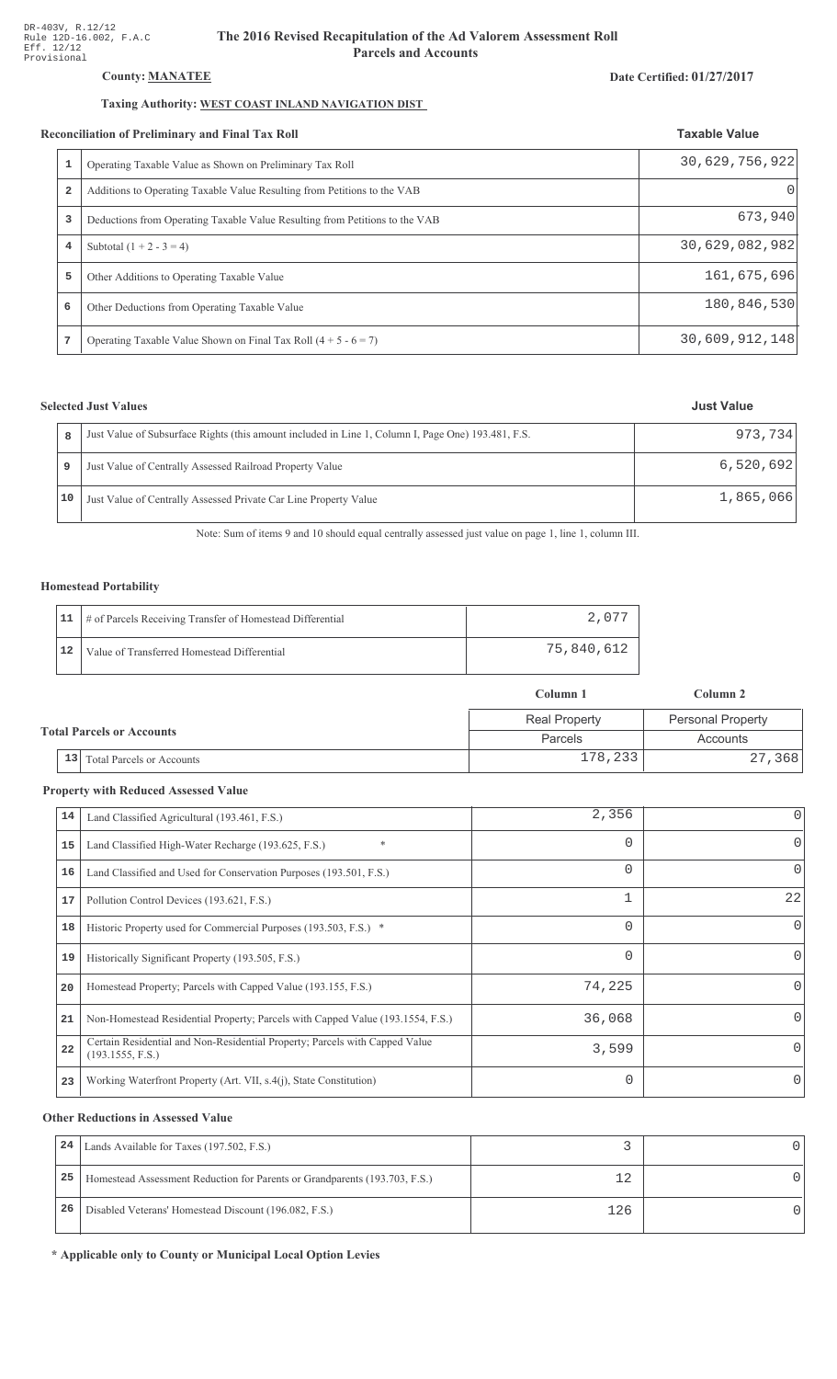# County: **MANATEE**

### Taxing Authority: WEST COAST INLAND NAVIGATION DIST

#### Reconciliation of Preliminary and Final Tax Roll

|                | conciliation of Preliminary and Final Tax Roll                              | <b>Taxable Value</b> |
|----------------|-----------------------------------------------------------------------------|----------------------|
|                | Operating Taxable Value as Shown on Preliminary Tax Roll                    | 30,629,756,922       |
| $\overline{a}$ | Additions to Operating Taxable Value Resulting from Petitions to the VAB    | $($ )                |
| 3              | Deductions from Operating Taxable Value Resulting from Petitions to the VAB | 673,940              |
| 4              | Subtotal $(1 + 2 - 3 = 4)$                                                  | 30,629,082,982       |
| 5              | Other Additions to Operating Taxable Value                                  | 161,675,696          |
| 6              | Other Deductions from Operating Taxable Value                               | 180,846,530          |
|                | Operating Taxable Value Shown on Final Tax Roll $(4 + 5 - 6 = 7)$           | 30,609,912,148       |

# **Selected Just Values**

| Just Value of Subsurface Rights (this amount included in Line 1, Column I, Page One) 193.481, F.S.<br>8 | 973.734   |
|---------------------------------------------------------------------------------------------------------|-----------|
| Just Value of Centrally Assessed Railroad Property Value                                                | 6,520,692 |
| 10<br>Just Value of Centrally Assessed Private Car Line Property Value                                  | 1,865,066 |

Note: Sum of items 9 and 10 should equal centrally assessed just value on page 1, line 1, column III.

### Homestead Portability

|    | 11   # of Parcels Receiving Transfer of Homestead Differential | 2.077        |
|----|----------------------------------------------------------------|--------------|
| 12 | Value of Transferred Homestead Differential                    | 75,840,612 ' |

|                                  |                                        | Column 1             | Column 2                 |  |
|----------------------------------|----------------------------------------|----------------------|--------------------------|--|
| <b>Total Parcels or Accounts</b> |                                        | <b>Real Property</b> | <b>Personal Property</b> |  |
|                                  |                                        | Parcels              | Accounts                 |  |
|                                  | 13<br><b>Total Parcels or Accounts</b> | 178,233              | 27,368                   |  |

#### **Property with Reduced Assessed Value**

| 14 | Land Classified Agricultural (193.461, F.S.)                                                    | 2,356    | 0            |
|----|-------------------------------------------------------------------------------------------------|----------|--------------|
| 15 | $\ast$<br>Land Classified High-Water Recharge (193.625, F.S.)                                   | $\Omega$ | 0            |
| 16 | Land Classified and Used for Conservation Purposes (193.501, F.S.)                              | 0        | 0            |
| 17 | Pollution Control Devices (193.621, F.S.)                                                       |          | 22           |
| 18 | Historic Property used for Commercial Purposes (193.503, F.S.) *                                | 0        | $\Omega$     |
| 19 | Historically Significant Property (193.505, F.S.)                                               | 0        | 0            |
| 20 | Homestead Property; Parcels with Capped Value (193.155, F.S.)                                   | 74,225   | <sup>0</sup> |
| 21 | Non-Homestead Residential Property; Parcels with Capped Value (193.1554, F.S.)                  | 36,068   | <sup>0</sup> |
| 22 | Certain Residential and Non-Residential Property; Parcels with Capped Value<br>(193.1555, F.S.) | 3,599    | <sup>n</sup> |
| 23 | Working Waterfront Property (Art. VII, s.4(j), State Constitution)                              | $\Omega$ | $\Omega$     |

#### **Other Reductions in Assessed Value**

| 24 | Lands Available for Taxes (197.502, F.S.)                                  |     |  |
|----|----------------------------------------------------------------------------|-----|--|
| 25 | Homestead Assessment Reduction for Parents or Grandparents (193.703, F.S.) |     |  |
| 26 | Disabled Veterans' Homestead Discount (196.082, F.S.)                      | 126 |  |

\* Applicable only to County or Municipal Local Option Levies

# Date Certified: 01/27/2017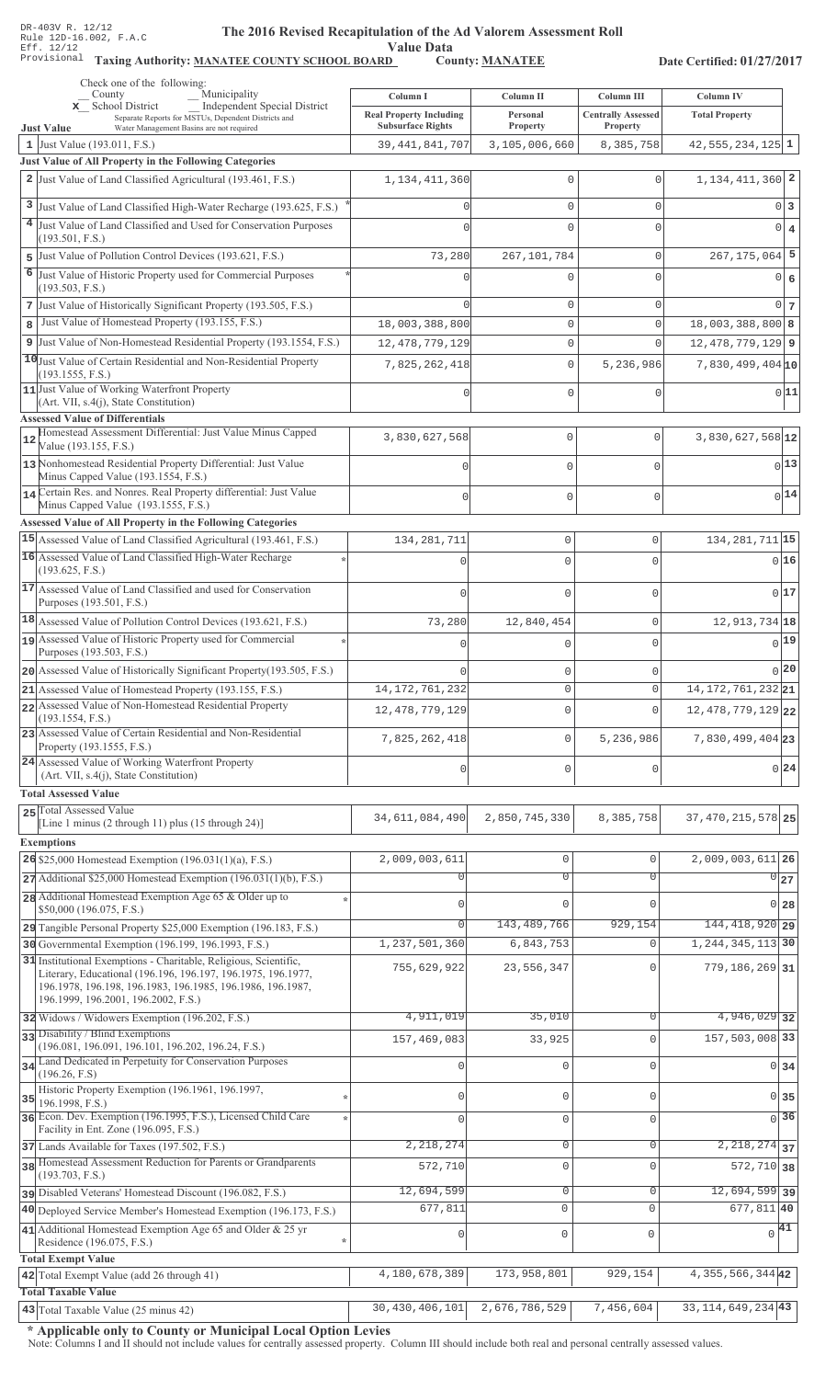Value Data<br>D County: MANATEE

Taxing Authority: MANATEE COUNTY SCHOOL BOARD County: MANATEE

Date Certified: 01/27/2017

| Check one of the following:<br>Municipality<br>County                                                                                                                                                                                 |                                            |                               | Column III                |                                        |
|---------------------------------------------------------------------------------------------------------------------------------------------------------------------------------------------------------------------------------------|--------------------------------------------|-------------------------------|---------------------------|----------------------------------------|
| Independent Special District<br>x School District<br>Separate Reports for MSTUs, Dependent Districts and                                                                                                                              | Column I<br><b>Real Property Including</b> | Column II<br>Personal         | <b>Centrally Assessed</b> | Column IV<br><b>Total Property</b>     |
| <b>Just Value</b><br>Water Management Basins are not required                                                                                                                                                                         | <b>Subsurface Rights</b>                   | <b>Property</b>               | Property                  |                                        |
| 1 Just Value (193.011, F.S.)<br>Just Value of All Property in the Following Categories                                                                                                                                                | 39, 441, 841, 707                          | 3,105,006,660                 | 8,385,758                 | $42,555,234,125$ 1                     |
| 2 Just Value of Land Classified Agricultural (193.461, F.S.)                                                                                                                                                                          | 1, 134, 411, 360                           | $\mathbf{0}$                  | $\Omega$                  | 1, 134, 411, 360 2                     |
|                                                                                                                                                                                                                                       |                                            |                               |                           |                                        |
| 3 Just Value of Land Classified High-Water Recharge (193.625, F.S.)<br>4 Just Value of Land Classified and Used for Conservation Purposes                                                                                             |                                            | 0                             | $\mathbf 0$               | 0 3                                    |
| (193.501, F.S.)                                                                                                                                                                                                                       |                                            | $\Omega$                      | $\Omega$                  | $0 \mid 4$                             |
| 5 Just Value of Pollution Control Devices (193.621, F.S.)                                                                                                                                                                             | 73,280                                     | 267, 101, 784                 | 0                         | $267, 175, 064$ 5                      |
| 6 Just Value of Historic Property used for Commercial Purposes<br>(193.503, F.S.)                                                                                                                                                     |                                            | 0                             | $\Omega$                  | 0 6                                    |
| 7 Just Value of Historically Significant Property (193.505, F.S.)                                                                                                                                                                     |                                            | 0                             | $\mathbf 0$               | $0\vert 7$                             |
| Just Value of Homestead Property (193.155, F.S.)<br>8                                                                                                                                                                                 | 18,003,388,800                             | $\mathbb O$                   | $\circ$                   | $18,003,388,800$ 8                     |
| 9 Just Value of Non-Homestead Residential Property (193.1554, F.S.)                                                                                                                                                                   | 12, 478, 779, 129                          | $\mathbb O$                   | 0                         | $12,478,779,129$ 9                     |
| 10 Just Value of Certain Residential and Non-Residential Property                                                                                                                                                                     | 7,825,262,418                              | $\mathbb O$                   | 5,236,986                 | $7,830,499,404$ <sub>10</sub>          |
| (193.1555, F.S.)<br>11 Just Value of Working Waterfront Property                                                                                                                                                                      |                                            |                               |                           |                                        |
| (Art. VII, s.4(j), State Constitution)                                                                                                                                                                                                |                                            | $\mathbf 0$                   | $\Omega$                  | 0 11                                   |
| <b>Assessed Value of Differentials</b>                                                                                                                                                                                                |                                            |                               |                           |                                        |
| Homestead Assessment Differential: Just Value Minus Capped<br>12<br>Value (193.155, F.S.)                                                                                                                                             | 3,830,627,568                              | $\mathbf{0}$                  | $\mathbf 0$               | $3,830,627,568$ <sup>12</sup>          |
| 13 Nonhomestead Residential Property Differential: Just Value                                                                                                                                                                         |                                            | $\mathbf{0}$                  | $\mathbf{0}$              | $0$ <sup>13</sup>                      |
| Minus Capped Value (193.1554, F.S.)<br>14 Certain Res. and Nonres. Real Property differential: Just Value                                                                                                                             |                                            |                               |                           | $0$ <sup>14</sup>                      |
| Minus Capped Value (193.1555, F.S.)                                                                                                                                                                                                   |                                            | $\Omega$                      | $\mathbf{0}$              |                                        |
| Assessed Value of All Property in the Following Categories                                                                                                                                                                            |                                            |                               |                           |                                        |
| 15 Assessed Value of Land Classified Agricultural (193.461, F.S.)<br>16 Assessed Value of Land Classified High-Water Recharge                                                                                                         | 134, 281, 711                              | $\circ$                       | 0                         | 134, 281, 711 15                       |
| (193.625, F.S.)                                                                                                                                                                                                                       |                                            | $\Omega$                      | $\cap$                    | 0 16                                   |
| 17 Assessed Value of Land Classified and used for Conservation                                                                                                                                                                        |                                            | $\Omega$                      | O                         | 0 17                                   |
| Purposes (193.501, F.S.)                                                                                                                                                                                                              |                                            |                               |                           |                                        |
| 18 Assessed Value of Pollution Control Devices (193.621, F.S.)<br>19 Assessed Value of Historic Property used for Commercial                                                                                                          | 73,280                                     | 12,840,454                    | 0                         | 12, 913, 734 18<br>$0$ <sup>19</sup>   |
| Purposes (193.503, F.S.)                                                                                                                                                                                                              |                                            | $\Omega$                      | O                         |                                        |
| 20 Assessed Value of Historically Significant Property (193.505, F.S.)                                                                                                                                                                |                                            | $\mathbf{0}$                  | 0                         | 0 20                                   |
| $21$ Assessed Value of Homestead Property (193.155, F.S.)                                                                                                                                                                             | 14, 172, 761, 232                          | $\bigcap$                     | $\Omega$                  | 14, 172, 761, 232 21                   |
| 22 Assessed Value of Non-Homestead Residential Property<br>(193.1554, F.S.)                                                                                                                                                           | 12, 478, 779, 129                          | $\mathbf 0$                   | O                         | 12, 478, 779, 129 22                   |
| 23 Assessed Value of Certain Residential and Non-Residential<br>Property (193.1555, F.S.)                                                                                                                                             | 7,825,262,418                              | $\circ$                       | 5,236,986                 | 7,830,499,404 23                       |
| 24 Assessed Value of Working Waterfront Property<br>(Art. VII, s.4(j), State Constitution)                                                                                                                                            | $\cap$                                     | $\circ$                       | U                         | 0 24                                   |
| <b>Total Assessed Value</b>                                                                                                                                                                                                           |                                            |                               |                           |                                        |
| 25 Total Assessed Value                                                                                                                                                                                                               | 34,611,084,490                             | 2,850,745,330                 | 8,385,758                 | 37, 470, 215, 578 25                   |
| [Line 1 minus (2 through 11) plus (15 through 24)]                                                                                                                                                                                    |                                            |                               |                           |                                        |
| <b>Exemptions</b>                                                                                                                                                                                                                     |                                            |                               |                           |                                        |
| 26 \$25,000 Homestead Exemption (196.031(1)(a), F.S.)<br>$27$ Additional \$25,000 Homestead Exemption (196.031(1)(b), F.S.)                                                                                                           | 2,009,003,611                              | $\mathbf 0$<br>$\overline{0}$ | $\circ$<br>$\overline{0}$ | $2,009,003,611$ 26<br>$0\overline{27}$ |
| 28 Additional Homestead Exemption Age 65 & Older up to                                                                                                                                                                                |                                            |                               |                           |                                        |
| \$50,000 (196.075, F.S.)                                                                                                                                                                                                              |                                            | $\Omega$                      | $\Omega$                  | 0 <sub>28</sub>                        |
| 29 Tangible Personal Property \$25,000 Exemption (196.183, F.S.)                                                                                                                                                                      | $\Omega$                                   | 143, 489, 766                 | 929,154                   | 144, 418, 920 29                       |
| 30 Governmental Exemption (196.199, 196.1993, F.S.)                                                                                                                                                                                   | 1,237,501,360                              | 6,843,753                     | $\Omega$                  | 1, 244, 345, 113 30                    |
| 31 Institutional Exemptions - Charitable, Religious, Scientific,<br>Literary, Educational (196.196, 196.197, 196.1975, 196.1977,<br>196.1978, 196.198, 196.1983, 196.1985, 196.1986, 196.1987,<br>196.1999, 196.2001, 196.2002, F.S.) | 755,629,922                                | 23,556,347                    | $\Omega$                  | $779, 186, 269$ 31                     |
| 32 Widows / Widowers Exemption (196.202, F.S.)                                                                                                                                                                                        | 4,911,019                                  | 35,010                        | $\mathbf 0$               | 4,946,029 32                           |
| 33 Disability / Blind Exemptions                                                                                                                                                                                                      | 157,469,083                                | 33,925                        | $\Omega$                  | 157,503,008 33                         |
| (196.081, 196.091, 196.101, 196.202, 196.24, F.S.)<br>34 Land Dedicated in Perpetuity for Conservation Purposes                                                                                                                       |                                            |                               |                           |                                        |
| (196.26, F.S)                                                                                                                                                                                                                         | 0                                          | $\mathbf 0$                   | $\mathbf 0$               | $0 \overline{\smash{34}}$              |
| Historic Property Exemption (196.1961, 196.1997,<br>35<br>196.1998, F.S.)                                                                                                                                                             | Λ                                          | 0                             | $\Omega$                  | 0 35                                   |
| 36 Econ. Dev. Exemption (196.1995, F.S.), Licensed Child Care                                                                                                                                                                         |                                            | $\mathbf 0$                   | $\Omega$                  | $\overline{0}$ 36                      |
| Facility in Ent. Zone (196.095, F.S.)<br>37 Lands Available for Taxes (197.502, F.S.)                                                                                                                                                 | 2, 218, 274                                | $\mathbf 0$                   | $\mathbf{0}$              | $2,218,274$ 37                         |
| 38 Homestead Assessment Reduction for Parents or Grandparents                                                                                                                                                                         | 572,710                                    | $\mathbf 0$                   | 0                         | $572, 710$ 38                          |
| (193.703, F.S.)                                                                                                                                                                                                                       |                                            |                               |                           |                                        |
| pisabled Veterans' Homestead Discount (196.082, F.S.)                                                                                                                                                                                 | 12,694,599<br>677,811                      | $\mathbf 0$<br>$\mathbf 0$    | 0<br>$\mathbf 0$          | $12,694,599$ 39<br>$677,811$ 40        |
| 40 Deployed Service Member's Homestead Exemption (196.173, F.S.)<br>41 Additional Homestead Exemption Age 65 and Older & 25 yr                                                                                                        |                                            |                               |                           | $\sqrt{41}$                            |
| Residence (196.075, F.S.)                                                                                                                                                                                                             | 0                                          | $\mathbf 0$                   | $\mathbf 0$               |                                        |
| <b>Total Exempt Value</b><br>42 Total Exempt Value (add 26 through 41)                                                                                                                                                                | 4,180,678,389                              | 173,958,801                   | 929,154                   | $4,355,566,344$ 42                     |
| <b>Total Taxable Value</b>                                                                                                                                                                                                            |                                            |                               |                           |                                        |
| 43 Total Taxable Value (25 minus 42)                                                                                                                                                                                                  | 30,430,406,101                             | 2,676,786,529                 | 7,456,604                 | 33, 114, 649, 234 43                   |

\* Applicable only to County or Municipal Local Option Levies